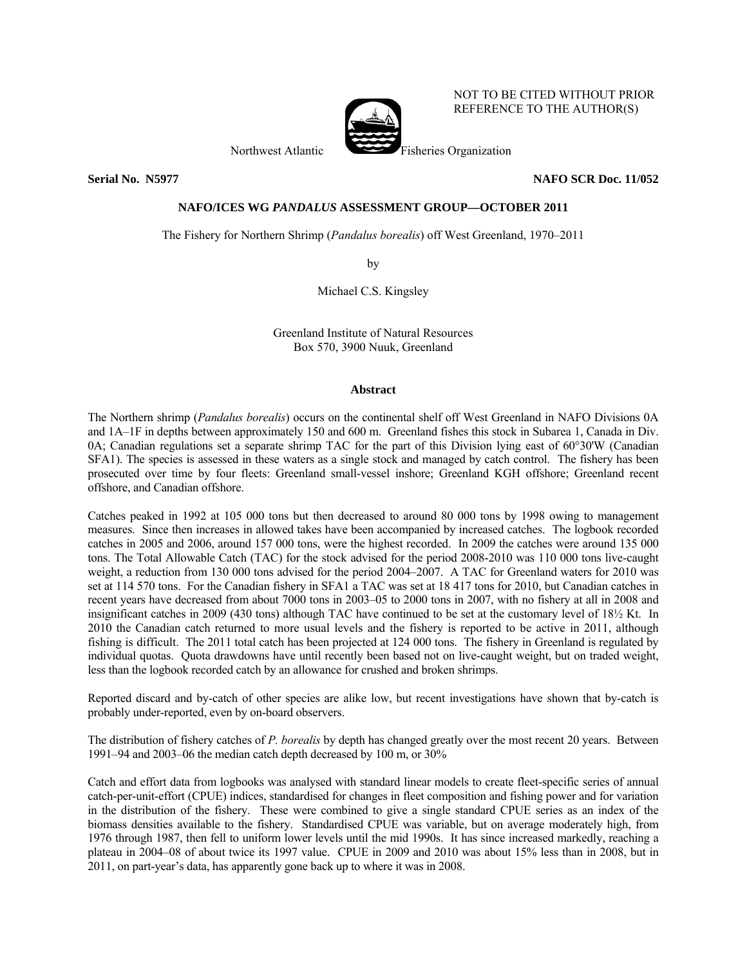

NOT TO BE CITED WITHOUT PRIOR REFERENCE TO THE AUTHOR(S)

Northwest Atlantic Fisheries Organization

**Serial No. N5977 NAFO SCR Doc. 11/052** 

# **NAFO/ICES WG** *PANDALUS* **ASSESSMENT GROUP—OCTOBER 2011**

The Fishery for Northern Shrimp (*Pandalus borealis*) off West Greenland, 1970–2011

by

Michael C.S. Kingsley

Greenland Institute of Natural Resources Box 570, 3900 Nuuk, Greenland

# **Abstract**

The Northern shrimp (*Pandalus borealis*) occurs on the continental shelf off West Greenland in NAFO Divisions 0A and 1A–1F in depths between approximately 150 and 600 m. Greenland fishes this stock in Subarea 1, Canada in Div. 0A; Canadian regulations set a separate shrimp TAC for the part of this Division lying east of 60°30'W (Canadian SFA1). The species is assessed in these waters as a single stock and managed by catch control. The fishery has been prosecuted over time by four fleets: Greenland small-vessel inshore; Greenland KGH offshore; Greenland recent offshore, and Canadian offshore.

Catches peaked in 1992 at 105 000 tons but then decreased to around 80 000 tons by 1998 owing to management measures. Since then increases in allowed takes have been accompanied by increased catches. The logbook recorded catches in 2005 and 2006, around 157 000 tons, were the highest recorded. In 2009 the catches were around 135 000 tons. The Total Allowable Catch (TAC) for the stock advised for the period 2008-2010 was 110 000 tons live-caught weight, a reduction from 130 000 tons advised for the period 2004–2007. A TAC for Greenland waters for 2010 was set at 114 570 tons. For the Canadian fishery in SFA1 a TAC was set at 18 417 tons for 2010, but Canadian catches in recent years have decreased from about 7000 tons in 2003–05 to 2000 tons in 2007, with no fishery at all in 2008 and insignificant catches in 2009 (430 tons) although TAC have continued to be set at the customary level of 18½ Kt. In 2010 the Canadian catch returned to more usual levels and the fishery is reported to be active in 2011, although fishing is difficult. The 2011 total catch has been projected at 124 000 tons. The fishery in Greenland is regulated by individual quotas. Quota drawdowns have until recently been based not on live-caught weight, but on traded weight, less than the logbook recorded catch by an allowance for crushed and broken shrimps.

Reported discard and by-catch of other species are alike low, but recent investigations have shown that by-catch is probably under-reported, even by on-board observers.

The distribution of fishery catches of *P. borealis* by depth has changed greatly over the most recent 20 years. Between 1991–94 and 2003–06 the median catch depth decreased by 100 m, or 30%

Catch and effort data from logbooks was analysed with standard linear models to create fleet-specific series of annual catch-per-unit-effort (CPUE) indices, standardised for changes in fleet composition and fishing power and for variation in the distribution of the fishery. These were combined to give a single standard CPUE series as an index of the biomass densities available to the fishery. Standardised CPUE was variable, but on average moderately high, from 1976 through 1987, then fell to uniform lower levels until the mid 1990s. It has since increased markedly, reaching a plateau in 2004–08 of about twice its 1997 value. CPUE in 2009 and 2010 was about 15% less than in 2008, but in 2011, on part-year's data, has apparently gone back up to where it was in 2008.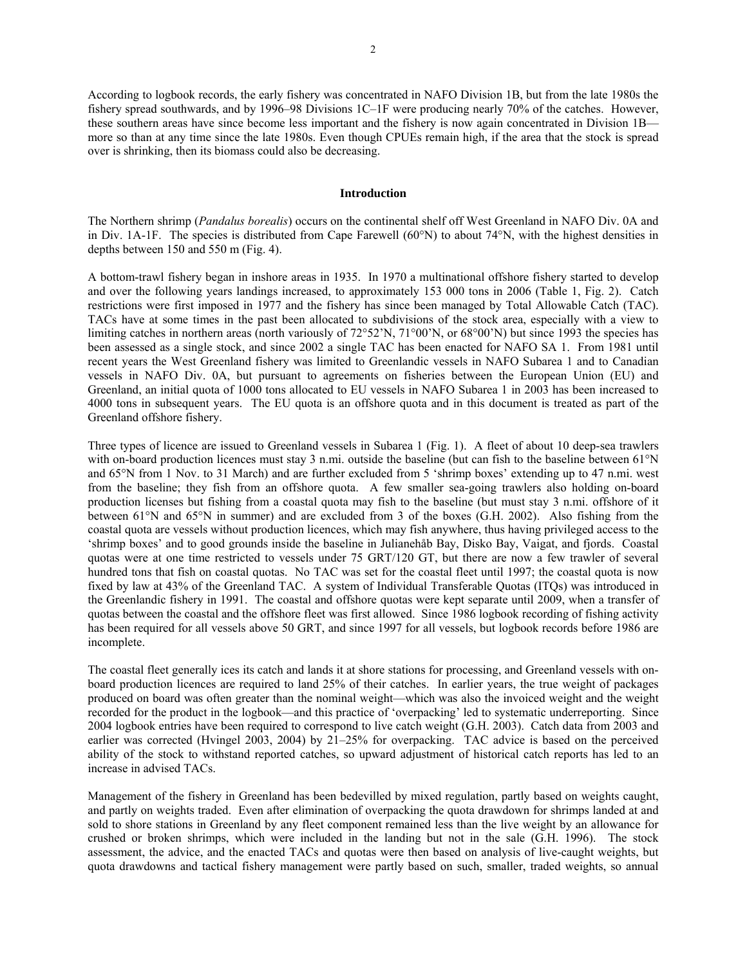According to logbook records, the early fishery was concentrated in NAFO Division 1B, but from the late 1980s the fishery spread southwards, and by 1996–98 Divisions 1C–1F were producing nearly 70% of the catches. However, these southern areas have since become less important and the fishery is now again concentrated in Division 1B more so than at any time since the late 1980s. Even though CPUEs remain high, if the area that the stock is spread over is shrinking, then its biomass could also be decreasing.

## **Introduction**

The Northern shrimp (*Pandalus borealis*) occurs on the continental shelf off West Greenland in NAFO Div. 0A and in Div. 1A-1F. The species is distributed from Cape Farewell (60°N) to about 74°N, with the highest densities in depths between 150 and 550 m (Fig. 4).

A bottom-trawl fishery began in inshore areas in 1935. In 1970 a multinational offshore fishery started to develop and over the following years landings increased, to approximately 153 000 tons in 2006 (Table 1, Fig. 2). Catch restrictions were first imposed in 1977 and the fishery has since been managed by Total Allowable Catch (TAC). TACs have at some times in the past been allocated to subdivisions of the stock area, especially with a view to limiting catches in northern areas (north variously of 72°52'N, 71°00'N, or 68°00'N) but since 1993 the species has been assessed as a single stock, and since 2002 a single TAC has been enacted for NAFO SA 1. From 1981 until recent years the West Greenland fishery was limited to Greenlandic vessels in NAFO Subarea 1 and to Canadian vessels in NAFO Div. 0A, but pursuant to agreements on fisheries between the European Union (EU) and Greenland, an initial quota of 1000 tons allocated to EU vessels in NAFO Subarea 1 in 2003 has been increased to 4000 tons in subsequent years. The EU quota is an offshore quota and in this document is treated as part of the Greenland offshore fishery.

Three types of licence are issued to Greenland vessels in Subarea 1 (Fig. 1). A fleet of about 10 deep-sea trawlers with on-board production licences must stay 3 n.mi. outside the baseline (but can fish to the baseline between 61°N and 65°N from 1 Nov. to 31 March) and are further excluded from 5 'shrimp boxes' extending up to 47 n.mi. west from the baseline; they fish from an offshore quota. A few smaller sea-going trawlers also holding on-board production licenses but fishing from a coastal quota may fish to the baseline (but must stay 3 n.mi. offshore of it between 61°N and 65°N in summer) and are excluded from 3 of the boxes (G.H. 2002). Also fishing from the coastal quota are vessels without production licences, which may fish anywhere, thus having privileged access to the 'shrimp boxes' and to good grounds inside the baseline in Julianehåb Bay, Disko Bay, Vaigat, and fjords. Coastal quotas were at one time restricted to vessels under 75 GRT/120 GT, but there are now a few trawler of several hundred tons that fish on coastal quotas. No TAC was set for the coastal fleet until 1997; the coastal quota is now fixed by law at 43% of the Greenland TAC. A system of Individual Transferable Quotas (ITQs) was introduced in the Greenlandic fishery in 1991. The coastal and offshore quotas were kept separate until 2009, when a transfer of quotas between the coastal and the offshore fleet was first allowed. Since 1986 logbook recording of fishing activity has been required for all vessels above 50 GRT, and since 1997 for all vessels, but logbook records before 1986 are incomplete.

The coastal fleet generally ices its catch and lands it at shore stations for processing, and Greenland vessels with onboard production licences are required to land 25% of their catches. In earlier years, the true weight of packages produced on board was often greater than the nominal weight—which was also the invoiced weight and the weight recorded for the product in the logbook—and this practice of 'overpacking' led to systematic underreporting. Since 2004 logbook entries have been required to correspond to live catch weight (G.H. 2003). Catch data from 2003 and earlier was corrected (Hvingel 2003, 2004) by 21-25% for overpacking. TAC advice is based on the perceived ability of the stock to withstand reported catches, so upward adjustment of historical catch reports has led to an increase in advised TACs.

Management of the fishery in Greenland has been bedevilled by mixed regulation, partly based on weights caught, and partly on weights traded. Even after elimination of overpacking the quota drawdown for shrimps landed at and sold to shore stations in Greenland by any fleet component remained less than the live weight by an allowance for crushed or broken shrimps, which were included in the landing but not in the sale (G.H. 1996). The stock assessment, the advice, and the enacted TACs and quotas were then based on analysis of live-caught weights, but quota drawdowns and tactical fishery management were partly based on such, smaller, traded weights, so annual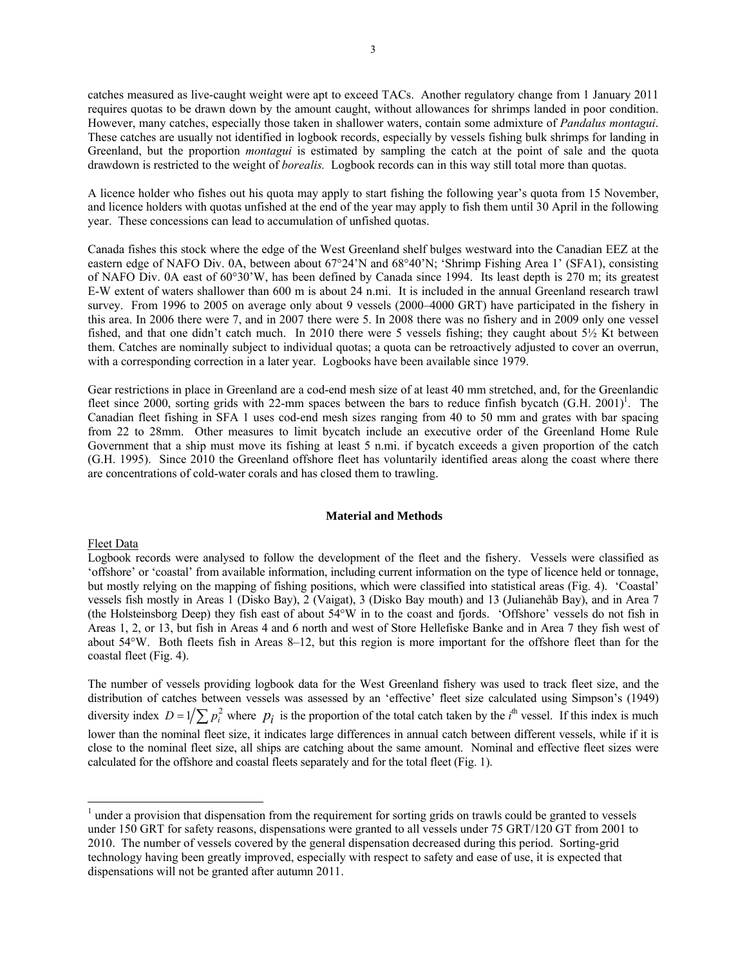catches measured as live-caught weight were apt to exceed TACs. Another regulatory change from 1 January 2011 requires quotas to be drawn down by the amount caught, without allowances for shrimps landed in poor condition. However, many catches, especially those taken in shallower waters, contain some admixture of *Pandalus montagui*. These catches are usually not identified in logbook records, especially by vessels fishing bulk shrimps for landing in Greenland, but the proportion *montagui* is estimated by sampling the catch at the point of sale and the quota drawdown is restricted to the weight of *borealis.* Logbook records can in this way still total more than quotas.

A licence holder who fishes out his quota may apply to start fishing the following year's quota from 15 November, and licence holders with quotas unfished at the end of the year may apply to fish them until 30 April in the following year. These concessions can lead to accumulation of unfished quotas.

Canada fishes this stock where the edge of the West Greenland shelf bulges westward into the Canadian EEZ at the eastern edge of NAFO Div. 0A, between about 67°24'N and 68°40'N; 'Shrimp Fishing Area 1' (SFA1), consisting of NAFO Div. 0A east of 60°30'W, has been defined by Canada since 1994. Its least depth is 270 m; its greatest E-W extent of waters shallower than 600 m is about 24 n.mi. It is included in the annual Greenland research trawl survey. From 1996 to 2005 on average only about 9 vessels (2000–4000 GRT) have participated in the fishery in this area. In 2006 there were 7, and in 2007 there were 5. In 2008 there was no fishery and in 2009 only one vessel fished, and that one didn't catch much. In 2010 there were 5 vessels fishing; they caught about 5½ Kt between them. Catches are nominally subject to individual quotas; a quota can be retroactively adjusted to cover an overrun, with a corresponding correction in a later year. Logbooks have been available since 1979.

Gear restrictions in place in Greenland are a cod-end mesh size of at least 40 mm stretched, and, for the Greenlandic fleet since 2000, sorting grids with 22-mm spaces between the bars to reduce finfish bycatch  $(G.H. 2001)^1$ . The Canadian fleet fishing in SFA 1 uses cod-end mesh sizes ranging from 40 to 50 mm and grates with bar spacing from 22 to 28mm. Other measures to limit bycatch include an executive order of the Greenland Home Rule Government that a ship must move its fishing at least 5 n.mi. if bycatch exceeds a given proportion of the catch (G.H. 1995). Since 2010 the Greenland offshore fleet has voluntarily identified areas along the coast where there are concentrations of cold-water corals and has closed them to trawling.

## **Material and Methods**

## Fleet Data

-

Logbook records were analysed to follow the development of the fleet and the fishery. Vessels were classified as 'offshore' or 'coastal' from available information, including current information on the type of licence held or tonnage, but mostly relying on the mapping of fishing positions, which were classified into statistical areas (Fig. 4). 'Coastal' vessels fish mostly in Areas 1 (Disko Bay), 2 (Vaigat), 3 (Disko Bay mouth) and 13 (Julianehåb Bay), and in Area 7 (the Holsteinsborg Deep) they fish east of about 54°W in to the coast and fjords. 'Offshore' vessels do not fish in Areas 1, 2, or 13, but fish in Areas 4 and 6 north and west of Store Hellefiske Banke and in Area 7 they fish west of about 54°W. Both fleets fish in Areas 8–12, but this region is more important for the offshore fleet than for the coastal fleet (Fig. 4).

The number of vessels providing logbook data for the West Greenland fishery was used to track fleet size, and the distribution of catches between vessels was assessed by an 'effective' fleet size calculated using Simpson's (1949) diversity index  $D = 1/\sum p_i^2$  where  $p_i$  is the proportion of the total catch taken by the *i*<sup>th</sup> vessel. If this index is much lower than the nominal fleet size, it indicates large differences in annual catch between different vessels, while if it is close to the nominal fleet size, all ships are catching about the same amount. Nominal and effective fleet sizes were calculated for the offshore and coastal fleets separately and for the total fleet (Fig. 1).

 $<sup>1</sup>$  under a provision that dispensation from the requirement for sorting grids on trawls could be granted to vessels</sup> under 150 GRT for safety reasons, dispensations were granted to all vessels under 75 GRT/120 GT from 2001 to 2010. The number of vessels covered by the general dispensation decreased during this period. Sorting-grid technology having been greatly improved, especially with respect to safety and ease of use, it is expected that dispensations will not be granted after autumn 2011.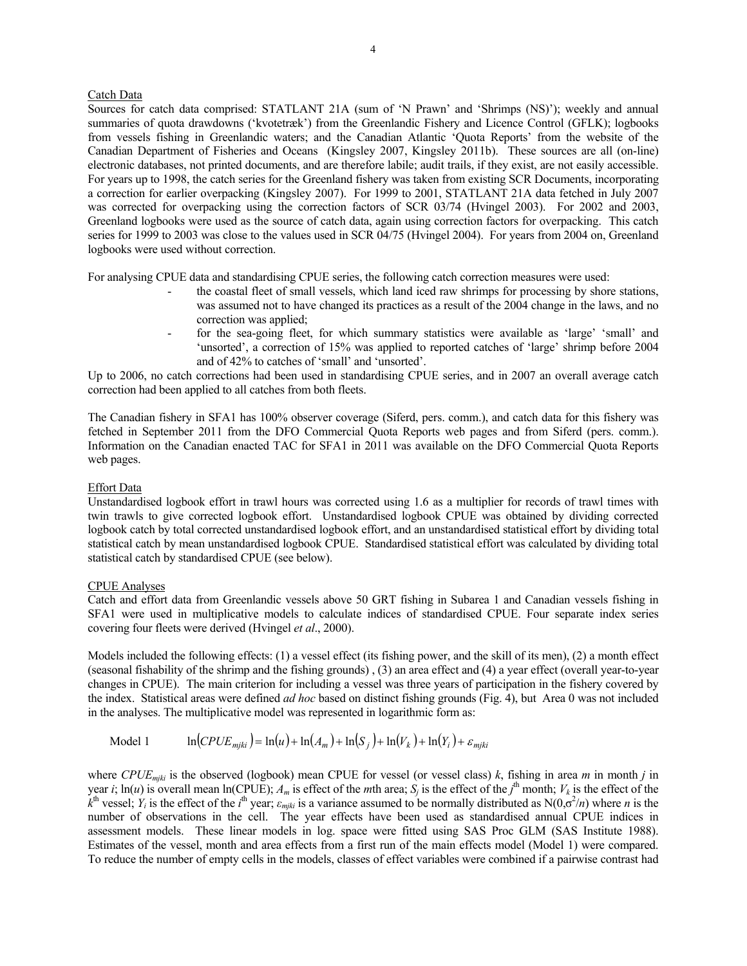# Catch Data

Sources for catch data comprised: STATLANT 21A (sum of 'N Prawn' and 'Shrimps (NS)'); weekly and annual summaries of quota drawdowns ('kvotetræk') from the Greenlandic Fishery and Licence Control (GFLK); logbooks from vessels fishing in Greenlandic waters; and the Canadian Atlantic 'Quota Reports' from the website of the Canadian Department of Fisheries and Oceans (Kingsley 2007, Kingsley 2011b). These sources are all (on-line) electronic databases, not printed documents, and are therefore labile; audit trails, if they exist, are not easily accessible. For years up to 1998, the catch series for the Greenland fishery was taken from existing SCR Documents, incorporating a correction for earlier overpacking (Kingsley 2007). For 1999 to 2001, STATLANT 21A data fetched in July 2007 was corrected for overpacking using the correction factors of SCR 03/74 (Hvingel 2003). For 2002 and 2003, Greenland logbooks were used as the source of catch data, again using correction factors for overpacking. This catch series for 1999 to 2003 was close to the values used in SCR 04/75 (Hvingel 2004). For years from 2004 on, Greenland logbooks were used without correction.

For analysing CPUE data and standardising CPUE series, the following catch correction measures were used:

- the coastal fleet of small vessels, which land iced raw shrimps for processing by shore stations, was assumed not to have changed its practices as a result of the 2004 change in the laws, and no correction was applied;
- for the sea-going fleet, for which summary statistics were available as 'large' 'small' and 'unsorted', a correction of 15% was applied to reported catches of 'large' shrimp before 2004 and of 42% to catches of 'small' and 'unsorted'.

Up to 2006, no catch corrections had been used in standardising CPUE series, and in 2007 an overall average catch correction had been applied to all catches from both fleets.

The Canadian fishery in SFA1 has 100% observer coverage (Siferd, pers. comm.), and catch data for this fishery was fetched in September 2011 from the DFO Commercial Quota Reports web pages and from Siferd (pers. comm.). Information on the Canadian enacted TAC for SFA1 in 2011 was available on the DFO Commercial Quota Reports web pages.

## Effort Data

Unstandardised logbook effort in trawl hours was corrected using 1.6 as a multiplier for records of trawl times with twin trawls to give corrected logbook effort. Unstandardised logbook CPUE was obtained by dividing corrected logbook catch by total corrected unstandardised logbook effort, and an unstandardised statistical effort by dividing total statistical catch by mean unstandardised logbook CPUE. Standardised statistical effort was calculated by dividing total statistical catch by standardised CPUE (see below).

## CPUE Analyses

Catch and effort data from Greenlandic vessels above 50 GRT fishing in Subarea 1 and Canadian vessels fishing in SFA1 were used in multiplicative models to calculate indices of standardised CPUE. Four separate index series covering four fleets were derived (Hvingel *et al*., 2000).

Models included the following effects: (1) a vessel effect (its fishing power, and the skill of its men), (2) a month effect (seasonal fishability of the shrimp and the fishing grounds) , (3) an area effect and (4) a year effect (overall year-to-year changes in CPUE). The main criterion for including a vessel was three years of participation in the fishery covered by the index. Statistical areas were defined *ad hoc* based on distinct fishing grounds (Fig. 4), but Area 0 was not included in the analyses. The multiplicative model was represented in logarithmic form as:

$$
\text{Model 1} \qquad \ln(CPUE_{mjki}) = \ln(u) + \ln(A_m) + \ln(S_j) + \ln(V_k) + \ln(Y_i) + \varepsilon_{mjki}
$$

where *CPUEmjki* is the observed (logbook) mean CPUE for vessel (or vessel class) *k*, fishing in area *m* in month *j* in year *i*;  $\ln(u)$  is overall mean  $\ln(\text{CPUE})$ ;  $A_m$  is effect of the *m*th area;  $S_j$  is the effect of the *j*<sup>th</sup> month;  $V_k$  is the effect of the  $\hat{k}$ <sup>th</sup> vessel; *Y<sub>i</sub>* is the effect of the *i*<sup>th</sup> year;  $\varepsilon_{mjki}$  is a variance assumed to be normally distributed as N(0, $\sigma^2/n$ ) where *n* is the number of observations in the cell. The year effects have been used as standardised annual CPUE indices in assessment models. These linear models in log. space were fitted using SAS Proc GLM (SAS Institute 1988). Estimates of the vessel, month and area effects from a first run of the main effects model (Model 1) were compared. To reduce the number of empty cells in the models, classes of effect variables were combined if a pairwise contrast had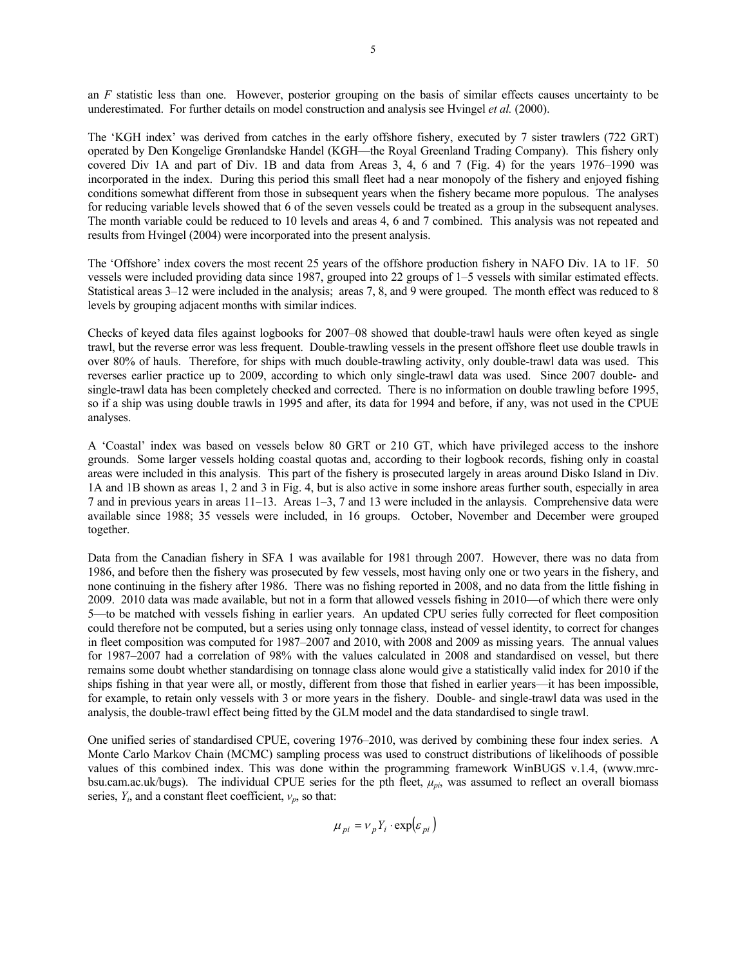an *F* statistic less than one. However, posterior grouping on the basis of similar effects causes uncertainty to be underestimated. For further details on model construction and analysis see Hvingel *et al.* (2000).

The 'KGH index' was derived from catches in the early offshore fishery, executed by 7 sister trawlers (722 GRT) operated by Den Kongelige Grønlandske Handel (KGH—the Royal Greenland Trading Company). This fishery only covered Div 1A and part of Div. 1B and data from Areas 3, 4, 6 and 7 (Fig. 4) for the years 1976–1990 was incorporated in the index. During this period this small fleet had a near monopoly of the fishery and enjoyed fishing conditions somewhat different from those in subsequent years when the fishery became more populous. The analyses for reducing variable levels showed that 6 of the seven vessels could be treated as a group in the subsequent analyses. The month variable could be reduced to 10 levels and areas 4, 6 and 7 combined. This analysis was not repeated and results from Hvingel (2004) were incorporated into the present analysis.

The 'Offshore' index covers the most recent 25 years of the offshore production fishery in NAFO Div. 1A to 1F. 50 vessels were included providing data since 1987, grouped into 22 groups of 1–5 vessels with similar estimated effects. Statistical areas  $3-12$  were included in the analysis; areas 7, 8, and 9 were grouped. The month effect was reduced to 8 levels by grouping adjacent months with similar indices.

Checks of keyed data files against logbooks for 2007–08 showed that double-trawl hauls were often keyed as single trawl, but the reverse error was less frequent. Double-trawling vessels in the present offshore fleet use double trawls in over 80% of hauls. Therefore, for ships with much double-trawling activity, only double-trawl data was used. This reverses earlier practice up to 2009, according to which only single-trawl data was used. Since 2007 double- and single-trawl data has been completely checked and corrected. There is no information on double trawling before 1995, so if a ship was using double trawls in 1995 and after, its data for 1994 and before, if any, was not used in the CPUE analyses.

A 'Coastal' index was based on vessels below 80 GRT or 210 GT, which have privileged access to the inshore grounds. Some larger vessels holding coastal quotas and, according to their logbook records, fishing only in coastal areas were included in this analysis. This part of the fishery is prosecuted largely in areas around Disko Island in Div. 1A and 1B shown as areas 1, 2 and 3 in Fig. 4, but is also active in some inshore areas further south, especially in area 7 and in previous years in areas 11–13. Areas 1–3, 7 and 13 were included in the anlaysis. Comprehensive data were available since 1988; 35 vessels were included, in 16 groups. October, November and December were grouped together.

Data from the Canadian fishery in SFA 1 was available for 1981 through 2007. However, there was no data from 1986, and before then the fishery was prosecuted by few vessels, most having only one or two years in the fishery, and none continuing in the fishery after 1986. There was no fishing reported in 2008, and no data from the little fishing in 2009. 2010 data was made available, but not in a form that allowed vessels fishing in 2010—of which there were only 5—to be matched with vessels fishing in earlier years. An updated CPU series fully corrected for fleet composition could therefore not be computed, but a series using only tonnage class, instead of vessel identity, to correct for changes in fleet composition was computed for 1987–2007 and 2010, with 2008 and 2009 as missing years. The annual values for 1987–2007 had a correlation of 98% with the values calculated in 2008 and standardised on vessel, but there remains some doubt whether standardising on tonnage class alone would give a statistically valid index for 2010 if the ships fishing in that year were all, or mostly, different from those that fished in earlier years—it has been impossible, for example, to retain only vessels with 3 or more years in the fishery. Double- and single-trawl data was used in the analysis, the double-trawl effect being fitted by the GLM model and the data standardised to single trawl.

One unified series of standardised CPUE, covering 1976–2010, was derived by combining these four index series. A Monte Carlo Markov Chain (MCMC) sampling process was used to construct distributions of likelihoods of possible values of this combined index. This was done within the programming framework WinBUGS v.1.4, (www.mrcbsu.cam.ac.uk/bugs). The individual CPUE series for the pth fleet, *μpi*, was assumed to reflect an overall biomass series, *Yi*, and a constant fleet coefficient, *νp*, so that:

$$
\mu_{pi} = v_p Y_i \cdot \exp(\varepsilon_{pi})
$$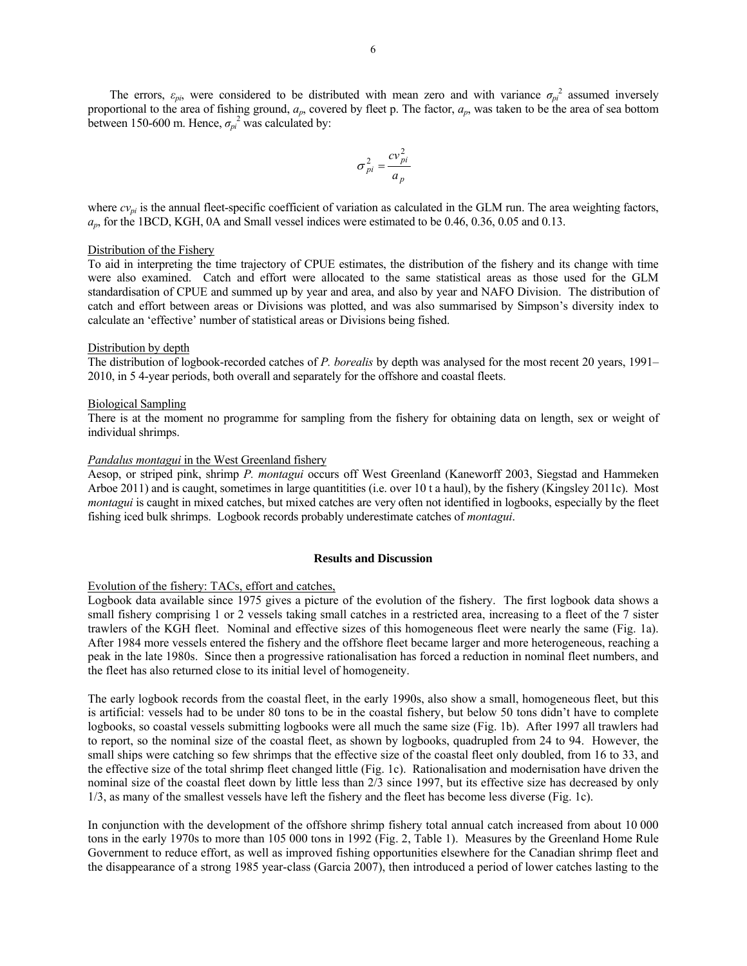The errors,  $\varepsilon_{pi}$ , were considered to be distributed with mean zero and with variance  $\sigma_{pi}^2$  assumed inversely proportional to the area of fishing ground, *ap*, covered by fleet p. The factor, *ap*, was taken to be the area of sea bottom between 150-600 m. Hence,  $\sigma_{pi}^2$  was calculated by:

$$
\sigma_{pi}^2 = \frac{cv_{pi}^2}{a_p}
$$

where  $cv_{pi}$  is the annual fleet-specific coefficient of variation as calculated in the GLM run. The area weighting factors, *ap*, for the 1BCD, KGH, 0A and Small vessel indices were estimated to be 0.46, 0.36, 0.05 and 0.13.

### Distribution of the Fishery

To aid in interpreting the time trajectory of CPUE estimates, the distribution of the fishery and its change with time were also examined. Catch and effort were allocated to the same statistical areas as those used for the GLM standardisation of CPUE and summed up by year and area, and also by year and NAFO Division. The distribution of catch and effort between areas or Divisions was plotted, and was also summarised by Simpson's diversity index to calculate an 'effective' number of statistical areas or Divisions being fished.

### Distribution by depth

The distribution of logbook-recorded catches of *P. borealis* by depth was analysed for the most recent 20 years, 1991– 2010, in 5 4-year periods, both overall and separately for the offshore and coastal fleets.

### Biological Sampling

There is at the moment no programme for sampling from the fishery for obtaining data on length, sex or weight of individual shrimps.

### *Pandalus montagui* in the West Greenland fishery

Aesop, or striped pink, shrimp *P. montagui* occurs off West Greenland (Kaneworff 2003, Siegstad and Hammeken Arboe 2011) and is caught, sometimes in large quantitities (i.e. over 10 t a haul), by the fishery (Kingsley 2011c). Most *montagui* is caught in mixed catches, but mixed catches are very often not identified in logbooks, especially by the fleet fishing iced bulk shrimps. Logbook records probably underestimate catches of *montagui*.

## **Results and Discussion**

## Evolution of the fishery: TACs, effort and catches,

Logbook data available since 1975 gives a picture of the evolution of the fishery. The first logbook data shows a small fishery comprising 1 or 2 vessels taking small catches in a restricted area, increasing to a fleet of the 7 sister trawlers of the KGH fleet. Nominal and effective sizes of this homogeneous fleet were nearly the same (Fig. 1a). After 1984 more vessels entered the fishery and the offshore fleet became larger and more heterogeneous, reaching a peak in the late 1980s. Since then a progressive rationalisation has forced a reduction in nominal fleet numbers, and the fleet has also returned close to its initial level of homogeneity.

The early logbook records from the coastal fleet, in the early 1990s, also show a small, homogeneous fleet, but this is artificial: vessels had to be under 80 tons to be in the coastal fishery, but below 50 tons didn't have to complete logbooks, so coastal vessels submitting logbooks were all much the same size (Fig. 1b). After 1997 all trawlers had to report, so the nominal size of the coastal fleet, as shown by logbooks, quadrupled from 24 to 94. However, the small ships were catching so few shrimps that the effective size of the coastal fleet only doubled, from 16 to 33, and the effective size of the total shrimp fleet changed little (Fig. 1c). Rationalisation and modernisation have driven the nominal size of the coastal fleet down by little less than 2/3 since 1997, but its effective size has decreased by only 1/3, as many of the smallest vessels have left the fishery and the fleet has become less diverse (Fig. 1c).

In conjunction with the development of the offshore shrimp fishery total annual catch increased from about 10 000 tons in the early 1970s to more than 105 000 tons in 1992 (Fig. 2, Table 1). Measures by the Greenland Home Rule Government to reduce effort, as well as improved fishing opportunities elsewhere for the Canadian shrimp fleet and the disappearance of a strong 1985 year-class (Garcia 2007), then introduced a period of lower catches lasting to the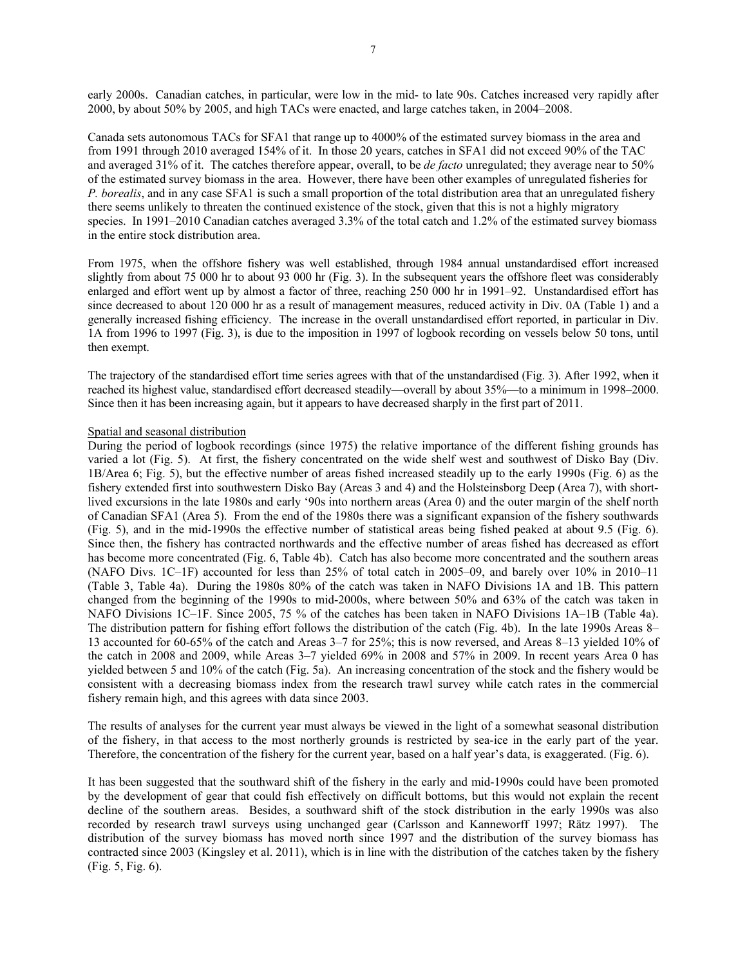early 2000s. Canadian catches, in particular, were low in the mid- to late 90s. Catches increased very rapidly after 2000, by about 50% by 2005, and high TACs were enacted, and large catches taken, in 2004–2008.

Canada sets autonomous TACs for SFA1 that range up to 4000% of the estimated survey biomass in the area and from 1991 through 2010 averaged 154% of it. In those 20 years, catches in SFA1 did not exceed 90% of the TAC and averaged 31% of it. The catches therefore appear, overall, to be *de facto* unregulated; they average near to 50% of the estimated survey biomass in the area. However, there have been other examples of unregulated fisheries for *P. borealis*, and in any case SFA1 is such a small proportion of the total distribution area that an unregulated fishery there seems unlikely to threaten the continued existence of the stock, given that this is not a highly migratory species. In 1991–2010 Canadian catches averaged 3.3% of the total catch and 1.2% of the estimated survey biomass in the entire stock distribution area.

From 1975, when the offshore fishery was well established, through 1984 annual unstandardised effort increased slightly from about 75 000 hr to about 93 000 hr (Fig. 3). In the subsequent years the offshore fleet was considerably enlarged and effort went up by almost a factor of three, reaching 250 000 hr in 1991–92. Unstandardised effort has since decreased to about 120 000 hr as a result of management measures, reduced activity in Div. 0A (Table 1) and a generally increased fishing efficiency. The increase in the overall unstandardised effort reported, in particular in Div. 1A from 1996 to 1997 (Fig. 3), is due to the imposition in 1997 of logbook recording on vessels below 50 tons, until then exempt.

The trajectory of the standardised effort time series agrees with that of the unstandardised (Fig. 3). After 1992, when it reached its highest value, standardised effort decreased steadily—overall by about 35%—to a minimum in 1998–2000. Since then it has been increasing again, but it appears to have decreased sharply in the first part of 2011.

## Spatial and seasonal distribution

During the period of logbook recordings (since 1975) the relative importance of the different fishing grounds has varied a lot (Fig. 5). At first, the fishery concentrated on the wide shelf west and southwest of Disko Bay (Div. 1B/Area 6; Fig. 5), but the effective number of areas fished increased steadily up to the early 1990s (Fig. 6) as the fishery extended first into southwestern Disko Bay (Areas 3 and 4) and the Holsteinsborg Deep (Area 7), with shortlived excursions in the late 1980s and early '90s into northern areas (Area 0) and the outer margin of the shelf north of Canadian SFA1 (Area 5). From the end of the 1980s there was a significant expansion of the fishery southwards (Fig. 5), and in the mid-1990s the effective number of statistical areas being fished peaked at about 9.5 (Fig. 6). Since then, the fishery has contracted northwards and the effective number of areas fished has decreased as effort has become more concentrated (Fig. 6, Table 4b). Catch has also become more concentrated and the southern areas (NAFO Divs. 1C–1F) accounted for less than 25% of total catch in 2005–09, and barely over 10% in 2010–11 (Table 3, Table 4a). During the 1980s 80% of the catch was taken in NAFO Divisions 1A and 1B. This pattern changed from the beginning of the 1990s to mid-2000s, where between 50% and 63% of the catch was taken in NAFO Divisions 1C–1F. Since 2005, 75 % of the catches has been taken in NAFO Divisions 1A–1B (Table 4a). The distribution pattern for fishing effort follows the distribution of the catch (Fig. 4b). In the late 1990s Areas 8– 13 accounted for 60-65% of the catch and Areas 3–7 for 25%; this is now reversed, and Areas 8–13 yielded 10% of the catch in 2008 and 2009, while Areas 3–7 yielded 69% in 2008 and 57% in 2009. In recent years Area 0 has yielded between 5 and 10% of the catch (Fig. 5a). An increasing concentration of the stock and the fishery would be consistent with a decreasing biomass index from the research trawl survey while catch rates in the commercial fishery remain high, and this agrees with data since 2003.

The results of analyses for the current year must always be viewed in the light of a somewhat seasonal distribution of the fishery, in that access to the most northerly grounds is restricted by sea-ice in the early part of the year. Therefore, the concentration of the fishery for the current year, based on a half year's data, is exaggerated. (Fig. 6).

It has been suggested that the southward shift of the fishery in the early and mid-1990s could have been promoted by the development of gear that could fish effectively on difficult bottoms, but this would not explain the recent decline of the southern areas. Besides, a southward shift of the stock distribution in the early 1990s was also recorded by research trawl surveys using unchanged gear (Carlsson and Kanneworff 1997; Rätz 1997). The distribution of the survey biomass has moved north since 1997 and the distribution of the survey biomass has contracted since 2003 (Kingsley et al. 2011), which is in line with the distribution of the catches taken by the fishery (Fig. 5, Fig. 6).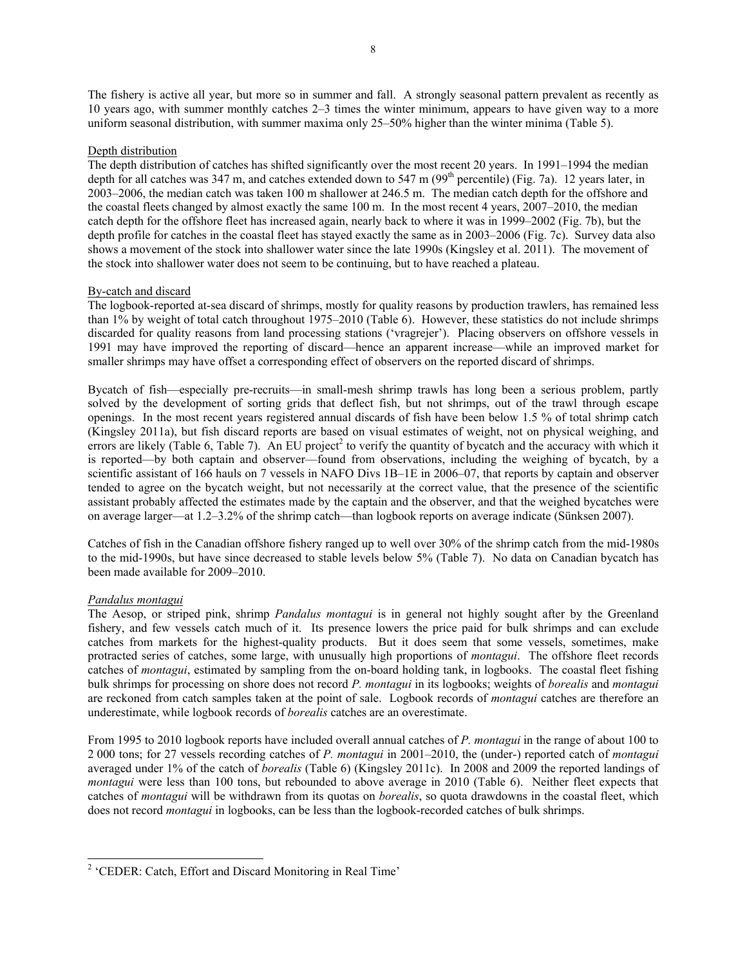The fishery is active all year, but more so in summer and fall. A strongly seasonal pattern prevalent as recently as 10 years ago, with summer monthly catches 2–3 times the winter minimum, appears to have given way to a more uniform seasonal distribution, with summer maxima only 25–50% higher than the winter minima (Table 5).

## Depth distribution

The depth distribution of catches has shifted significantly over the most recent 20 years. In 1991–1994 the median depth for all catches was 347 m, and catches extended down to 547 m (99<sup>th</sup> percentile) (Fig. 7a). 12 years later, in 2003–2006, the median catch was taken 100 m shallower at 246.5 m. The median catch depth for the offshore and the coastal fleets changed by almost exactly the same 100 m. In the most recent 4 years, 2007–2010, the median catch depth for the offshore fleet has increased again, nearly back to where it was in 1999–2002 (Fig. 7b), but the depth profile for catches in the coastal fleet has stayed exactly the same as in 2003–2006 (Fig. 7c). Survey data also shows a movement of the stock into shallower water since the late 1990s (Kingsley et al. 2011). The movement of the stock into shallower water does not seem to be continuing, but to have reached a plateau.

## By-catch and discard

The logbook-reported at-sea discard of shrimps, mostly for quality reasons by production trawlers, has remained less than 1% by weight of total catch throughout 1975–2010 (Table 6). However, these statistics do not include shrimps discarded for quality reasons from land processing stations ('vragrejer'). Placing observers on offshore vessels in 1991 may have improved the reporting of discard—hence an apparent increase—while an improved market for smaller shrimps may have offset a corresponding effect of observers on the reported discard of shrimps.

Bycatch of fish—especially pre-recruits—in small-mesh shrimp trawls has long been a serious problem, partly solved by the development of sorting grids that deflect fish, but not shrimps, out of the trawl through escape openings. In the most recent years registered annual discards of fish have been below 1.5 % of total shrimp catch (Kingsley 2011a), but fish discard reports are based on visual estimates of weight, not on physical weighing, and errors are likely (Table 6, Table 7). An EU project<sup>2</sup> to verify the quantity of bycatch and the accuracy with which it is reported—by both captain and observer—found from observations, including the weighing of bycatch, by a scientific assistant of 166 hauls on 7 vessels in NAFO Divs 1B–1E in 2006–07, that reports by captain and observer tended to agree on the bycatch weight, but not necessarily at the correct value, that the presence of the scientific assistant probably affected the estimates made by the captain and the observer, and that the weighed bycatches were on average larger—at 1.2–3.2% of the shrimp catch—than logbook reports on average indicate (Sünksen 2007).

Catches of fish in the Canadian offshore fishery ranged up to well over 30% of the shrimp catch from the mid-1980s to the mid-1990s, but have since decreased to stable levels below 5% (Table 7). No data on Canadian bycatch has been made available for 2009–2010.

# *Pandalus montagui*

The Aesop, or striped pink, shrimp *Pandalus montagui* is in general not highly sought after by the Greenland fishery, and few vessels catch much of it. Its presence lowers the price paid for bulk shrimps and can exclude catches from markets for the highest-quality products. But it does seem that some vessels, sometimes, make protracted series of catches, some large, with unusually high proportions of *montagui*. The offshore fleet records catches of *montagui*, estimated by sampling from the on-board holding tank, in logbooks. The coastal fleet fishing bulk shrimps for processing on shore does not record *P. montagui* in its logbooks; weights of *borealis* and *montagui* are reckoned from catch samples taken at the point of sale. Logbook records of *montagui* catches are therefore an underestimate, while logbook records of *borealis* catches are an overestimate.

From 1995 to 2010 logbook reports have included overall annual catches of *P. montagui* in the range of about 100 to 2 000 tons; for 27 vessels recording catches of *P. montagui* in 2001–2010, the (under-) reported catch of *montagui* averaged under 1% of the catch of *borealis* (Table 6) (Kingsley 2011c). In 2008 and 2009 the reported landings of *montagui* were less than 100 tons, but rebounded to above average in 2010 (Table 6). Neither fleet expects that catches of *montagui* will be withdrawn from its quotas on *borealis*, so quota drawdowns in the coastal fleet, which does not record *montagui* in logbooks, can be less than the logbook-recorded catches of bulk shrimps.

 $\overline{a}$ <sup>2</sup> 'CEDER: Catch, Effort and Discard Monitoring in Real Time'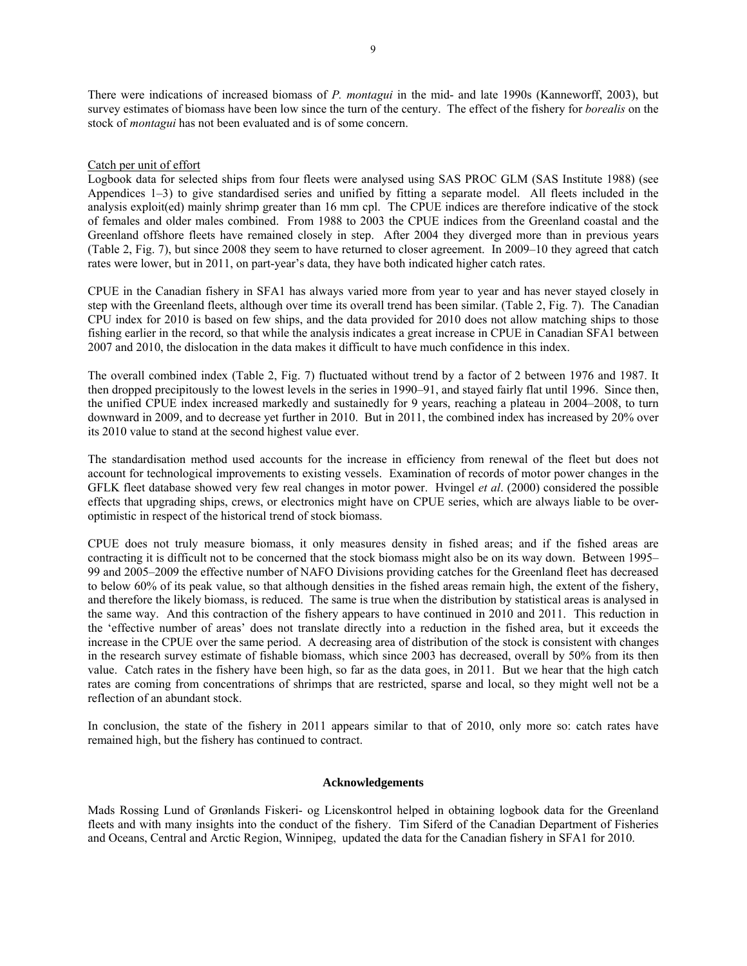There were indications of increased biomass of *P. montagui* in the mid- and late 1990s (Kanneworff, 2003), but survey estimates of biomass have been low since the turn of the century. The effect of the fishery for *borealis* on the stock of *montagui* has not been evaluated and is of some concern.

## Catch per unit of effort

Logbook data for selected ships from four fleets were analysed using SAS PROC GLM (SAS Institute 1988) (see Appendices 1–3) to give standardised series and unified by fitting a separate model. All fleets included in the analysis exploit(ed) mainly shrimp greater than 16 mm cpl. The CPUE indices are therefore indicative of the stock of females and older males combined. From 1988 to 2003 the CPUE indices from the Greenland coastal and the Greenland offshore fleets have remained closely in step. After 2004 they diverged more than in previous years (Table 2, Fig. 7), but since 2008 they seem to have returned to closer agreement. In 2009–10 they agreed that catch rates were lower, but in 2011, on part-year's data, they have both indicated higher catch rates.

CPUE in the Canadian fishery in SFA1 has always varied more from year to year and has never stayed closely in step with the Greenland fleets, although over time its overall trend has been similar. (Table 2, Fig. 7). The Canadian CPU index for 2010 is based on few ships, and the data provided for 2010 does not allow matching ships to those fishing earlier in the record, so that while the analysis indicates a great increase in CPUE in Canadian SFA1 between 2007 and 2010, the dislocation in the data makes it difficult to have much confidence in this index.

The overall combined index (Table 2, Fig. 7) fluctuated without trend by a factor of 2 between 1976 and 1987. It then dropped precipitously to the lowest levels in the series in 1990–91, and stayed fairly flat until 1996. Since then, the unified CPUE index increased markedly and sustainedly for 9 years, reaching a plateau in 2004–2008, to turn downward in 2009, and to decrease yet further in 2010. But in 2011, the combined index has increased by 20% over its 2010 value to stand at the second highest value ever.

The standardisation method used accounts for the increase in efficiency from renewal of the fleet but does not account for technological improvements to existing vessels. Examination of records of motor power changes in the GFLK fleet database showed very few real changes in motor power. Hvingel *et al*. (2000) considered the possible effects that upgrading ships, crews, or electronics might have on CPUE series, which are always liable to be overoptimistic in respect of the historical trend of stock biomass.

CPUE does not truly measure biomass, it only measures density in fished areas; and if the fished areas are contracting it is difficult not to be concerned that the stock biomass might also be on its way down. Between 1995– 99 and 2005–2009 the effective number of NAFO Divisions providing catches for the Greenland fleet has decreased to below 60% of its peak value, so that although densities in the fished areas remain high, the extent of the fishery, and therefore the likely biomass, is reduced. The same is true when the distribution by statistical areas is analysed in the same way. And this contraction of the fishery appears to have continued in 2010 and 2011. This reduction in the 'effective number of areas' does not translate directly into a reduction in the fished area, but it exceeds the increase in the CPUE over the same period. A decreasing area of distribution of the stock is consistent with changes in the research survey estimate of fishable biomass, which since 2003 has decreased, overall by 50% from its then value. Catch rates in the fishery have been high, so far as the data goes, in 2011. But we hear that the high catch rates are coming from concentrations of shrimps that are restricted, sparse and local, so they might well not be a reflection of an abundant stock.

In conclusion, the state of the fishery in 2011 appears similar to that of 2010, only more so: catch rates have remained high, but the fishery has continued to contract.

## **Acknowledgements**

Mads Rossing Lund of Grønlands Fiskeri- og Licenskontrol helped in obtaining logbook data for the Greenland fleets and with many insights into the conduct of the fishery. Tim Siferd of the Canadian Department of Fisheries and Oceans, Central and Arctic Region, Winnipeg, updated the data for the Canadian fishery in SFA1 for 2010.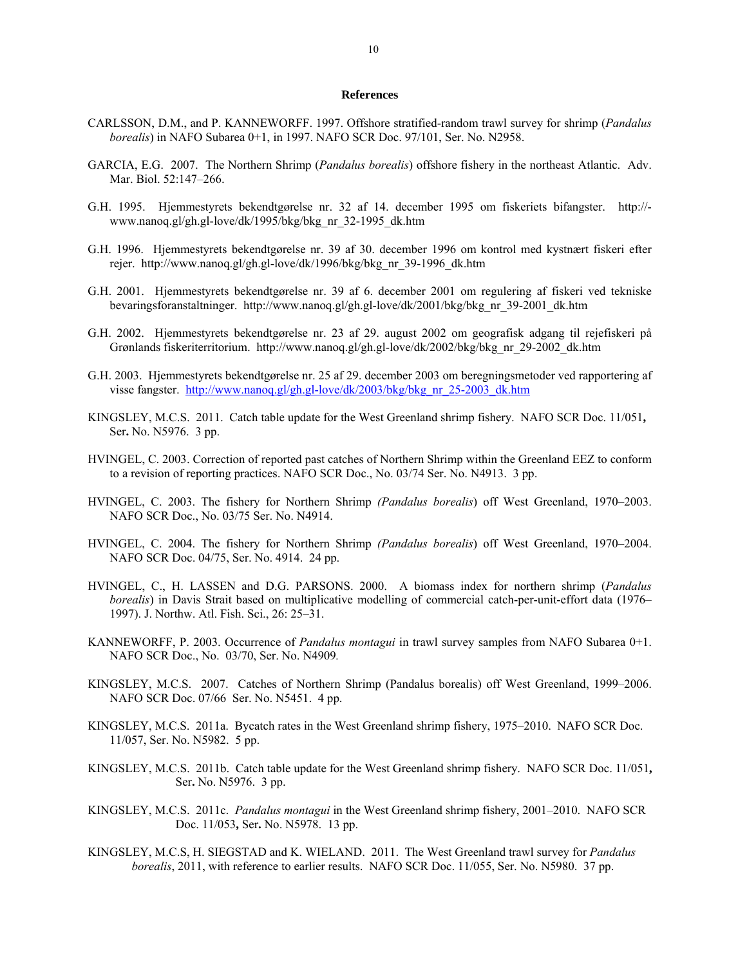### **References**

- CARLSSON, D.M., and P. KANNEWORFF. 1997. Offshore stratified-random trawl survey for shrimp (*Pandalus borealis*) in NAFO Subarea 0+1, in 1997. NAFO SCR Doc. 97/101, Ser. No. N2958.
- GARCIA, E.G. 2007. The Northern Shrimp (*Pandalus borealis*) offshore fishery in the northeast Atlantic. Adv. Mar. Biol. 52:147–266.
- G.H. 1995. Hjemmestyrets bekendtgørelse nr. 32 af 14. december 1995 om fiskeriets bifangster. http:// www.nanoq.gl/gh.gl-love/dk/1995/bkg/bkg\_nr\_32-1995\_dk.htm
- G.H. 1996. Hjemmestyrets bekendtgørelse nr. 39 af 30. december 1996 om kontrol med kystnært fiskeri efter rejer. http://www.nanoq.gl/gh.gl-love/dk/1996/bkg/bkg\_nr\_39-1996\_dk.htm
- G.H. 2001. Hjemmestyrets bekendtgørelse nr. 39 af 6. december 2001 om regulering af fiskeri ved tekniske bevaringsforanstaltninger. http://www.nanoq.gl/gh.gl-love/dk/2001/bkg/bkg\_nr\_39-2001\_dk.htm
- G.H. 2002. Hjemmestyrets bekendtgørelse nr. 23 af 29. august 2002 om geografisk adgang til rejefiskeri på Grønlands fiskeriterritorium. http://www.nanoq.gl/gh.gl-love/dk/2002/bkg/bkg\_nr\_29-2002\_dk.htm
- G.H. 2003. Hjemmestyrets bekendtgørelse nr. 25 af 29. december 2003 om beregningsmetoder ved rapportering af visse fangster. http://www.nanoq.gl/gh.gl-love/dk/2003/bkg/bkg\_nr\_25-2003\_dk.htm
- KINGSLEY, M.C.S. 2011. Catch table update for the West Greenland shrimp fishery. NAFO SCR Doc. 11/051**,**  Ser**.** No. N5976. 3 pp.
- HVINGEL, C. 2003. Correction of reported past catches of Northern Shrimp within the Greenland EEZ to conform to a revision of reporting practices. NAFO SCR Doc., No. 03/74 Ser. No. N4913. 3 pp.
- HVINGEL, C. 2003. The fishery for Northern Shrimp *(Pandalus borealis*) off West Greenland, 1970–2003. NAFO SCR Doc., No. 03/75 Ser. No. N4914.
- HVINGEL, C. 2004. The fishery for Northern Shrimp *(Pandalus borealis*) off West Greenland, 1970–2004. NAFO SCR Doc. 04/75, Ser. No. 4914. 24 pp.
- HVINGEL, C., H. LASSEN and D.G. PARSONS. 2000. A biomass index for northern shrimp (*Pandalus borealis*) in Davis Strait based on multiplicative modelling of commercial catch-per-unit-effort data (1976– 1997). J. Northw. Atl. Fish. Sci., 26: 25–31.
- KANNEWORFF, P. 2003. Occurrence of *Pandalus montagui* in trawl survey samples from NAFO Subarea 0+1. NAFO SCR Doc., No. 03/70, Ser. No. N4909*.*
- KINGSLEY, M.C.S. 2007. Catches of Northern Shrimp (Pandalus borealis) off West Greenland, 1999–2006. NAFO SCR Doc. 07/66 Ser. No. N5451. 4 pp.
- KINGSLEY, M.C.S. 2011a. Bycatch rates in the West Greenland shrimp fishery, 1975–2010. NAFO SCR Doc. 11/057, Ser. No. N5982. 5 pp.
- KINGSLEY, M.C.S. 2011b. Catch table update for the West Greenland shrimp fishery. NAFO SCR Doc. 11/051**,**  Ser**.** No. N5976. 3 pp.
- KINGSLEY, M.C.S. 2011c. *Pandalus montagui* in the West Greenland shrimp fishery, 2001–2010. NAFO SCR Doc. 11/053**,** Ser**.** No. N5978. 13 pp.
- KINGSLEY, M.C.S, H. SIEGSTAD and K. WIELAND. 2011. The West Greenland trawl survey for *Pandalus borealis*, 2011, with reference to earlier results. NAFO SCR Doc. 11/055, Ser. No. N5980. 37 pp.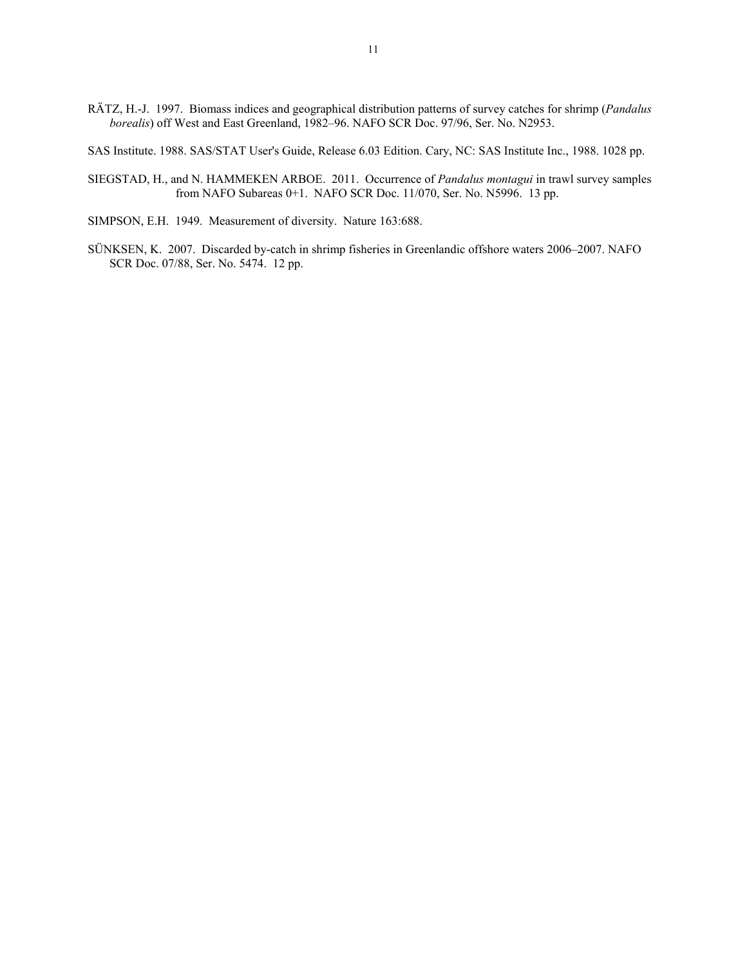RÄTZ, H.-J. 1997. Biomass indices and geographical distribution patterns of survey catches for shrimp (*Pandalus borealis*) off West and East Greenland, 1982–96. NAFO SCR Doc. 97/96, Ser. No. N2953.

SAS Institute. 1988. SAS/STAT User's Guide, Release 6.03 Edition. Cary, NC: SAS Institute Inc., 1988. 1028 pp.

- SIEGSTAD, H., and N. HAMMEKEN ARBOE. 2011. Occurrence of *Pandalus montagui* in trawl survey samples from NAFO Subareas 0+1. NAFO SCR Doc. 11/070, Ser. No. N5996. 13 pp.
- SIMPSON, E.H. 1949. Measurement of diversity. Nature 163:688.
- SÜNKSEN, K. 2007. Discarded by-catch in shrimp fisheries in Greenlandic offshore waters 2006–2007. NAFO SCR Doc. 07/88, Ser. No. 5474. 12 pp.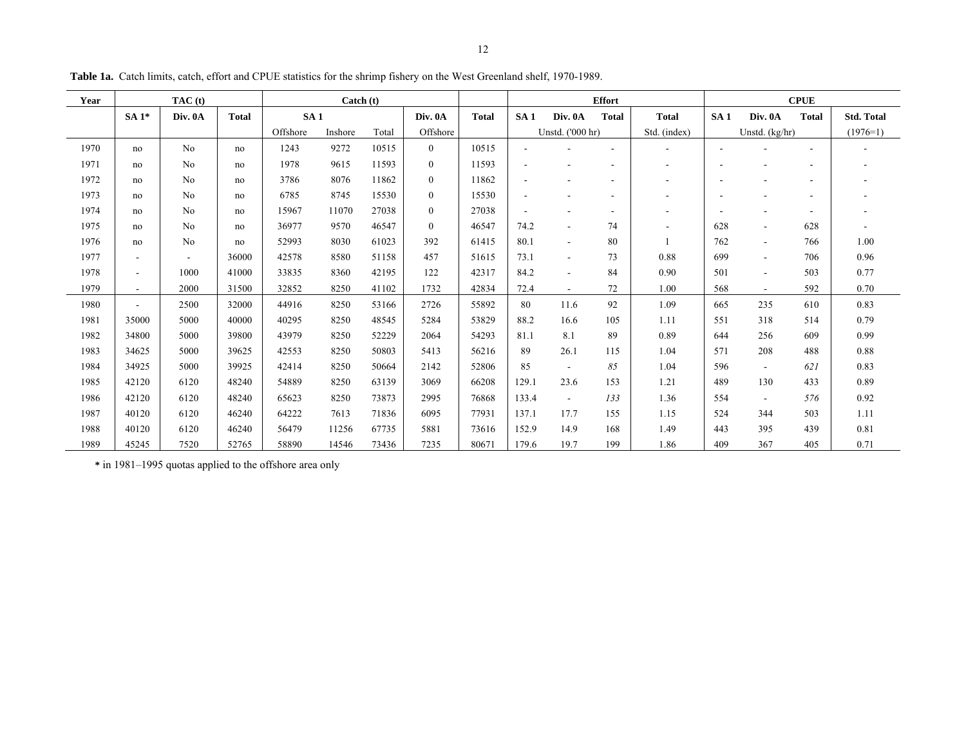| Year | TAC(t)                   |                |              | $\text{Catch}(\text{t})$ |         |       |                | <b>Effort</b> |                          |                          |              | <b>CPUE</b>  |                 |                          |              |                   |
|------|--------------------------|----------------|--------------|--------------------------|---------|-------|----------------|---------------|--------------------------|--------------------------|--------------|--------------|-----------------|--------------------------|--------------|-------------------|
|      | $SA1*$                   | Div. 0A        | <b>Total</b> | SA <sub>1</sub>          |         |       | Div. 0A        | <b>Total</b>  | SA1                      | Div. 0A                  | <b>Total</b> | <b>Total</b> | SA <sub>1</sub> | Div. 0A                  | <b>Total</b> | <b>Std. Total</b> |
|      |                          |                |              | Offshore                 | Inshore | Total | Offshore       |               |                          | Unstd. ('000 hr)         |              | Std. (index) |                 | Unstd. $(kg/hr)$         |              | $(1976=1)$        |
| 1970 | no                       | No             | no           | 1243                     | 9272    | 10515 | $\overline{0}$ | 10515         |                          |                          |              |              |                 |                          |              |                   |
| 1971 | no                       | No             | no           | 1978                     | 9615    | 11593 | $\mathbf{0}$   | 11593         | ٠                        |                          |              |              |                 |                          |              |                   |
| 1972 | no                       | No             | no           | 3786                     | 8076    | 11862 | $\mathbf{0}$   | 11862         | $\overline{\phantom{a}}$ |                          | ۰            |              |                 |                          |              |                   |
| 1973 | no                       | No             | no           | 6785                     | 8745    | 15530 | $\mathbf{0}$   | 15530         |                          |                          |              |              |                 |                          |              |                   |
| 1974 | no                       | N <sub>0</sub> | no           | 15967                    | 11070   | 27038 | $\theta$       | 27038         | $\overline{\phantom{a}}$ |                          | ۰            |              |                 |                          |              |                   |
| 1975 | no                       | No             | no           | 36977                    | 9570    | 46547 | $\mathbf{0}$   | 46547         | 74.2                     | $\overline{\phantom{a}}$ | 74           |              | 628             | $\overline{\phantom{a}}$ | 628          |                   |
| 1976 | no                       | No             | no           | 52993                    | 8030    | 61023 | 392            | 61415         | 80.1                     | $\sim$                   | 80           |              | 762             | $\overline{\phantom{a}}$ | 766          | 1.00              |
| 1977 | $\overline{\phantom{a}}$ |                | 36000        | 42578                    | 8580    | 51158 | 457            | 51615         | 73.1                     | $\blacksquare$           | 73           | 0.88         | 699             | $\overline{\phantom{a}}$ | 706          | 0.96              |
| 1978 | $\overline{\phantom{a}}$ | 1000           | 41000        | 33835                    | 8360    | 42195 | 122            | 42317         | 84.2                     | $\overline{\phantom{a}}$ | 84           | 0.90         | 501             | $\overline{\phantom{a}}$ | 503          | 0.77              |
| 1979 | $\overline{\phantom{a}}$ | 2000           | 31500        | 32852                    | 8250    | 41102 | 1732           | 42834         | 72.4                     | $\sim$                   | 72           | 1.00         | 568             | $\blacksquare$           | 592          | 0.70              |
| 1980 | $\blacksquare$           | 2500           | 32000        | 44916                    | 8250    | 53166 | 2726           | 55892         | 80                       | 11.6                     | 92           | 1.09         | 665             | 235                      | 610          | 0.83              |
| 1981 | 35000                    | 5000           | 40000        | 40295                    | 8250    | 48545 | 5284           | 53829         | 88.2                     | 16.6                     | 105          | 1.11         | 551             | 318                      | 514          | 0.79              |
| 1982 | 34800                    | 5000           | 39800        | 43979                    | 8250    | 52229 | 2064           | 54293         | 81.1                     | 8.1                      | 89           | 0.89         | 644             | 256                      | 609          | 0.99              |
| 1983 | 34625                    | 5000           | 39625        | 42553                    | 8250    | 50803 | 5413           | 56216         | 89                       | 26.1                     | 115          | 1.04         | 571             | 208                      | 488          | 0.88              |
| 1984 | 34925                    | 5000           | 39925        | 42414                    | 8250    | 50664 | 2142           | 52806         | 85                       | $\blacksquare$           | 85           | 1.04         | 596             | $\overline{\phantom{a}}$ | 621          | 0.83              |
| 1985 | 42120                    | 6120           | 48240        | 54889                    | 8250    | 63139 | 3069           | 66208         | 129.1                    | 23.6                     | 153          | 1.21         | 489             | 130                      | 433          | 0.89              |
| 1986 | 42120                    | 6120           | 48240        | 65623                    | 8250    | 73873 | 2995           | 76868         | 133.4                    | $\blacksquare$           | 133          | 1.36         | 554             | $\overline{\phantom{a}}$ | 576          | 0.92              |
| 1987 | 40120                    | 6120           | 46240        | 64222                    | 7613    | 71836 | 6095           | 77931         | 137.1                    | 17.7                     | 155          | 1.15         | 524             | 344                      | 503          | 1.11              |
| 1988 | 40120                    | 6120           | 46240        | 56479                    | 11256   | 67735 | 5881           | 73616         | 152.9                    | 14.9                     | 168          | 1.49         | 443             | 395                      | 439          | 0.81              |
| 1989 | 45245                    | 7520           | 52765        | 58890                    | 14546   | 73436 | 7235           | 80671         | 179.6                    | 19.7                     | 199          | 1.86         | 409             | 367                      | 405          | 0.71              |

**Table 1a.** Catch limits, catch, effort and CPUE statistics for the shrimp fishery on the West Greenland shelf, 1970-1989.

**\*** in 1981–1995 quotas applied to the offshore area only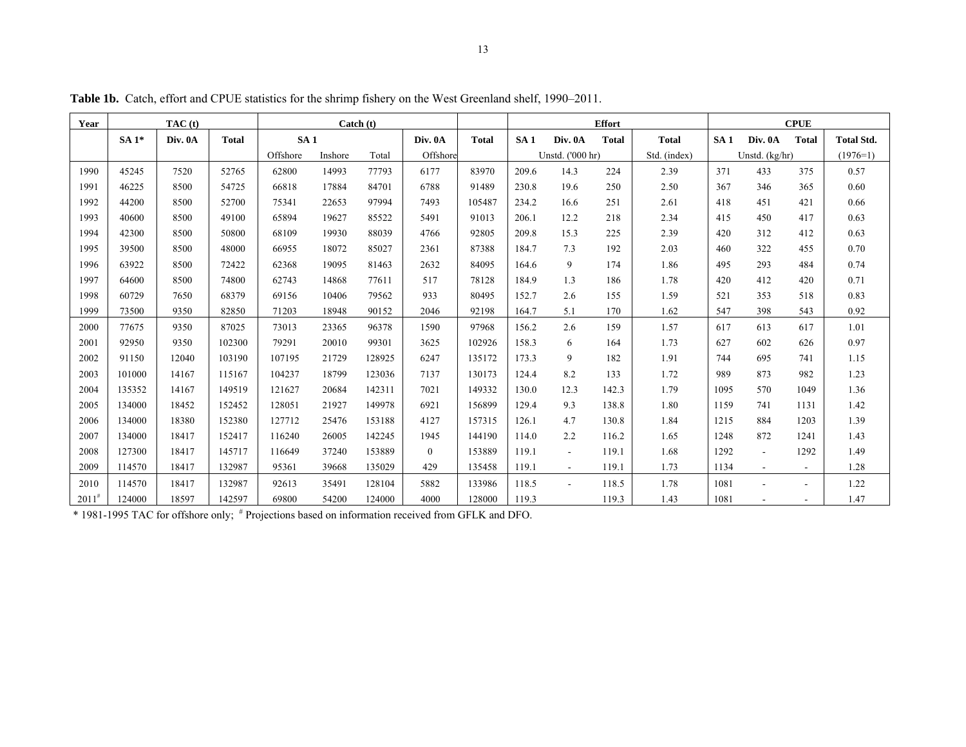| Year       |        | TAC(t)  | Catch (t)    |          |         |        |                |              | <b>Effort</b>   |                  | <b>CPUE</b>  |              |      |                |                |                   |
|------------|--------|---------|--------------|----------|---------|--------|----------------|--------------|-----------------|------------------|--------------|--------------|------|----------------|----------------|-------------------|
|            | $SA1*$ | Div. 0A | <b>Total</b> | SA1      |         |        | Div. 0A        | <b>Total</b> | SA <sub>1</sub> | Div. 0A          | <b>Total</b> | <b>Total</b> | SA1  | Div. 0A        | <b>Total</b>   | <b>Total Std.</b> |
|            |        |         |              | Offshore | Inshore | Total  | Offshore       |              |                 | Unstd. ('000 hr) |              | Std. (index) |      | Unstd. (kg/hr) |                | $(1976=1)$        |
| 1990       | 45245  | 7520    | 52765        | 62800    | 14993   | 77793  | 6177           | 83970        | 209.6           | 14.3             | 224          | 2.39         | 371  | 433            | 375            | 0.57              |
| 1991       | 46225  | 8500    | 54725        | 66818    | 17884   | 84701  | 6788           | 91489        | 230.8           | 19.6             | 250          | 2.50         | 367  | 346            | 365            | 0.60              |
| 1992       | 44200  | 8500    | 52700        | 75341    | 22653   | 97994  | 7493           | 105487       | 234.2           | 16.6             | 251          | 2.61         | 418  | 451            | 421            | 0.66              |
| 1993       | 40600  | 8500    | 49100        | 65894    | 19627   | 85522  | 5491           | 91013        | 206.1           | 12.2             | 218          | 2.34         | 415  | 450            | 417            | 0.63              |
| 1994       | 42300  | 8500    | 50800        | 68109    | 19930   | 88039  | 4766           | 92805        | 209.8           | 15.3             | 225          | 2.39         | 420  | 312            | 412            | 0.63              |
| 1995       | 39500  | 8500    | 48000        | 66955    | 18072   | 85027  | 2361           | 87388        | 184.7           | 7.3              | 192          | 2.03         | 460  | 322            | 455            | 0.70              |
| 1996       | 63922  | 8500    | 72422        | 62368    | 19095   | 81463  | 2632           | 84095        | 164.6           | 9                | 174          | 1.86         | 495  | 293            | 484            | 0.74              |
| 1997       | 64600  | 8500    | 74800        | 62743    | 14868   | 77611  | 517            | 78128        | 184.9           | 1.3              | 186          | 1.78         | 420  | 412            | 420            | 0.71              |
| 1998       | 60729  | 7650    | 68379        | 69156    | 10406   | 79562  | 933            | 80495        | 152.7           | 2.6              | 155          | 1.59         | 521  | 353            | 518            | 0.83              |
| 1999       | 73500  | 9350    | 82850        | 71203    | 18948   | 90152  | 2046           | 92198        | 164.7           | 5.1              | 170          | 1.62         | 547  | 398            | 543            | 0.92              |
| 2000       | 77675  | 9350    | 87025        | 73013    | 23365   | 96378  | 1590           | 97968        | 156.2           | 2.6              | 159          | 1.57         | 617  | 613            | 617            | 1.01              |
| 2001       | 92950  | 9350    | 102300       | 79291    | 20010   | 99301  | 3625           | 102926       | 158.3           | 6                | 164          | 1.73         | 627  | 602            | 626            | 0.97              |
| 2002       | 91150  | 12040   | 103190       | 107195   | 21729   | 128925 | 6247           | 135172       | 173.3           | 9                | 182          | 1.91         | 744  | 695            | 741            | 1.15              |
| 2003       | 101000 | 14167   | 115167       | 104237   | 18799   | 123036 | 7137           | 130173       | 124.4           | 8.2              | 133          | 1.72         | 989  | 873            | 982            | 1.23              |
| 2004       | 135352 | 14167   | 149519       | 121627   | 20684   | 142311 | 7021           | 149332       | 130.0           | 12.3             | 142.3        | 1.79         | 1095 | 570            | 1049           | 1.36              |
| 2005       | 134000 | 18452   | 152452       | 128051   | 21927   | 149978 | 6921           | 156899       | 129.4           | 9.3              | 138.8        | 1.80         | 1159 | 741            | 1131           | 1.42              |
| 2006       | 134000 | 18380   | 152380       | 127712   | 25476   | 153188 | 4127           | 157315       | 126.1           | 4.7              | 130.8        | 1.84         | 1215 | 884            | 1203           | 1.39              |
| 2007       | 134000 | 18417   | 152417       | 116240   | 26005   | 142245 | 1945           | 144190       | 114.0           | 2.2              | 116.2        | 1.65         | 1248 | 872            | 1241           | 1.43              |
| 2008       | 127300 | 18417   | 145717       | 116649   | 37240   | 153889 | $\overline{0}$ | 153889       | 119.1           | $\sim$           | 119.1        | 1.68         | 1292 | $\blacksquare$ | 1292           | 1.49              |
| 2009       | 114570 | 18417   | 132987       | 95361    | 39668   | 135029 | 429            | 135458       | 119.1           | $\sim$           | 119.1        | 1.73         | 1134 | $\sim$         | $\sim$         | 1.28              |
| 2010       | 114570 | 18417   | 132987       | 92613    | 35491   | 128104 | 5882           | 133986       | 118.5           | $\sim$           | 118.5        | 1.78         | 1081 | $\overline{a}$ | $\blacksquare$ | 1.22              |
| $2011^{#}$ | 124000 | 18597   | 142597       | 69800    | 54200   | 124000 | 4000           | 128000       | 119.3           |                  | 119.3        | 1.43         | 1081 | $\blacksquare$ | $\sim$         | 1.47              |

**Table 1b.** Catch, effort and CPUE statistics for the shrimp fishery on the West Greenland shelf, 1990–2011.

\* 1981-1995 TAC for offshore only; # Projections based on information received from GFLK and DFO.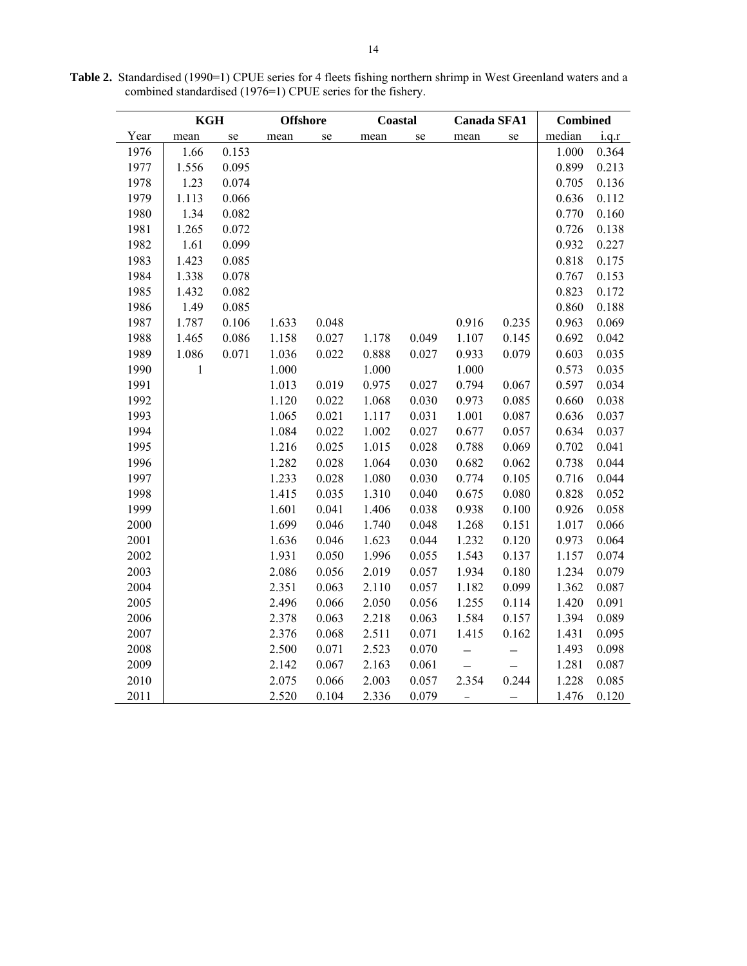|      | <b>KGH</b>   |       | <b>Offshore</b> |       | Coastal |       | <b>Canada SFA1</b> |           | <b>Combined</b> |       |
|------|--------------|-------|-----------------|-------|---------|-------|--------------------|-----------|-----------------|-------|
| Year | mean         | se    | mean            | se    | mean    | se    | mean               | se        | median          | i.q.r |
| 1976 | 1.66         | 0.153 |                 |       |         |       |                    |           | 1.000           | 0.364 |
| 1977 | 1.556        | 0.095 |                 |       |         |       |                    |           | 0.899           | 0.213 |
| 1978 | 1.23         | 0.074 |                 |       |         |       |                    |           | 0.705           | 0.136 |
| 1979 | 1.113        | 0.066 |                 |       |         |       |                    |           | 0.636           | 0.112 |
| 1980 | 1.34         | 0.082 |                 |       |         |       |                    |           | 0.770           | 0.160 |
| 1981 | 1.265        | 0.072 |                 |       |         |       |                    |           | 0.726           | 0.138 |
| 1982 | 1.61         | 0.099 |                 |       |         |       |                    |           | 0.932           | 0.227 |
| 1983 | 1.423        | 0.085 |                 |       |         |       |                    |           | 0.818           | 0.175 |
| 1984 | 1.338        | 0.078 |                 |       |         |       |                    |           | 0.767           | 0.153 |
| 1985 | 1.432        | 0.082 |                 |       |         |       |                    |           | 0.823           | 0.172 |
| 1986 | 1.49         | 0.085 |                 |       |         |       |                    |           | 0.860           | 0.188 |
| 1987 | 1.787        | 0.106 | 1.633           | 0.048 |         |       | 0.916              | 0.235     | 0.963           | 0.069 |
| 1988 | 1.465        | 0.086 | 1.158           | 0.027 | 1.178   | 0.049 | 1.107              | 0.145     | 0.692           | 0.042 |
| 1989 | 1.086        | 0.071 | 1.036           | 0.022 | 0.888   | 0.027 | 0.933              | 0.079     | 0.603           | 0.035 |
| 1990 | $\mathbf{1}$ |       | 1.000           |       | 1.000   |       | 1.000              |           | 0.573           | 0.035 |
| 1991 |              |       | 1.013           | 0.019 | 0.975   | 0.027 | 0.794              | 0.067     | 0.597           | 0.034 |
| 1992 |              |       | 1.120           | 0.022 | 1.068   | 0.030 | 0.973              | 0.085     | 0.660           | 0.038 |
| 1993 |              |       | 1.065           | 0.021 | 1.117   | 0.031 | 1.001              | 0.087     | 0.636           | 0.037 |
| 1994 |              |       | 1.084           | 0.022 | 1.002   | 0.027 | 0.677              | 0.057     | 0.634           | 0.037 |
| 1995 |              |       | 1.216           | 0.025 | 1.015   | 0.028 | 0.788              | 0.069     | 0.702           | 0.041 |
| 1996 |              |       | 1.282           | 0.028 | 1.064   | 0.030 | 0.682              | 0.062     | 0.738           | 0.044 |
| 1997 |              |       | 1.233           | 0.028 | 1.080   | 0.030 | 0.774              | 0.105     | 0.716           | 0.044 |
| 1998 |              |       | 1.415           | 0.035 | 1.310   | 0.040 | 0.675              | 0.080     | 0.828           | 0.052 |
| 1999 |              |       | 1.601           | 0.041 | 1.406   | 0.038 | 0.938              | 0.100     | 0.926           | 0.058 |
| 2000 |              |       | 1.699           | 0.046 | 1.740   | 0.048 | 1.268              | 0.151     | 1.017           | 0.066 |
| 2001 |              |       | 1.636           | 0.046 | 1.623   | 0.044 | 1.232              | 0.120     | 0.973           | 0.064 |
| 2002 |              |       | 1.931           | 0.050 | 1.996   | 0.055 | 1.543              | 0.137     | 1.157           | 0.074 |
| 2003 |              |       | 2.086           | 0.056 | 2.019   | 0.057 | 1.934              | $0.180\,$ | 1.234           | 0.079 |
| 2004 |              |       | 2.351           | 0.063 | 2.110   | 0.057 | 1.182              | 0.099     | 1.362           | 0.087 |
| 2005 |              |       | 2.496           | 0.066 | 2.050   | 0.056 | 1.255              | 0.114     | 1.420           | 0.091 |
| 2006 |              |       | 2.378           | 0.063 | 2.218   | 0.063 | 1.584              | 0.157     | 1.394           | 0.089 |
| 2007 |              |       | 2.376           | 0.068 | 2.511   | 0.071 | 1.415              | 0.162     | 1.431           | 0.095 |
| 2008 |              |       | 2.500           | 0.071 | 2.523   | 0.070 |                    |           | 1.493           | 0.098 |
| 2009 |              |       | 2.142           | 0.067 | 2.163   | 0.061 |                    |           | 1.281           | 0.087 |
| 2010 |              |       | 2.075           | 0.066 | 2.003   | 0.057 | 2.354              | 0.244     | 1.228           | 0.085 |
| 2011 |              |       | 2.520           | 0.104 | 2.336   | 0.079 |                    |           | 1.476           | 0.120 |

**Table 2.** Standardised (1990=1) CPUE series for 4 fleets fishing northern shrimp in West Greenland waters and a combined standardised (1976=1) CPUE series for the fishery.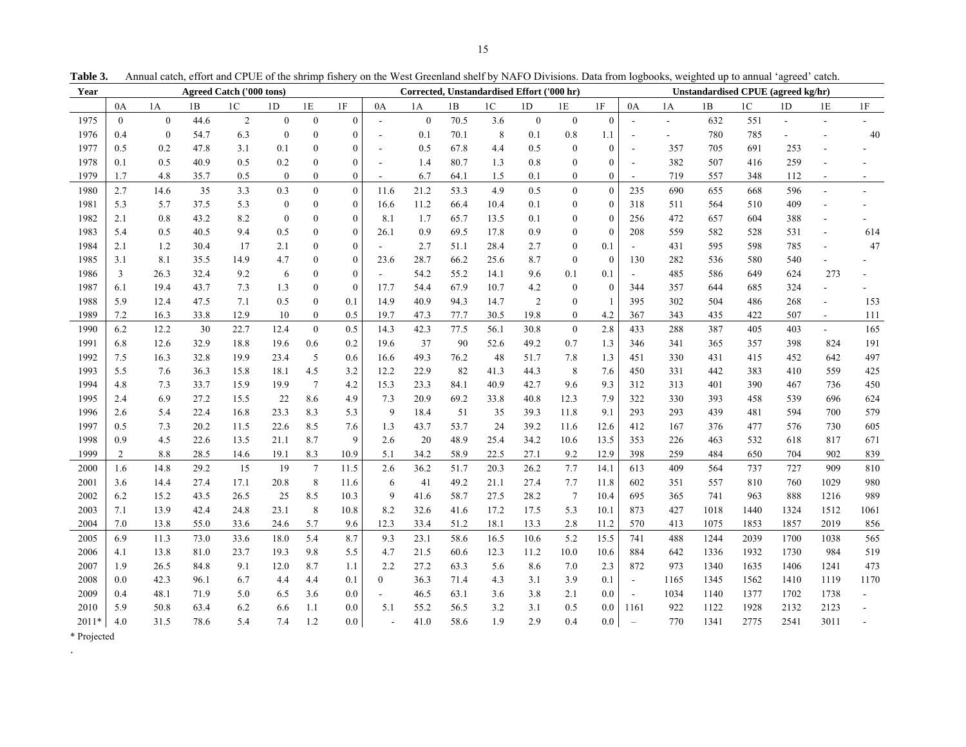| Year        |                  |                  |      | <b>Agreed Catch ('000 tons)</b> |                  |                  | Corrected, Unstandardised Effort ('000 hr) |                          |                  |      | Unstandardised CPUE (agreed kg/hr) |                  |                  |                  |                             |                          |      |                |      |                          |      |
|-------------|------------------|------------------|------|---------------------------------|------------------|------------------|--------------------------------------------|--------------------------|------------------|------|------------------------------------|------------------|------------------|------------------|-----------------------------|--------------------------|------|----------------|------|--------------------------|------|
|             | 0A               | 1A               | 1B   | 1 <sup>C</sup>                  | 1 <sub>D</sub>   | 1E               | $1\mathrm{F}$                              | 0A                       | 1A               | 1B   | 1 <sup>C</sup>                     | 1 <sub>D</sub>   | 1E               | 1F               | 0A                          | 1A                       | 1B   | 1 <sup>C</sup> | 1D   | 1E                       | 1F   |
| 1975        | $\boldsymbol{0}$ | $\boldsymbol{0}$ | 44.6 | $\sqrt{2}$                      | $\boldsymbol{0}$ | $\boldsymbol{0}$ | $\mathbf{0}$                               | ÷,                       | $\boldsymbol{0}$ | 70.5 | 3.6                                | $\boldsymbol{0}$ | $\boldsymbol{0}$ | $\boldsymbol{0}$ |                             | $\overline{\phantom{0}}$ | 632  | 551            |      | $\overline{a}$           |      |
| 1976        | 0.4              | $\boldsymbol{0}$ | 54.7 | 6.3                             | $\mathbf{0}$     | $\boldsymbol{0}$ | $\mathbf{0}$                               | $\blacksquare$           | 0.1              | 70.1 | 8                                  | 0.1              | $0.8\,$          | 1.1              | $\sim$                      | $\overline{a}$           | 780  | 785            |      |                          | 40   |
| 1977        | 0.5              | 0.2              | 47.8 | 3.1                             | 0.1              | $\overline{0}$   | $\mathbf{0}$                               | $\overline{\phantom{a}}$ | 0.5              | 67.8 | 4.4                                | 0.5              | $\boldsymbol{0}$ | $\mathbf{0}$     | $\blacksquare$              | 357                      | 705  | 691            | 253  |                          |      |
| 1978        | 0.1              | 0.5              | 40.9 | 0.5                             | $0.2\,$          | $\boldsymbol{0}$ | $\theta$                                   | $\overline{\phantom{a}}$ | 1.4              | 80.7 | 1.3                                | 0.8              | $\boldsymbol{0}$ | $\boldsymbol{0}$ | $\blacksquare$              | 382                      | 507  | 416            | 259  |                          |      |
| 1979        | 1.7              | 4.8              | 35.7 | 0.5                             | $\boldsymbol{0}$ | $\boldsymbol{0}$ | $\boldsymbol{0}$                           | $\mathbf{r}$             | 6.7              | 64.1 | 1.5                                | 0.1              | $\boldsymbol{0}$ | $\overline{0}$   | $\sim$                      | 719                      | 557  | 348            | 112  | $\overline{\phantom{a}}$ |      |
| 1980        | 2.7              | 14.6             | 35   | 3.3                             | 0.3              | $\boldsymbol{0}$ | $\theta$                                   | 11.6                     | 21.2             | 53.3 | 4.9                                | 0.5              | $\mathbf{0}$     | $\overline{0}$   | 235                         | 690                      | 655  | 668            | 596  | ÷,                       |      |
| 1981        | 5.3              | 5.7              | 37.5 | 5.3                             | $\boldsymbol{0}$ | $\boldsymbol{0}$ | $\mathbf{0}$                               | 16.6                     | 11.2             | 66.4 | 10.4                               | 0.1              | $\boldsymbol{0}$ | $\mathbf{0}$     | 318                         | 511                      | 564  | 510            | 409  |                          |      |
| 1982        | 2.1              | 0.8              | 43.2 | 8.2                             | $\mathbf{0}$     | $\mathbf{0}$     | $\mathbf{0}$                               | 8.1                      | 1.7              | 65.7 | 13.5                               | 0.1              | $\bf{0}$         | $\mathbf{0}$     | 256                         | 472                      | 657  | 604            | 388  | $\overline{a}$           |      |
| 1983        | 5.4              | 0.5              | 40.5 | 9.4                             | 0.5              | $\boldsymbol{0}$ | $\mathbf{0}$                               | 26.1                     | 0.9              | 69.5 | 17.8                               | 0.9              | $\boldsymbol{0}$ | $\mathbf{0}$     | 208                         | 559                      | 582  | 528            | 531  | ÷,                       | 614  |
| 1984        | 2.1              | 1.2              | 30.4 | 17                              | 2.1              | $\boldsymbol{0}$ | $\boldsymbol{0}$                           |                          | 2.7              | 51.1 | 28.4                               | 2.7              | $\boldsymbol{0}$ | 0.1              |                             | 431                      | 595  | 598            | 785  | $\overline{a}$           | 47   |
| 1985        | 3.1              | 8.1              | 35.5 | 14.9                            | 4.7              | $\boldsymbol{0}$ | $\theta$                                   | 23.6                     | 28.7             | 66.2 | 25.6                               | 8.7              | $\mathbf{0}$     | $\mathbf{0}$     | 130                         | 282                      | 536  | 580            | 540  | $\overline{a}$           |      |
| 1986        | 3                | 26.3             | 32.4 | 9.2                             | 6                | $\boldsymbol{0}$ | $\Omega$                                   |                          | 54.2             | 55.2 | 14.1                               | 9.6              | 0.1              | 0.1              |                             | 485                      | 586  | 649            | 624  | 273                      |      |
| 1987        | 6.1              | 19.4             | 43.7 | 7.3                             | 1.3              | $\boldsymbol{0}$ | $\mathbf{0}$                               | 17.7                     | 54.4             | 67.9 | 10.7                               | 4.2              | $\boldsymbol{0}$ | $\bf{0}$         | 344                         | 357                      | 644  | 685            | 324  |                          |      |
| 1988        | 5.9              | 12.4             | 47.5 | 7.1                             | 0.5              | $\mathbf{0}$     | 0.1                                        | 14.9                     | 40.9             | 94.3 | 14.7                               | $\overline{c}$   | $\boldsymbol{0}$ | $\overline{1}$   | 395                         | 302                      | 504  | 486            | 268  | $\overline{a}$           | 153  |
| 1989        | 7.2              | 16.3             | 33.8 | 12.9                            | 10               | $\boldsymbol{0}$ | 0.5                                        | 19.7                     | 47.3             | 77.7 | 30.5                               | 19.8             | $\bf{0}$         | 4.2              | 367                         | 343                      | 435  | 422            | 507  | $\blacksquare$           | 111  |
| 1990        | 6.2              | 12.2             | 30   | 22.7                            | 12.4             | $\boldsymbol{0}$ | 0.5                                        | 14.3                     | 42.3             | 77.5 | 56.1                               | 30.8             | $\boldsymbol{0}$ | 2.8              | 433                         | 288                      | 387  | 405            | 403  | $\overline{a}$           | 165  |
| 1991        | 6.8              | 12.6             | 32.9 | 18.8                            | 19.6             | 0.6              | 0.2                                        | 19.6                     | 37               | 90   | 52.6                               | 49.2             | 0.7              | 1.3              | 346                         | 341                      | 365  | 357            | 398  | 824                      | 191  |
| 1992        | 7.5              | 16.3             | 32.8 | 19.9                            | 23.4             | 5                | 0.6                                        | 16.6                     | 49.3             | 76.2 | 48                                 | 51.7             | 7.8              | 1.3              | 451                         | 330                      | 431  | 415            | 452  | 642                      | 497  |
| 1993        | 5.5              | 7.6              | 36.3 | 15.8                            | 18.1             | 4.5              | 3.2                                        | 12.2                     | 22.9             | 82   | 41.3                               | 44.3             | $\,$ 8 $\,$      | 7.6              | 450                         | 331                      | 442  | 383            | 410  | 559                      | 425  |
| 1994        | 4.8              | 7.3              | 33.7 | 15.9                            | 19.9             | $7\phantom{.0}$  | 4.2                                        | 15.3                     | 23.3             | 84.1 | 40.9                               | 42.7             | 9.6              | 9.3              | 312                         | 313                      | 401  | 390            | 467  | 736                      | 450  |
| 1995        | 2.4              | 6.9              | 27.2 | 15.5                            | 22               | 8.6              | 4.9                                        | 7.3                      | 20.9             | 69.2 | 33.8                               | 40.8             | 12.3             | 7.9              | 322                         | 330                      | 393  | 458            | 539  | 696                      | 624  |
| 1996        | 2.6              | 5.4              | 22.4 | 16.8                            | 23.3             | 8.3              | 5.3                                        | 9                        | 18.4             | 51   | 35                                 | 39.3             | 11.8             | 9.1              | 293                         | 293                      | 439  | 481            | 594  | 700                      | 579  |
| 1997        | 0.5              | 7.3              | 20.2 | 11.5                            | 22.6             | 8.5              | 7.6                                        | 1.3                      | 43.7             | 53.7 | 24                                 | 39.2             | 11.6             | 12.6             | 412                         | 167                      | 376  | 477            | 576  | 730                      | 605  |
| 1998        | 0.9              | 4.5              | 22.6 | 13.5                            | 21.1             | 8.7              | 9                                          | 2.6                      | 20               | 48.9 | 25.4                               | 34.2             | 10.6             | 13.5             | 353                         | 226                      | 463  | 532            | 618  | 817                      | 671  |
| 1999        | $\overline{2}$   | $8.8\,$          | 28.5 | 14.6                            | 19.1             | 8.3              | 10.9                                       | 5.1                      | 34.2             | 58.9 | 22.5                               | 27.1             | 9.2              | 12.9             | 398                         | 259                      | 484  | 650            | 704  | 902                      | 839  |
| 2000        | 1.6              | 14.8             | 29.2 | 15                              | 19               | $\overline{7}$   | 11.5                                       | 2.6                      | 36.2             | 51.7 | 20.3                               | 26.2             | 7.7              | 14.1             | 613                         | 409                      | 564  | 737            | 727  | 909                      | 810  |
| 2001        | 3.6              | 14.4             | 27.4 | 17.1                            | 20.8             | 8                | 11.6                                       | 6                        | 41               | 49.2 | 21.1                               | 27.4             | 7.7              | 11.8             | 602                         | 351                      | 557  | 810            | 760  | 1029                     | 980  |
| 2002        | 6.2              | 15.2             | 43.5 | 26.5                            | 25               | 8.5              | 10.3                                       | 9                        | 41.6             | 58.7 | 27.5                               | 28.2             | $7\phantom{.0}$  | 10.4             | 695                         | 365                      | 741  | 963            | 888  | 1216                     | 989  |
| 2003        | 7.1              | 13.9             | 42.4 | 24.8                            | 23.1             | 8                | 10.8                                       | 8.2                      | 32.6             | 41.6 | 17.2                               | 17.5             | 5.3              | 10.1             | 873                         | 427                      | 1018 | 1440           | 1324 | 1512                     | 1061 |
| 2004        | 7.0              | 13.8             | 55.0 | 33.6                            | 24.6             | 5.7              | 9.6                                        | 12.3                     | 33.4             | 51.2 | 18.1                               | 13.3             | 2.8              | 11.2             | 570                         | 413                      | 1075 | 1853           | 1857 | 2019                     | 856  |
| 2005        | 6.9              | 11.3             | 73.0 | 33.6                            | 18.0             | 5.4              | 8.7                                        | 9.3                      | 23.1             | 58.6 | 16.5                               | 10.6             | 5.2              | 15.5             | 741                         | 488                      | 1244 | 2039           | 1700 | 1038                     | 565  |
| 2006        | 4.1              | 13.8             | 81.0 | 23.7                            | 19.3             | 9.8              | 5.5                                        | 4.7                      | 21.5             | 60.6 | 12.3                               | 11.2             | 10.0             | 10.6             | 884                         | 642                      | 1336 | 1932           | 1730 | 984                      | 519  |
| 2007        | 1.9              | 26.5             | 84.8 | 9.1                             | 12.0             | 8.7              | 1.1                                        | 2.2                      | 27.2             | 63.3 | 5.6                                | 8.6              | 7.0              | 2.3              | 872                         | 973                      | 1340 | 1635           | 1406 | 1241                     | 473  |
| 2008        | 0.0              | 42.3             | 96.1 | 6.7                             | 4.4              | 4.4              | 0.1                                        | $\overline{0}$           | 36.3             | 71.4 | 4.3                                | 3.1              | 3.9              | 0.1              | $\blacksquare$              | 1165                     | 1345 | 1562           | 1410 | 1119                     | 1170 |
| 2009        | 0.4              | 48.1             | 71.9 | 5.0                             | 6.5              | 3.6              | 0.0                                        | $\blacksquare$           | 46.5             | 63.1 | 3.6                                | 3.8              | 2.1              | 0.0              | $\mathcal{L}_{\mathcal{A}}$ | 1034                     | 1140 | 1377           | 1702 | 1738                     |      |
| 2010        | 5.9              | 50.8             | 63.4 | 6.2                             | 6.6              | 1.1              | 0.0                                        | 5.1                      | 55.2             | 56.5 | 3.2                                | 3.1              | 0.5              | 0.0              | 1161                        | 922                      | 1122 | 1928           | 2132 | 2123                     |      |
| $2011*$     | 4.0              | 31.5             | 78.6 | 5.4                             | 7.4              | 1.2              | $0.0\,$                                    |                          | 41.0             | 58.6 | 1.9                                | 2.9              | 0.4              | 0.0              | $\overline{\phantom{a}}$    | 770                      | 1341 | 2775           | 2541 | 3011                     |      |
| * Projected |                  |                  |      |                                 |                  |                  |                                            |                          |                  |      |                                    |                  |                  |                  |                             |                          |      |                |      |                          |      |

.

**Table 3.** Annual catch, effort and CPUE of the shrimp fishery on the West Greenland shelf by NAFO Divisions. Data from logbooks, weighted up to annual 'agreed' catch.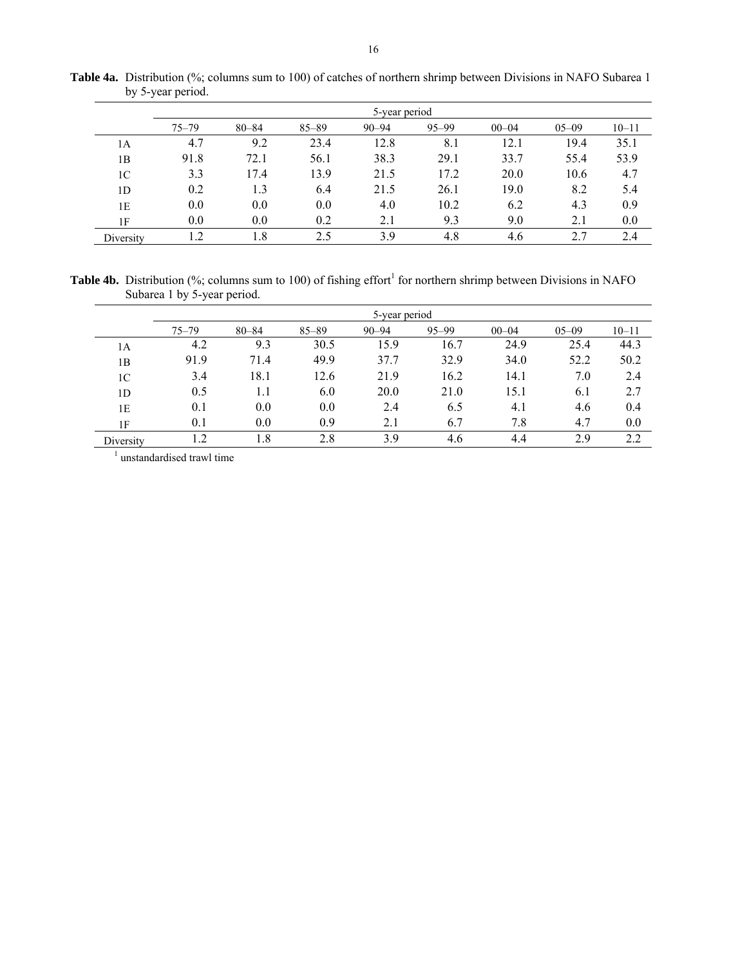|                | 5-year period |           |           |           |           |           |           |           |  |  |  |  |
|----------------|---------------|-----------|-----------|-----------|-----------|-----------|-----------|-----------|--|--|--|--|
|                | $75 - 79$     | $80 - 84$ | $85 - 89$ | $90 - 94$ | $95 - 99$ | $00 - 04$ | $05 - 09$ | $10 - 11$ |  |  |  |  |
| 1А             | 4.7           | 9.2       | 23.4      | 12.8      | 8.1       | 12.1      | 19.4      | 35.1      |  |  |  |  |
| 1B             | 91.8          | 72.1      | 56.1      | 38.3      | 29.1      | 33.7      | 55.4      | 53.9      |  |  |  |  |
| 1 <sup>C</sup> | 3.3           | 17.4      | 13.9      | 21.5      | 17.2      | 20.0      | 10.6      | 4.7       |  |  |  |  |
| 1D             | 0.2           | 1.3       | 6.4       | 21.5      | 26.1      | 19.0      | 8.2       | 5.4       |  |  |  |  |
| 1E             | 0.0           | 0.0       | 0.0       | 4.0       | 10.2      | 6.2       | 4.3       | 0.9       |  |  |  |  |
| 1F             | 0.0           | 0.0       | 0.2       | 2.1       | 9.3       | 9.0       | 2.1       | 0.0       |  |  |  |  |
| Diversity      | l.2           | 1.8       | 2.5       | 3.9       | 4.8       | 4.6       | 2.7       | 2.4       |  |  |  |  |

Table 4a. Distribution (%; columns sum to 100) of catches of northern shrimp between Divisions in NAFO Subarea 1 by 5-year period.

**Table 4b.** Distribution (%; columns sum to 100) of fishing effort<sup>1</sup> for northern shrimp between Divisions in NAFO Subarea 1 by 5-year period.

|                | 5-year period |           |           |           |           |           |           |           |  |  |  |  |
|----------------|---------------|-----------|-----------|-----------|-----------|-----------|-----------|-----------|--|--|--|--|
|                | $75 - 79$     | $80 - 84$ | $85 - 89$ | $90 - 94$ | $95 - 99$ | $00 - 04$ | $05 - 09$ | $10 - 11$ |  |  |  |  |
| 1A             | 4.2           | 9.3       | 30.5      | 15.9      | 16.7      | 24.9      | 25.4      | 44.3      |  |  |  |  |
| 1B             | 91.9          | 71.4      | 49.9      | 37.7      | 32.9      | 34.0      | 52.2      | 50.2      |  |  |  |  |
| 1 <sup>C</sup> | 3.4           | 18.1      | 12.6      | 21.9      | 16.2      | 14.1      | 7.0       | 2.4       |  |  |  |  |
| 1 <sub>D</sub> | 0.5           | 1.1       | 6.0       | 20.0      | 21.0      | 15.1      | 6.1       | 2.7       |  |  |  |  |
| 1E             | 0.1           | 0.0       | 0.0       | 2.4       | 6.5       | 4.1       | 4.6       | 0.4       |  |  |  |  |
| 1F             | 0.1           | 0.0       | 0.9       | 2.1       | 6.7       | 7.8       | 4.7       | 0.0       |  |  |  |  |
| Diversity      | 1.2           | 1.8       | 2.8       | 3.9       | 4.6       | 4.4       | 2.9       | 2.2       |  |  |  |  |

<sup>1</sup> unstandardised trawl time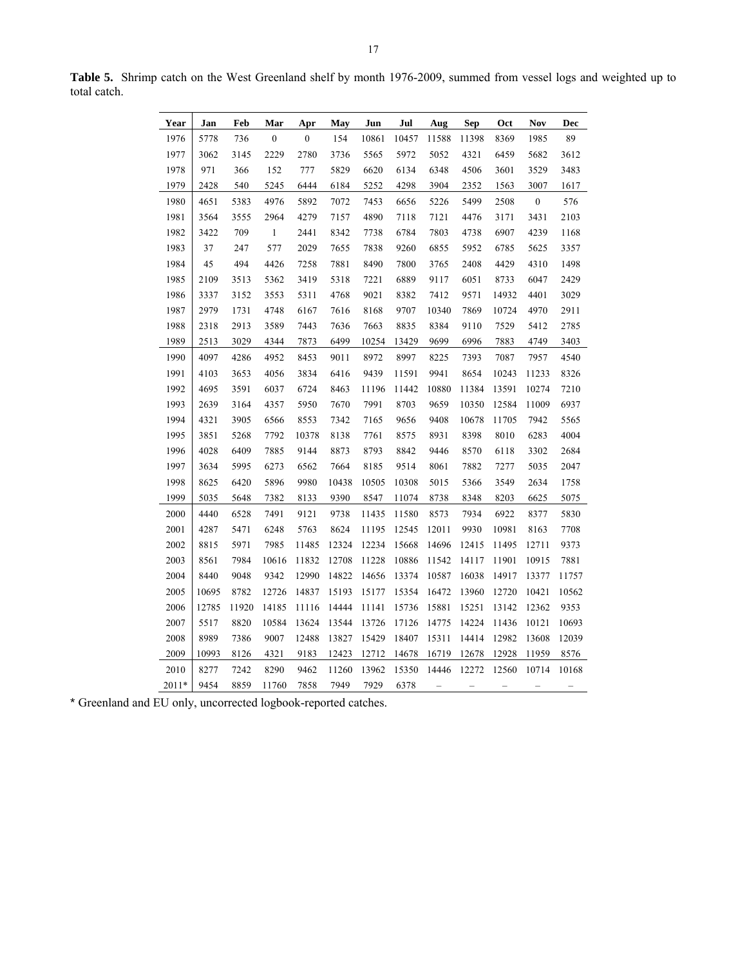| Year  | Jan   | Feb   | Mar              | Apr              | May   | Jun   | Jul   | Aug   | Sep   | Oct   | Nov              | Dec   |
|-------|-------|-------|------------------|------------------|-------|-------|-------|-------|-------|-------|------------------|-------|
| 1976  | 5778  | 736   | $\boldsymbol{0}$ | $\boldsymbol{0}$ | 154   | 10861 | 10457 | 11588 | 11398 | 8369  | 1985             | 89    |
| 1977  | 3062  | 3145  | 2229             | 2780             | 3736  | 5565  | 5972  | 5052  | 4321  | 6459  | 5682             | 3612  |
| 1978  | 971   | 366   | 152              | 777              | 5829  | 6620  | 6134  | 6348  | 4506  | 3601  | 3529             | 3483  |
| 1979  | 2428  | 540   | 5245             | 6444             | 6184  | 5252  | 4298  | 3904  | 2352  | 1563  | 3007             | 1617  |
| 1980  | 4651  | 5383  | 4976             | 5892             | 7072  | 7453  | 6656  | 5226  | 5499  | 2508  | $\boldsymbol{0}$ | 576   |
| 1981  | 3564  | 3555  | 2964             | 4279             | 7157  | 4890  | 7118  | 7121  | 4476  | 3171  | 3431             | 2103  |
| 1982  | 3422  | 709   | $\mathbf{1}$     | 2441             | 8342  | 7738  | 6784  | 7803  | 4738  | 6907  | 4239             | 1168  |
| 1983  | 37    | 247   | 577              | 2029             | 7655  | 7838  | 9260  | 6855  | 5952  | 6785  | 5625             | 3357  |
| 1984  | 45    | 494   | 4426             | 7258             | 7881  | 8490  | 7800  | 3765  | 2408  | 4429  | 4310             | 1498  |
| 1985  | 2109  | 3513  | 5362             | 3419             | 5318  | 7221  | 6889  | 9117  | 6051  | 8733  | 6047             | 2429  |
| 1986  | 3337  | 3152  | 3553             | 5311             | 4768  | 9021  | 8382  | 7412  | 9571  | 14932 | 4401             | 3029  |
| 1987  | 2979  | 1731  | 4748             | 6167             | 7616  | 8168  | 9707  | 10340 | 7869  | 10724 | 4970             | 2911  |
| 1988  | 2318  | 2913  | 3589             | 7443             | 7636  | 7663  | 8835  | 8384  | 9110  | 7529  | 5412             | 2785  |
| 1989  | 2513  | 3029  | 4344             | 7873             | 6499  | 10254 | 13429 | 9699  | 6996  | 7883  | 4749             | 3403  |
| 1990  | 4097  | 4286  | 4952             | 8453             | 9011  | 8972  | 8997  | 8225  | 7393  | 7087  | 7957             | 4540  |
| 1991  | 4103  | 3653  | 4056             | 3834             | 6416  | 9439  | 11591 | 9941  | 8654  | 10243 | 11233            | 8326  |
| 1992  | 4695  | 3591  | 6037             | 6724             | 8463  | 11196 | 11442 | 10880 | 11384 | 13591 | 10274            | 7210  |
| 1993  | 2639  | 3164  | 4357             | 5950             | 7670  | 7991  | 8703  | 9659  | 10350 | 12584 | 11009            | 6937  |
| 1994  | 4321  | 3905  | 6566             | 8553             | 7342  | 7165  | 9656  | 9408  | 10678 | 11705 | 7942             | 5565  |
| 1995  | 3851  | 5268  | 7792             | 10378            | 8138  | 7761  | 8575  | 8931  | 8398  | 8010  | 6283             | 4004  |
| 1996  | 4028  | 6409  | 7885             | 9144             | 8873  | 8793  | 8842  | 9446  | 8570  | 6118  | 3302             | 2684  |
| 1997  | 3634  | 5995  | 6273             | 6562             | 7664  | 8185  | 9514  | 8061  | 7882  | 7277  | 5035             | 2047  |
| 1998  | 8625  | 6420  | 5896             | 9980             | 10438 | 10505 | 10308 | 5015  | 5366  | 3549  | 2634             | 1758  |
| 1999  | 5035  | 5648  | 7382             | 8133             | 9390  | 8547  | 11074 | 8738  | 8348  | 8203  | 6625             | 5075  |
| 2000  | 4440  | 6528  | 7491             | 9121             | 9738  | 11435 | 11580 | 8573  | 7934  | 6922  | 8377             | 5830  |
| 2001  | 4287  | 5471  | 6248             | 5763             | 8624  | 11195 | 12545 | 12011 | 9930  | 10981 | 8163             | 7708  |
| 2002  | 8815  | 5971  | 7985             | 11485            | 12324 | 12234 | 15668 | 14696 | 12415 | 11495 | 12711            | 9373  |
| 2003  | 8561  | 7984  | 10616            | 11832            | 12708 | 11228 | 10886 | 11542 | 14117 | 11901 | 10915            | 7881  |
| 2004  | 8440  | 9048  | 9342             | 12990            | 14822 | 14656 | 13374 | 10587 | 16038 | 14917 | 13377            | 11757 |
| 2005  | 10695 | 8782  | 12726            | 14837            | 15193 | 15177 | 15354 | 16472 | 13960 | 12720 | 10421            | 10562 |
| 2006  | 12785 | 11920 | 14185            | 11116            | 14444 | 11141 | 15736 | 15881 | 15251 | 13142 | 12362            | 9353  |
| 2007  | 5517  | 8820  | 10584            | 13624            | 13544 | 13726 | 17126 | 14775 | 14224 | 11436 | 10121            | 10693 |
| 2008  | 8989  | 7386  | 9007             | 12488            | 13827 | 15429 | 18407 | 15311 | 14414 | 12982 | 13608            | 12039 |
| 2009  | 10993 | 8126  | 4321             | 9183             | 12423 | 12712 | 14678 | 16719 | 12678 | 12928 | 11959            | 8576  |
| 2010  | 8277  | 7242  | 8290             | 9462             | 11260 | 13962 | 15350 | 14446 | 12272 | 12560 | 10714            | 10168 |
| 2011* | 9454  | 8859  | 11760            | 7858             | 7949  | 7929  | 6378  | -     | -     |       | -                |       |

**Table 5.** Shrimp catch on the West Greenland shelf by month 1976-2009, summed from vessel logs and weighted up to total catch.

\* Greenland and EU only, uncorrected logbook-reported catches.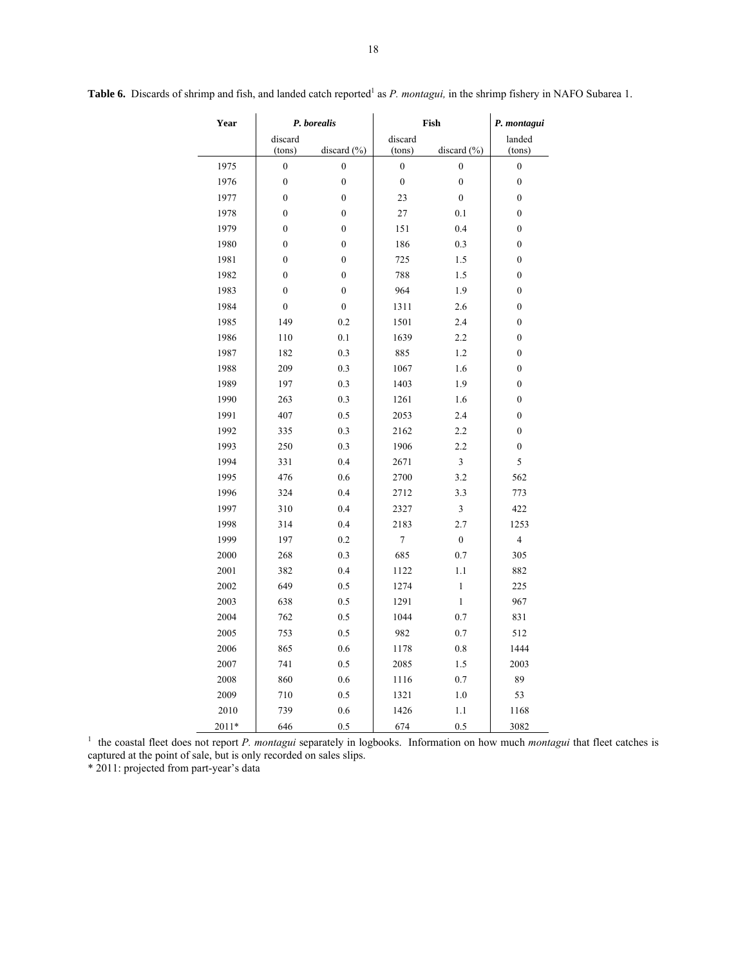| Year  | P. borealis      |                  |                  | Fish             | P. montagui             |  |
|-------|------------------|------------------|------------------|------------------|-------------------------|--|
|       | discard          |                  | discard          |                  | landed                  |  |
|       | (tons)           | discard $(\% )$  | (tons)           | discard $(\% )$  | (tons)                  |  |
| 1975  | $\boldsymbol{0}$ | $\boldsymbol{0}$ | $\overline{0}$   | $\boldsymbol{0}$ | $\boldsymbol{0}$        |  |
| 1976  | $\boldsymbol{0}$ | $\boldsymbol{0}$ | $\boldsymbol{0}$ | $\boldsymbol{0}$ | $\boldsymbol{0}$        |  |
| 1977  | $\mathbf{0}$     | $\mathbf{0}$     | 23               | $\overline{0}$   | $\overline{0}$          |  |
| 1978  | $\boldsymbol{0}$ | $\boldsymbol{0}$ | 27               | 0.1              | 0                       |  |
| 1979  | $\boldsymbol{0}$ | $\boldsymbol{0}$ | 151              | 0.4              | 0                       |  |
| 1980  | $\mathbf{0}$     | $\mathbf{0}$     | 186              | 0.3              | $\boldsymbol{0}$        |  |
| 1981  | $\boldsymbol{0}$ | $\boldsymbol{0}$ | 725              | 1.5              | $\boldsymbol{0}$        |  |
| 1982  | $\mathbf{0}$     | $\mathbf{0}$     | 788              | 1.5              | $\overline{0}$          |  |
| 1983  | $\boldsymbol{0}$ | $\boldsymbol{0}$ | 964              | 1.9              | 0                       |  |
| 1984  | $\boldsymbol{0}$ | $\boldsymbol{0}$ | 1311             | 2.6              | $\boldsymbol{0}$        |  |
| 1985  | 149              | 0.2              | 1501             | 2.4              | $\boldsymbol{0}$        |  |
| 1986  | 110              | 0.1              | 1639             | 2.2              | $\boldsymbol{0}$        |  |
| 1987  | 182              | 0.3              | 885              | 1.2              | $\boldsymbol{0}$        |  |
| 1988  | 209              | 0.3              | 1067             | 1.6              | 0                       |  |
| 1989  | 197              | 0.3              | 1403             | 1.9              | 0                       |  |
| 1990  | 263              | 0.3              | 1261             | 1.6              | 0                       |  |
| 1991  | 407              | 0.5              | 2053             | 2.4              | $\boldsymbol{0}$        |  |
| 1992  | 335              | 0.3              | 2162             | 2.2              | $\boldsymbol{0}$        |  |
| 1993  | 250              | 0.3              | 1906             | 2.2              | 0                       |  |
| 1994  | 331              | 0.4              | 2671             | 3                | 5                       |  |
| 1995  | 476              | 0.6              | 2700             | 3.2              | 562                     |  |
| 1996  | 324              | 0.4              | 2712             | 3.3              | 773                     |  |
| 1997  | 310              | 0.4              | 2327             | 3                | 422                     |  |
| 1998  | 314              | 0.4              | 2183             | 2.7              | 1253                    |  |
| 1999  | 197              | 0.2              | $\tau$           | $\boldsymbol{0}$ | $\overline{\mathbf{4}}$ |  |
| 2000  | 268              | 0.3              | 685              | 0.7              | 305                     |  |
| 2001  | 382              | 0.4              | 1122             | 1.1              | 882                     |  |
| 2002  | 649              | 0.5              | 1274             | $\,1$            | 225                     |  |
| 2003  | 638              | 0.5              | 1291             | $\mathbf{1}$     | 967                     |  |
| 2004  | 762              | 0.5              | 1044             | 0.7              | 831                     |  |
| 2005  | 753              | 0.5              | 982              | 0.7              | 512                     |  |
| 2006  | 865              | 0.6              | 1178             | 0.8              | 1444                    |  |
| 2007  | 741              | 0.5              | 2085             | 1.5              | 2003                    |  |
| 2008  | 860              | 0.6              | 1116             | 0.7              | 89                      |  |
| 2009  | 710              | 0.5              | 1321             | 1.0              | 53                      |  |
| 2010  | 739              | 0.6              | 1426             | 1.1              | 1168                    |  |
| 2011* | 646              | 0.5              | 674              | 0.5              | 3082                    |  |

**Table 6.** Discards of shrimp and fish, and landed catch reported<sup>1</sup> as *P. montagui*, in the shrimp fishery in NAFO Subarea 1.

<sup>1</sup> the coastal fleet does not report *P. montagui* separately in logbooks. Information on how much *montagui* that fleet catches is captured at the point of sale, but is only recorded on sales slips.

\* 2011: projected from part-year's data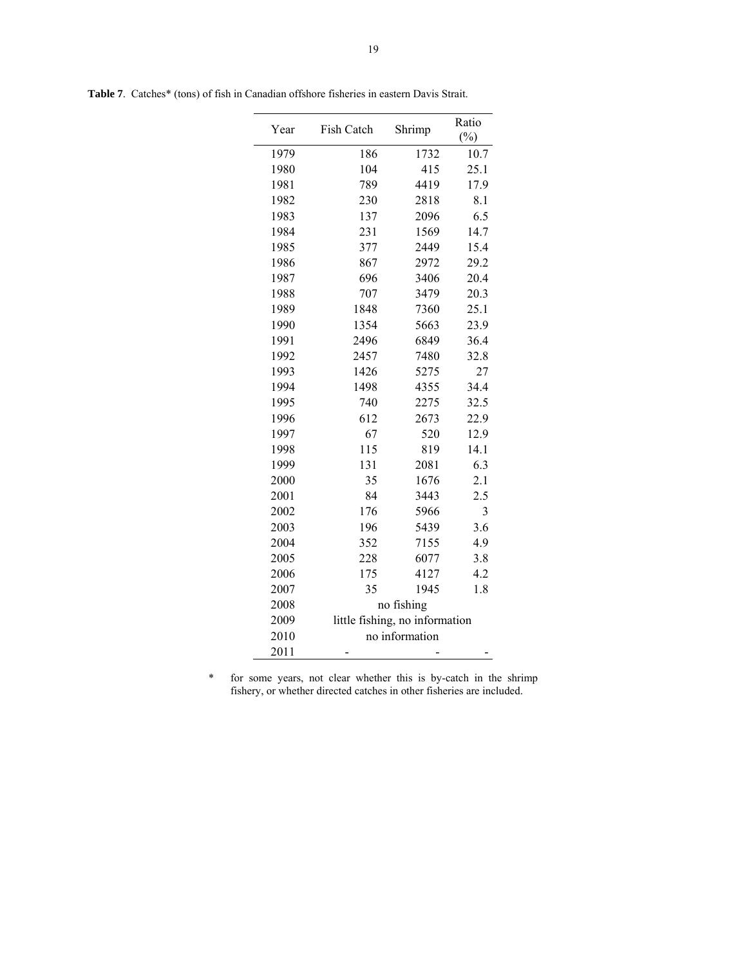| Year | Fish Catch | Shrimp                         | Ratio<br>(%) |
|------|------------|--------------------------------|--------------|
| 1979 | 186        | 1732                           | 10.7         |
| 1980 | 104        | 415                            | 25.1         |
| 1981 | 789        | 4419                           | 17.9         |
| 1982 | 230        | 2818                           | 8.1          |
| 1983 | 137        | 2096                           | 6.5          |
| 1984 | 231        | 1569                           | 14.7         |
| 1985 | 377        | 2449                           | 15.4         |
| 1986 | 867        | 2972                           | 29.2         |
| 1987 | 696        | 3406                           | 20.4         |
| 1988 | 707        | 3479                           | 20.3         |
| 1989 | 1848       | 7360                           | 25.1         |
| 1990 | 1354       | 5663                           | 23.9         |
| 1991 | 2496       | 6849                           | 36.4         |
| 1992 | 2457       | 7480                           | 32.8         |
| 1993 | 1426       | 5275                           | 27           |
| 1994 | 1498       | 4355                           | 34.4         |
| 1995 | 740        | 2275                           | 32.5         |
| 1996 | 612        | 2673                           | 22.9         |
| 1997 | 67         | 520                            | 12.9         |
| 1998 | 115        | 819                            | 14.1         |
| 1999 | 131        | 2081                           | 6.3          |
| 2000 | 35         | 1676                           | 2.1          |
| 2001 | 84         | 3443                           | 2.5          |
| 2002 | 176        | 5966                           | 3            |
| 2003 | 196        | 5439                           | 3.6          |
| 2004 | 352        | 7155                           | 4.9          |
| 2005 | 228        | 6077                           | 3.8          |
| 2006 | 175        | 4127                           | 4.2          |
| 2007 | 35         | 1945                           | 1.8          |
| 2008 |            | no fishing                     |              |
| 2009 |            | little fishing, no information |              |
| 2010 |            | no information                 |              |
| 2011 |            |                                |              |

**Table 7**. Catches\* (tons) of fish in Canadian offshore fisheries in eastern Davis Strait.

\* for some years, not clear whether this is by-catch in the shrimp fishery, or whether directed catches in other fisheries are included.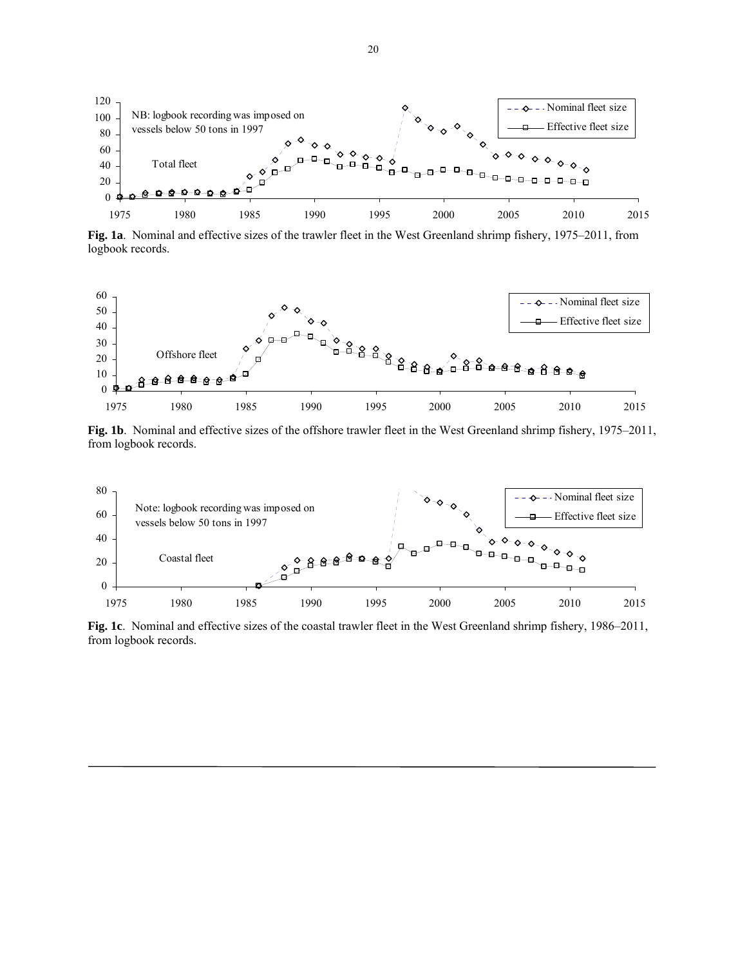

**Fig. 1a**. Nominal and effective sizes of the trawler fleet in the West Greenland shrimp fishery, 1975–2011, from logbook records.



**Fig. 1b**. Nominal and effective sizes of the offshore trawler fleet in the West Greenland shrimp fishery, 1975–2011, from logbook records.



**Fig. 1c**. Nominal and effective sizes of the coastal trawler fleet in the West Greenland shrimp fishery, 1986–2011, from logbook records.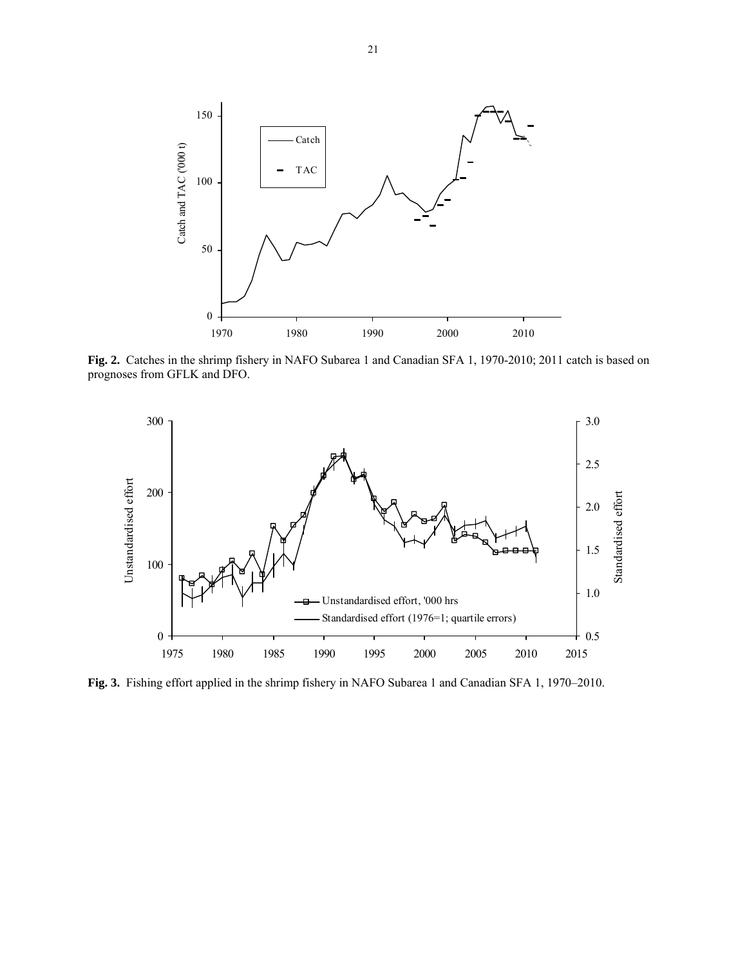

**Fig. 2.** Catches in the shrimp fishery in NAFO Subarea 1 and Canadian SFA 1, 1970-2010; 2011 catch is based on prognoses from GFLK and DFO.



**Fig. 3.** Fishing effort applied in the shrimp fishery in NAFO Subarea 1 and Canadian SFA 1, 1970–2010.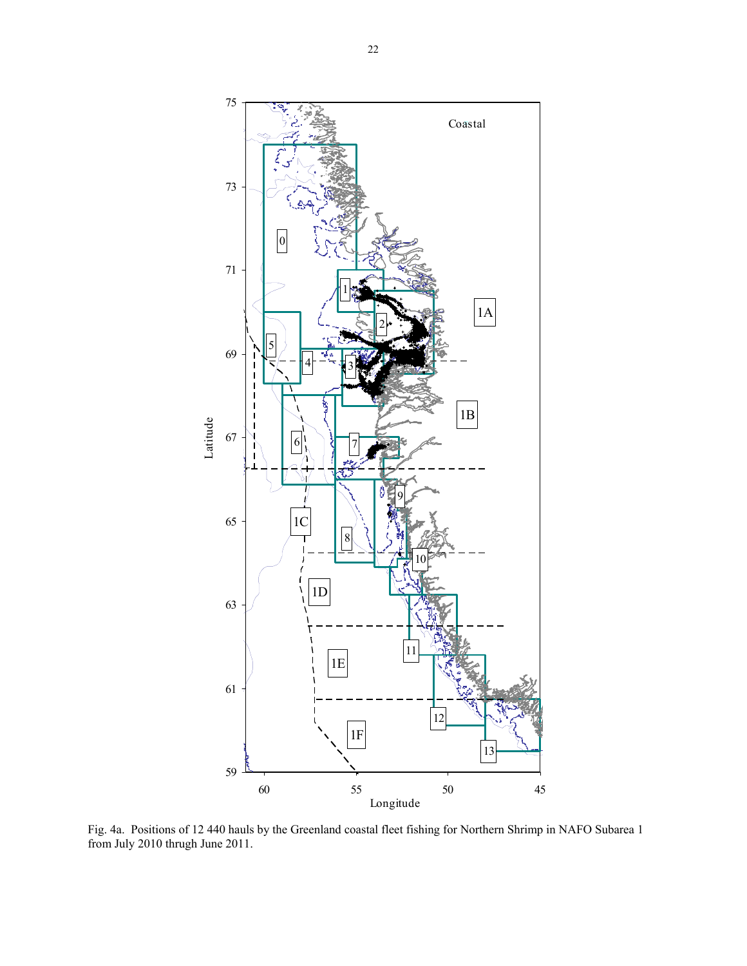

Fig. 4a. Positions of 12 440 hauls by the Greenland coastal fleet fishing for Northern Shrimp in NAFO Subarea 1 from July 2010 thrugh June 2011.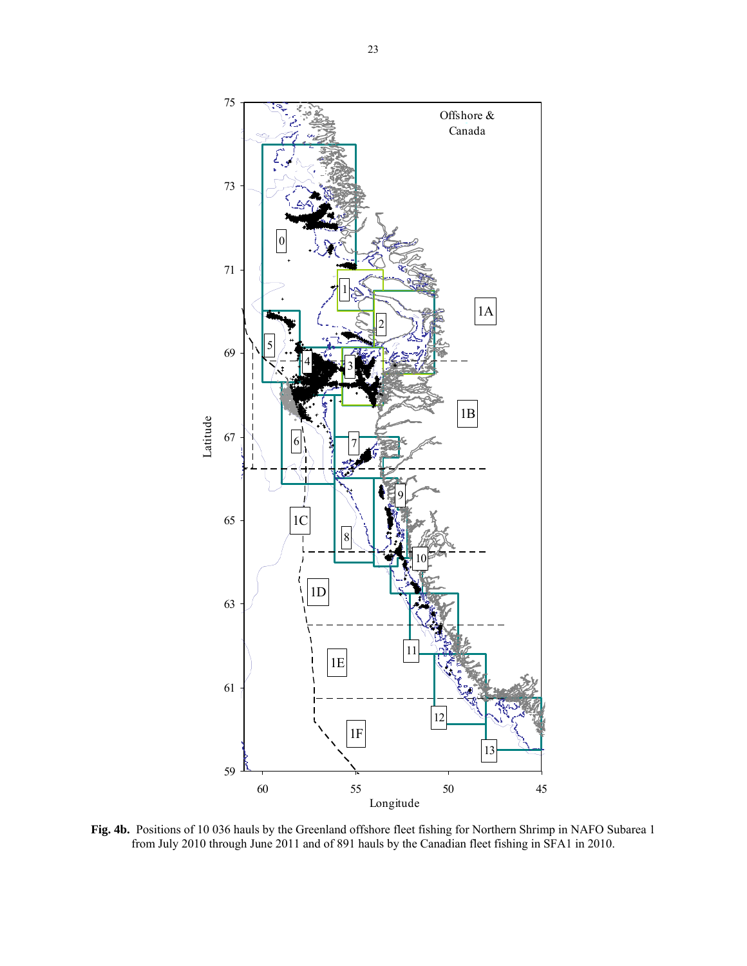

**Fig. 4b.** Positions of 10 036 hauls by the Greenland offshore fleet fishing for Northern Shrimp in NAFO Subarea 1 from July 2010 through June 2011 and of 891 hauls by the Canadian fleet fishing in SFA1 in 2010.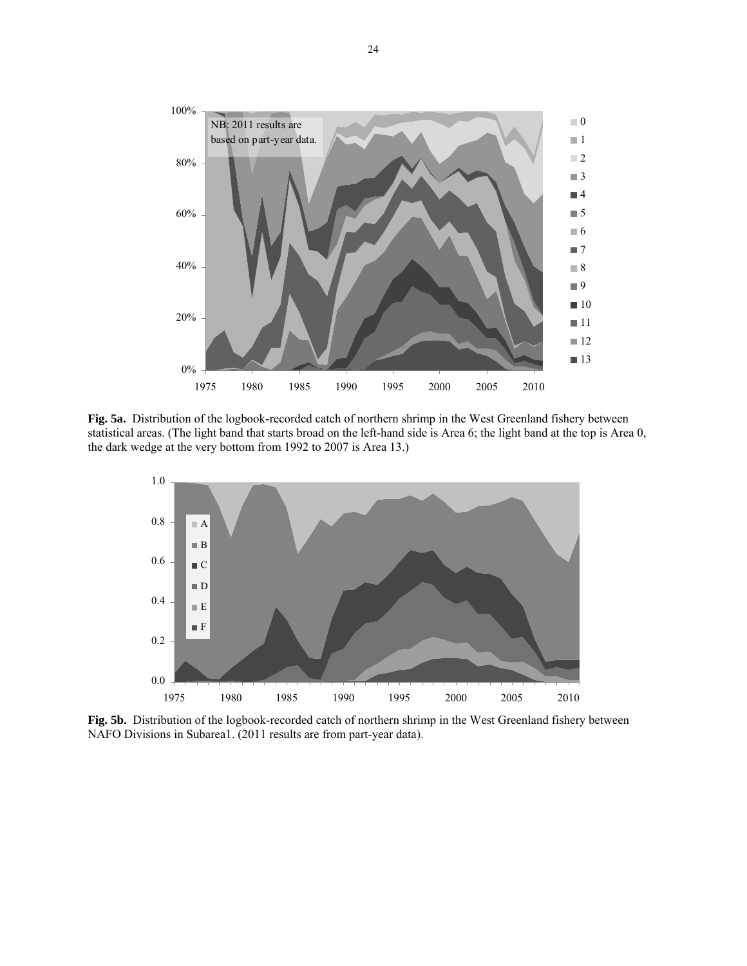

**Fig. 5a.** Distribution of the logbook-recorded catch of northern shrimp in the West Greenland fishery between statistical areas. (The light band that starts broad on the left-hand side is Area 6; the light band at the top is Area 0, the dark wedge at the very bottom from 1992 to 2007 is Area 13.)



**Fig. 5b.** Distribution of the logbook-recorded catch of northern shrimp in the West Greenland fishery between NAFO Divisions in Subarea1. (2011 results are from part-year data).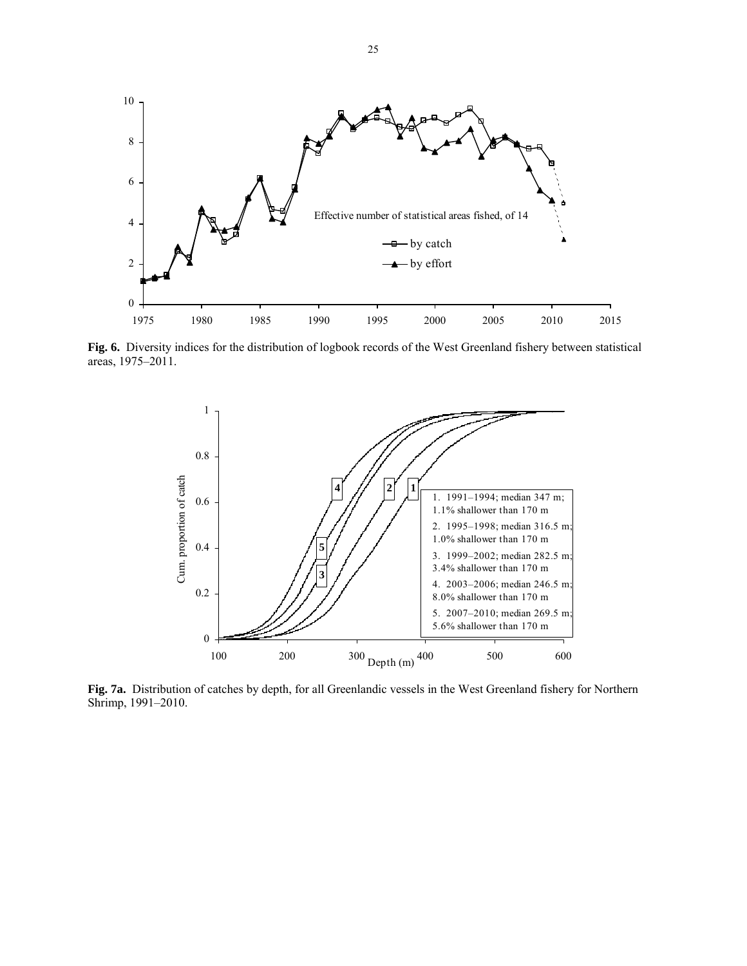

**Fig. 6.** Diversity indices for the distribution of logbook records of the West Greenland fishery between statistical areas, 1975–2011.



**Fig. 7a.** Distribution of catches by depth, for all Greenlandic vessels in the West Greenland fishery for Northern Shrimp, 1991–2010.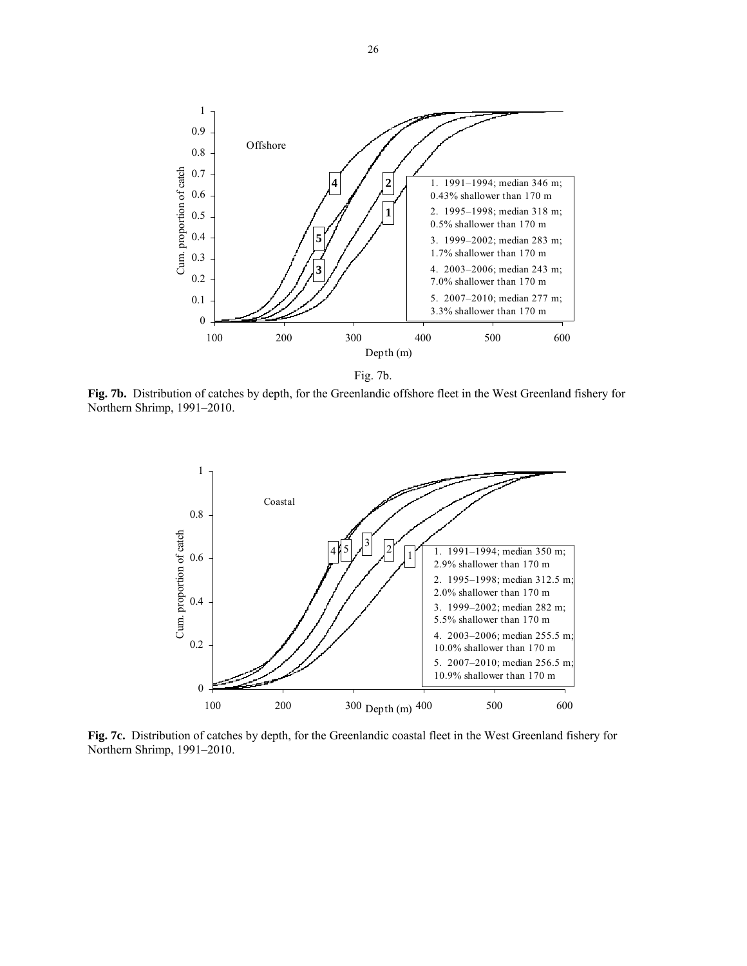

Fig. 7b.

**Fig. 7b.** Distribution of catches by depth, for the Greenlandic offshore fleet in the West Greenland fishery for Northern Shrimp, 1991–2010.



**Fig. 7c.** Distribution of catches by depth, for the Greenlandic coastal fleet in the West Greenland fishery for Northern Shrimp, 1991–2010.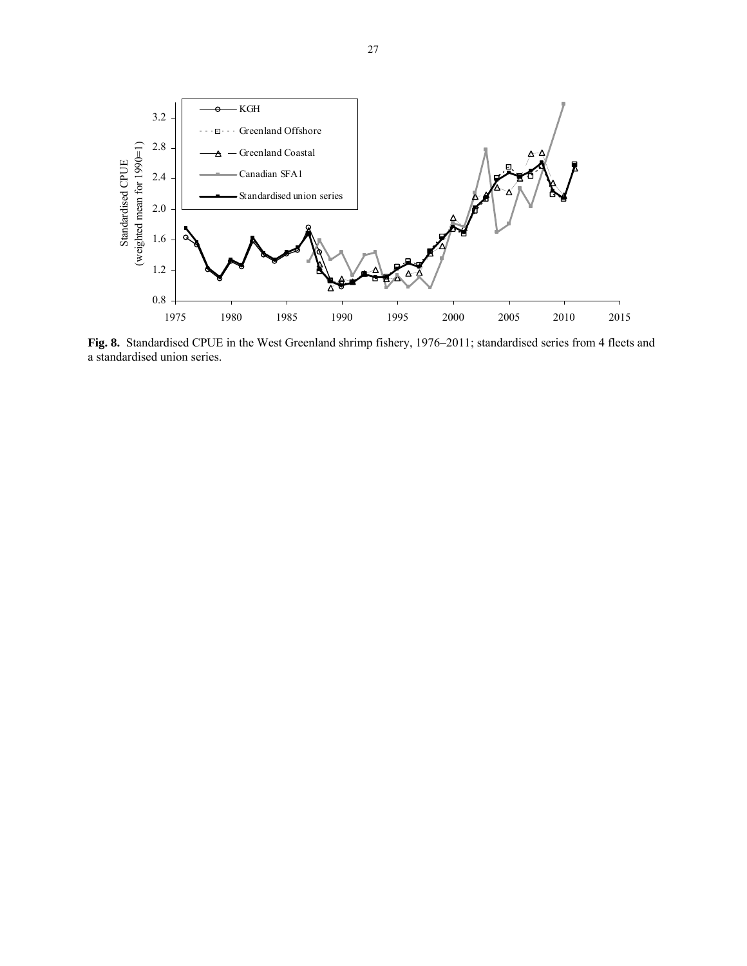![](_page_26_Figure_0.jpeg)

**Fig. 8.** Standardised CPUE in the West Greenland shrimp fishery, 1976–2011; standardised series from 4 fleets and a standardised union series.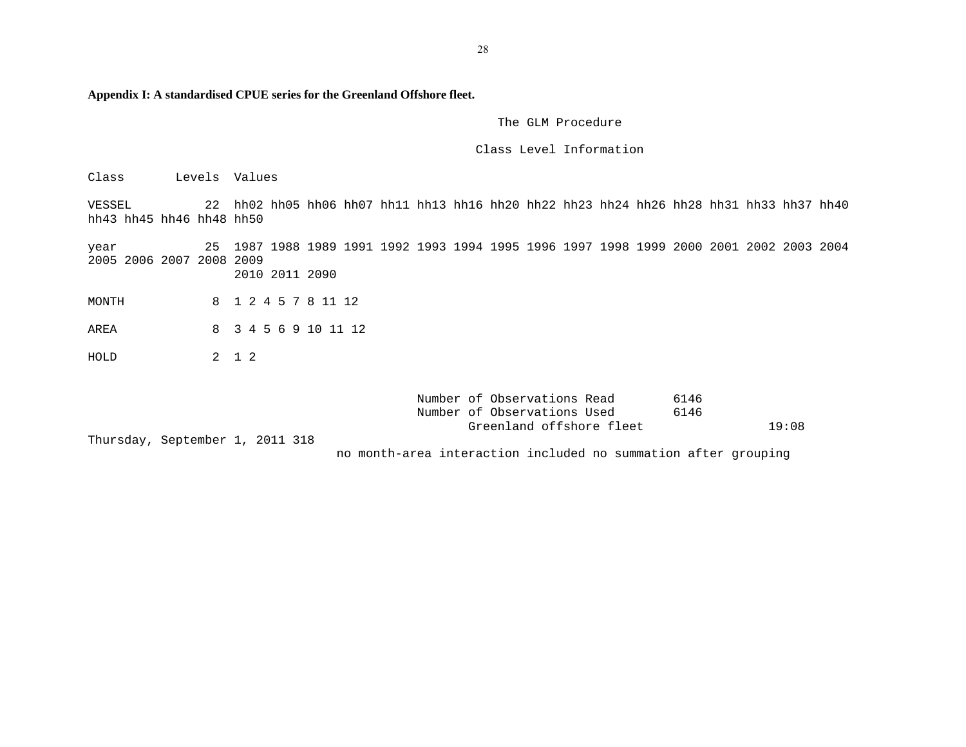**Appendix I: A standardised CPUE series for the Greenland Offshore fleet.** 

#### The GLM Procedure

## Class Level Information

Class Levels Values

VESSEL 22 hh02 hh05 hh06 hh07 hh11 hh13 hh16 hh20 hh22 hh23 hh24 hh26 hh28 hh31 hh33 hh37 hh40 hh43 hh45 hh46 hh48 hh50

year 25 1987 1988 1989 1991 1992 1993 1994 1995 1996 1997 1998 1999 2000 2001 2002 2003 2004 2005 2006 2007 2008 2009 2010 2011 2090

MONTH 8 1 2 4 5 7 8 11 12

AREA 8 3 4 5 6 9 10 11 12

HOLD 2 1 2

|                                 | Number of Observations Read<br>6146                            |       |
|---------------------------------|----------------------------------------------------------------|-------|
|                                 | Number of Observations Used<br>6146                            |       |
|                                 | Greenland offshore fleet                                       | 19:08 |
| Thursday, September 1, 2011 318 |                                                                |       |
|                                 | no month-area interaction included no summation after grouping |       |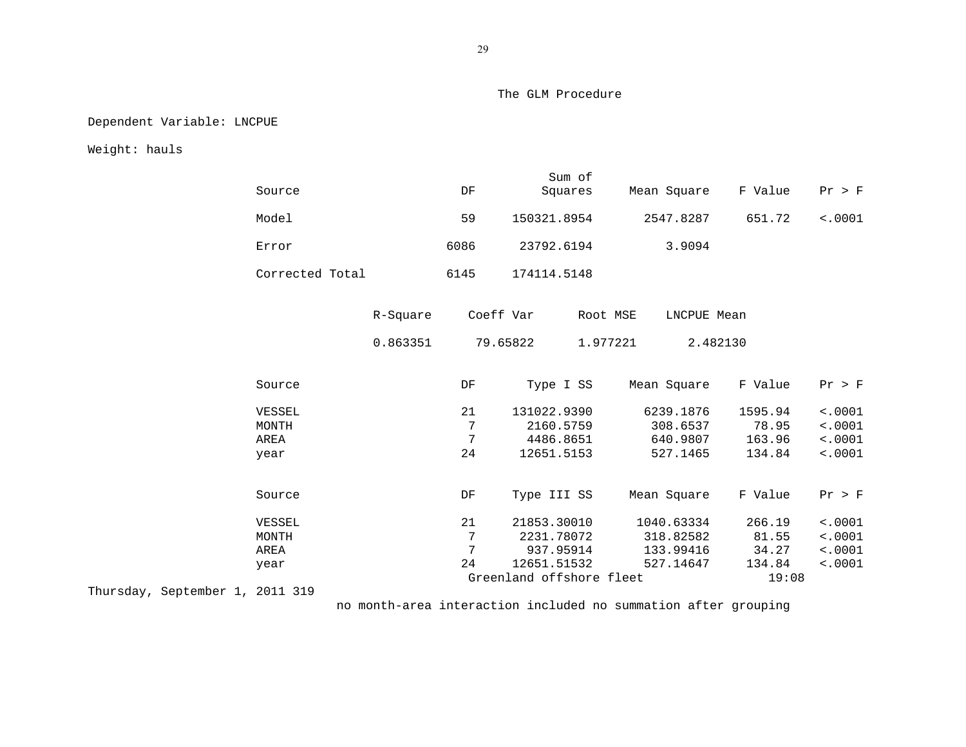Dependent Variable: LNCPUE

Weight: hauls

| Source                          |                      | DF                 | Sum of<br>Squares                                     | Mean Square                                       | F Value                              | Pr > F                                   |
|---------------------------------|----------------------|--------------------|-------------------------------------------------------|---------------------------------------------------|--------------------------------------|------------------------------------------|
| Model                           |                      | 59                 | 150321.8954                                           | 2547.8287                                         | 651.72                               | < .0001                                  |
| Error                           |                      | 6086               | 23792.6194                                            | 3.9094                                            |                                      |                                          |
| Corrected Total                 |                      | 6145               | 174114.5148                                           |                                                   |                                      |                                          |
|                                 | R-Square<br>0.863351 | Coeff Var          | 79.65822                                              | Root MSE<br>LNCPUE Mean<br>1.977221<br>2.482130   |                                      |                                          |
| Source                          |                      | DF                 | Type I SS                                             | Mean Square                                       | F Value                              | Pr > F                                   |
| VESSEL<br>MONTH<br>AREA<br>year |                      | 21<br>7<br>7<br>24 | 131022.9390<br>2160.5759<br>4486.8651<br>12651.5153   | 6239.1876<br>308.6537<br>640.9807<br>527.1465     | 1595.94<br>78.95<br>163.96<br>134.84 | < .0001<br>< .0001<br>< .0001<br>< .0001 |
| Source                          |                      | DF                 | Type III SS                                           | Mean Square                                       | F Value                              | Pr > F                                   |
| VESSEL<br>MONTH<br>AREA<br>year |                      | 21<br>7<br>7<br>24 | 21853.30010<br>2231.78072<br>937.95914<br>12651.51532 | 1040.63334<br>318.82582<br>133.99416<br>527.14647 | 266.19<br>81.55<br>34.27<br>134.84   | < .0001<br>< .0001<br>< .0001<br>< .0001 |
|                                 |                      |                    | Greenland offshore fleet                              |                                                   | 19:08                                |                                          |

Thursday, September 1, 2011 319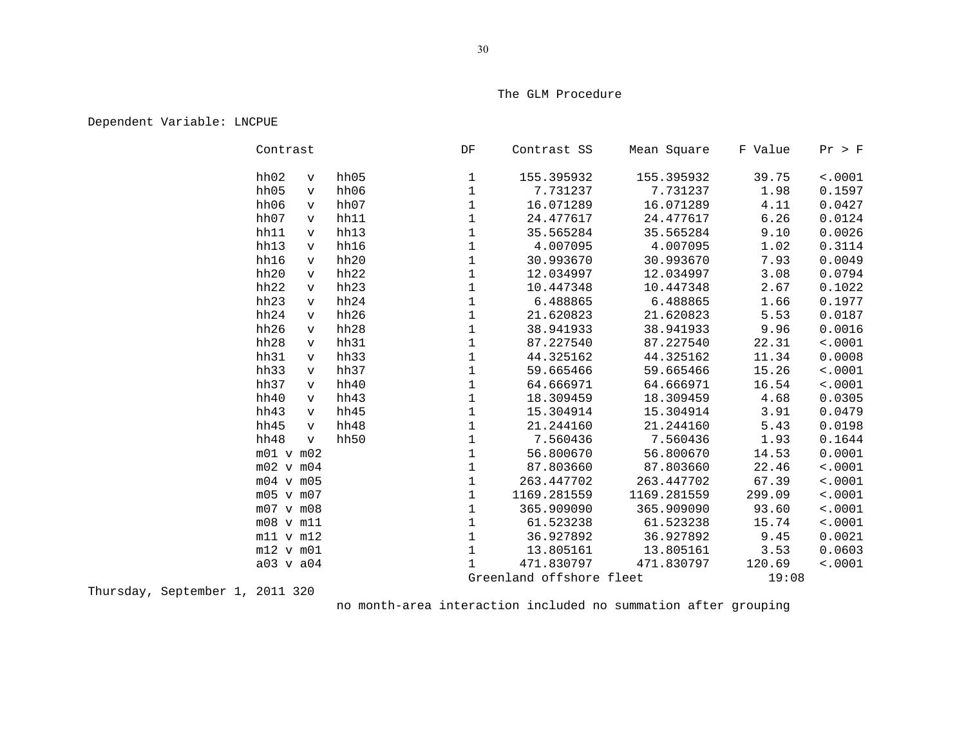# Dependent Variable: LNCPUE

| Contrast             |      | DF           | Contrast SS              | Mean Square | F Value | Pr > F  |
|----------------------|------|--------------|--------------------------|-------------|---------|---------|
| hh02<br>$\mathbf v$  | hh05 | $\mathbf 1$  | 155.395932               | 155.395932  | 39.75   | < .0001 |
| hh05<br>$\mathbf v$  | hh06 | $\mathbf{1}$ | 7.731237                 | 7.731237    | 1.98    | 0.1597  |
| hh06<br>$\mathbf{v}$ | hh07 | $\mathbf 1$  | 16.071289                | 16.071289   | 4.11    | 0.0427  |
| hh07<br>$\mathbf v$  | hh11 | $\mathbf{1}$ | 24.477617                | 24.477617   | 6.26    | 0.0124  |
| hh11<br>$\mathbf v$  | hh13 | $\mathbf{1}$ | 35.565284                | 35.565284   | 9.10    | 0.0026  |
| hh13<br>$\mathbf{v}$ | hh16 | $\mathbf 1$  | 4.007095                 | 4.007095    | 1.02    | 0.3114  |
| hh16<br>$\mathbf v$  | hh20 | $\mathbf{1}$ | 30.993670                | 30.993670   | 7.93    | 0.0049  |
| hh20<br>$\mathbf v$  | hh22 | $\mathbf{1}$ | 12.034997                | 12.034997   | 3.08    | 0.0794  |
| hh22<br>$\mathbf v$  | hh23 | $\mathbf 1$  | 10.447348                | 10.447348   | 2.67    | 0.1022  |
| hh23<br>$\mathbf v$  | hh24 | $\mathbf 1$  | 6.488865                 | 6.488865    | 1.66    | 0.1977  |
| hh24<br>$\mathbf{v}$ | hh26 | $\mathbf{1}$ | 21.620823                | 21.620823   | 5.53    | 0.0187  |
| hh26<br>$\mathbf v$  | hh28 | 1            | 38.941933                | 38.941933   | 9.96    | 0.0016  |
| hh28<br>$\mathbf v$  | hh31 | $\mathbf 1$  | 87.227540                | 87.227540   | 22.31   | < .0001 |
| hh31<br>$\mathbf{v}$ | hh33 | $\mathbf{1}$ | 44.325162                | 44.325162   | 11.34   | 0.0008  |
| hh33<br>$\mathbf v$  | hh37 | 1            | 59.665466                | 59.665466   | 15.26   | < .0001 |
| hh37<br>$\mathbf{v}$ | hh40 | $\mathbf 1$  | 64.666971                | 64.666971   | 16.54   | < .0001 |
| hh40<br>$\mathbf{v}$ | hh43 | $\mathbf{1}$ | 18.309459                | 18.309459   | 4.68    | 0.0305  |
| hh43<br>$\mathbf v$  | hh45 | 1            | 15.304914                | 15.304914   | 3.91    | 0.0479  |
| hh45<br>$\mathbf{v}$ | hh48 | $1\,$        | 21.244160                | 21.244160   | 5.43    | 0.0198  |
| hh48<br>$\mathbf v$  | hh50 | $\mathbf{1}$ | 7.560436                 | 7.560436    | 1.93    | 0.1644  |
| $m01$ v $m02$        |      | $\mathbf 1$  | 56.800670                | 56.800670   | 14.53   | 0.0001  |
| $m02$ v $m04$        |      | $\mathbf{1}$ | 87.803660                | 87.803660   | 22.46   | < .0001 |
| $m04$ v $m05$        |      | $\mathbf{1}$ | 263.447702               | 263.447702  | 67.39   | < .0001 |
| m05 v m07            |      | $\mathbf{1}$ | 1169.281559              | 1169.281559 | 299.09  | 10001   |
| $m07$ v $m08$        |      | $\mathbf{1}$ | 365.909090               | 365.909090  | 93.60   | < .0001 |
| m08 v m11            |      | 1            | 61.523238                | 61.523238   | 15.74   | < .0001 |
| $m11$ v $m12$        |      | $1\,$        | 36.927892                | 36.927892   | 9.45    | 0.0021  |
| $m12$ v $m01$        |      | $\mathbf{1}$ | 13.805161                | 13.805161   | 3.53    | 0.0603  |
| a03 v a04            |      |              | 471.830797               | 471.830797  | 120.69  | < .0001 |
|                      |      |              | Greenland offshore fleet |             | 19:08   |         |

Thursday, September 1, 2011 320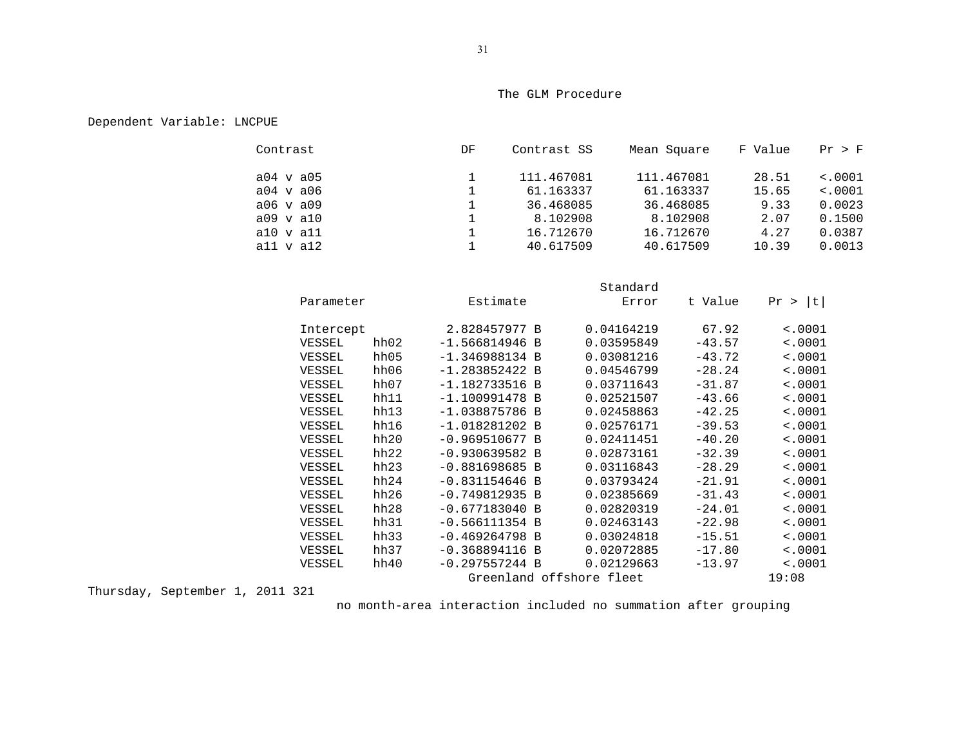# Dependent Variable: LNCPUE

| Contrast  | DF | Contrast SS | Mean Square | F Value | Pr > F  |
|-----------|----|-------------|-------------|---------|---------|
| a04 v a05 |    | 111.467081  | 111.467081  | 28.51   | < .0001 |
| a04 v a06 |    | 61.163337   | 61.163337   | 15.65   | < .0001 |
| a06 v a09 |    | 36.468085   | 36.468085   | 9.33    | 0.0023  |
| a09 v a10 |    | 8.102908    | 8.102908    | 2.07    | 0.1500  |
| a10 v a11 |    | 16.712670   | 16.712670   | 4.27    | 0.0387  |
| all v al2 |    | 40.617509   | 40.617509   | 10.39   | 0.0013  |

|           |      |                          | Standard   |          |             |
|-----------|------|--------------------------|------------|----------|-------------|
| Parameter |      | Estimate                 | Error      | t Value  | t <br>Pr >  |
| Intercept |      | 2.828457977 B            | 0.04164219 | 67.92    | < .0001     |
| VESSEL    | hh02 | $-1.566814946$ B         | 0.03595849 | $-43.57$ | < .0001     |
| VESSEL    | hh05 | $-1.346988134 B$         | 0.03081216 | $-43.72$ | < .0001     |
| VESSEL    | hh06 | $-1.283852422 B$         | 0.04546799 | $-28.24$ | < .0001     |
| VESSEL    | hh07 | $-1.182733516$ B         | 0.03711643 | $-31.87$ | < .0001     |
| VESSEL    | hh11 | $-1.100991478 B$         | 0.02521507 | $-43.66$ | < .0001     |
| VESSEL    | hh13 | $-1.038875786 B$         | 0.02458863 | $-42.25$ | < .0001     |
| VESSEL    | hh16 | $-1.018281202 B$         | 0.02576171 | $-39.53$ | < .0001     |
| VESSEL    | hh20 | $-0.969510677 B$         | 0.02411451 | $-40.20$ | < .0001     |
| VESSEL    | hh22 | $-0.930639582 B$         | 0.02873161 | $-32.39$ | < .0001     |
| VESSEL    | hh23 | $-0.881698685 B$         | 0.03116843 | $-28.29$ | < .0001     |
| VESSEL    | hh24 | $-0.831154646 B$         | 0.03793424 | $-21.91$ | < .0001     |
| VESSEL    | hh26 | $-0.749812935 B$         | 0.02385669 | $-31.43$ | < .0001     |
| VESSEL    | hh28 | $-0.677183040 B$         | 0.02820319 | $-24.01$ | < .0001     |
| VESSEL    | hh31 | $-0.566111354$ B         | 0.02463143 | $-22.98$ | < .0001     |
| VESSEL    | hh33 | $-0.469264798 B$         | 0.03024818 | $-15.51$ | $\sim 0001$ |
| VESSEL    | hh37 | $-0.368894116 B$         | 0.02072885 | $-17.80$ | < .0001     |
| VESSEL    | hh40 | $-0.297557244 B$         | 0.02129663 | $-13.97$ | $\sim 0001$ |
|           |      | Greenland offshore fleet |            |          | 19:08       |

Thursday, September 1, 2011 321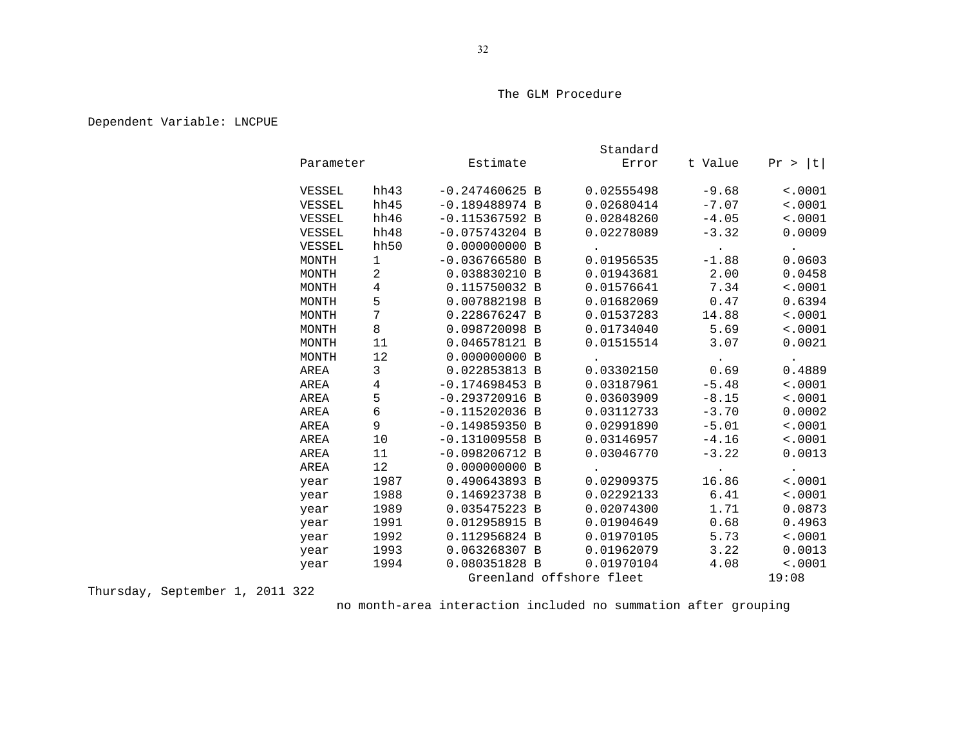# Dependent Variable: LNCPUE

|           |      |                          | Standard   |                             |               |
|-----------|------|--------------------------|------------|-----------------------------|---------------|
| Parameter |      | Estimate                 | Error      | t Value                     | t <br>Pr >    |
| VESSEL    | hh43 | $-0.247460625 B$         | 0.02555498 | $-9.68$                     | < .0001       |
| VESSEL    | hh45 | $-0.189488974 B$         | 0.02680414 | $-7.07$                     | < .0001       |
| VESSEL    | hh46 | $-0.115367592 B$         | 0.02848260 | $-4.05$                     | < .0001       |
| VESSEL    | hh48 | $-0.075743204$ B         | 0.02278089 | $-3.32$                     | 0.0009        |
| VESSEL    | hh50 | 0.000000000 B            |            | $\langle \bullet \rangle$ . | $\sim$        |
| MONTH     | 1    | $-0.036766580 B$         | 0.01956535 | $-1.88$                     | 0.0603        |
| MONTH     | 2    | 0.038830210 B            | 0.01943681 | 2.00                        | 0.0458        |
| MONTH     | 4    | 0.115750032 B            | 0.01576641 | 7.34                        | < .0001       |
| MONTH     | 5    | 0.007882198 B            | 0.01682069 | 0.47                        | 0.6394        |
| MONTH     | 7    | 0.228676247 B            | 0.01537283 | 14.88                       | < .0001       |
| MONTH     | 8    | 0.098720098 B            | 0.01734040 | 5.69                        | < .0001       |
| MONTH     | 11   | 0.046578121 B            | 0.01515514 | 3.07                        | 0.0021        |
| MONTH     | 12   | 0.000000000 B            |            | $\bullet$ . $\bullet$       | $\sim$ $\sim$ |
| AREA      | 3    | 0.022853813 B            | 0.03302150 | 0.69                        | 0.4889        |
| AREA      | 4    | $-0.174698453 B$         | 0.03187961 | $-5.48$                     | < .0001       |
| AREA      | 5    | $-0.293720916$ B         | 0.03603909 | $-8.15$                     | < .0001       |
| AREA      | 6    | $-0.115202036$ B         | 0.03112733 | $-3.70$                     | 0.0002        |
| AREA      | 9    | $-0.149859350 B$         | 0.02991890 | $-5.01$                     | < .0001       |
| AREA      | 10   | $-0.131009558$ B         | 0.03146957 | $-4.16$                     | < .0001       |
| AREA      | 11   | $-0.098206712 B$         | 0.03046770 | $-3.22$                     | 0.0013        |
| AREA      | 12   | 0.000000000 B            |            | $\langle \cdot \rangle$     | $\bullet$     |
| year      | 1987 | 0.490643893 B            | 0.02909375 | 16.86                       | < .0001       |
| year      | 1988 | 0.146923738 B            | 0.02292133 | 6.41                        | < .0001       |
| year      | 1989 | 0.035475223 B            | 0.02074300 | 1.71                        | 0.0873        |
| year      | 1991 | 0.012958915 B            | 0.01904649 | 0.68                        | 0.4963        |
| year      | 1992 | 0.112956824 B            | 0.01970105 | 5.73                        | < .0001       |
| year      | 1993 | 0.063268307 B            | 0.01962079 | 3.22                        | 0.0013        |
| year      | 1994 | 0.080351828 B            | 0.01970104 | 4.08                        | < .0001       |
|           |      | Greenland offshore fleet |            |                             | 19:08         |

Thursday, September 1, 2011 322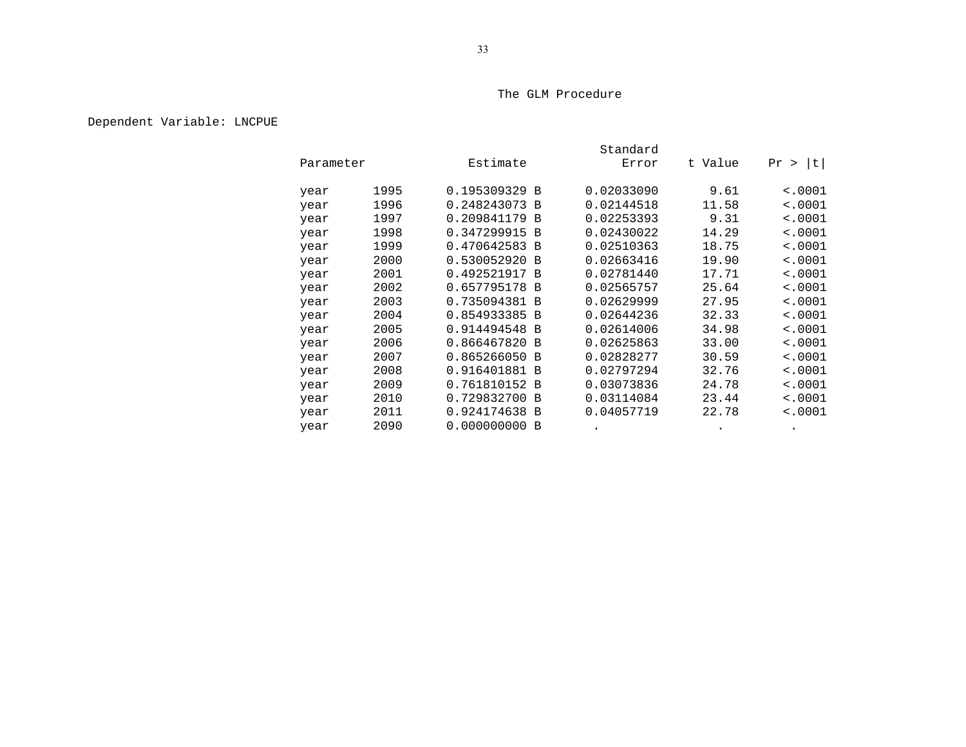# Dependent Variable: LNCPUE

|      |           |               | Standard   |         |             |  |  |
|------|-----------|---------------|------------|---------|-------------|--|--|
|      | Parameter | Estimate      | Error      | t Value | t <br>Pr >  |  |  |
| year | 1995      | 0.195309329 B | 0.02033090 | 9.61    | < .0001     |  |  |
| year | 1996      | 0.248243073 B | 0.02144518 | 11.58   | $\sim 0001$ |  |  |
| year | 1997      | 0.209841179 B | 0.02253393 | 9.31    | < .0001     |  |  |
| year | 1998      | 0.347299915 B | 0.02430022 | 14.29   | < .0001     |  |  |
| year | 1999      | 0.470642583 B | 0.02510363 | 18.75   | $\sim 0001$ |  |  |
| year | 2000      | 0.530052920 B | 0.02663416 | 19.90   | $\sim 0001$ |  |  |
| year | 2001      | 0.492521917 B | 0.02781440 | 17.71   | $\sim 0001$ |  |  |
| year | 2002      | 0.657795178 B | 0.02565757 | 25.64   | < .0001     |  |  |
| year | 2003      | 0.735094381 B | 0.02629999 | 27.95   | < .0001     |  |  |
| year | 2004      | 0.854933385 B | 0.02644236 | 32.33   | < .0001     |  |  |
| year | 2005      | 0.914494548 B | 0.02614006 | 34.98   | < .0001     |  |  |
| year | 2006      | 0.866467820 B | 0.02625863 | 33.00   | $\sim 0001$ |  |  |
| year | 2007      | 0.865266050 B | 0.02828277 | 30.59   | < .0001     |  |  |
| year | 2008      | 0.916401881 B | 0.02797294 | 32.76   | $\sim 0001$ |  |  |
| year | 2009      | 0.761810152 B | 0.03073836 | 24.78   | $\sim 0001$ |  |  |
| year | 2010      | 0.729832700 B | 0.03114084 | 23.44   | < .0001     |  |  |
| year | 2011      | 0.924174638 B | 0.04057719 | 22.78   | $\sim 0001$ |  |  |
| year | 2090      | 0.000000000B  |            |         |             |  |  |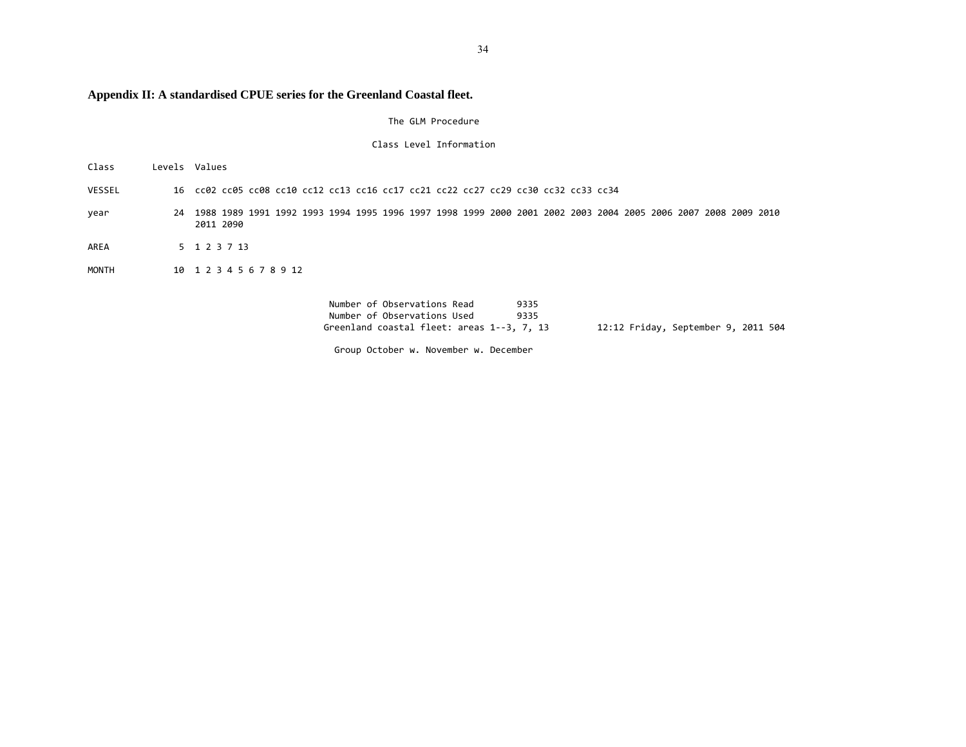# **Appendix II: A standardised CPUE series for the Greenland Coastal fleet.**

The GLM Procedure

Class Level Information

- VESSEL16 cc02 cc05 cc08 cc10 cc12 cc13 cc16 cc17 cc21 cc22 cc27 cc29 cc30 cc32 cc33 cc34
- year 24 1988 1989 1991 1992 1993 1994 1995 1996 1997 1998 1999 2000 2001 2002 2003 2004 2005 2006 2007 2008 2009 2010 2011 2090
- AREA5 1 2 3 7 13

Class

MONTH10 1 2 3 4 5 6 7 8 9 12

Levels Values

Number of Observations Read 9335 Number of Observations Used 9335 Greenland coastal fleet:12:12 Friday, September 9, 2011 504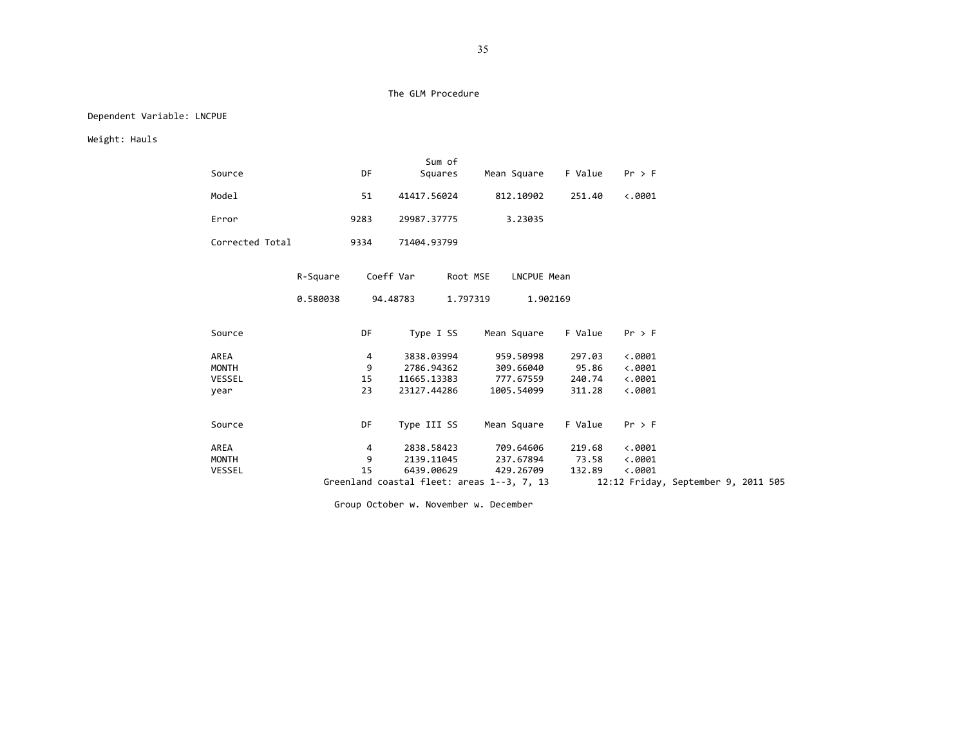## Dependent Variable: LNCPUE

Weight: Hauls

|                 |          |           | Sum of                                     |             |         |                                     |  |
|-----------------|----------|-----------|--------------------------------------------|-------------|---------|-------------------------------------|--|
| Source          |          | DF        | Squares                                    | Mean Square | F Value | $Pr$ > F                            |  |
| Model           |          | 51        | 41417.56024                                | 812.10902   | 251.40  | $\langle .0001$                     |  |
| Error           |          | 9283      | 29987.37775                                | 3.23035     |         |                                     |  |
| Corrected Total |          | 9334      | 71404.93799                                |             |         |                                     |  |
|                 | R-Square |           | Coeff Var<br>Root MSE                      | LNCPUE Mean |         |                                     |  |
|                 | 0.580038 |           | 94.48783<br>1.797319                       | 1.902169    |         |                                     |  |
| Source          |          | <b>DF</b> | Type I SS                                  | Mean Square | F Value | $Pr$ > F                            |  |
| AREA            |          | 4         | 3838.03994                                 | 959.50998   | 297.03  | $\langle .0001$                     |  |
| MONTH           |          | 9         | 2786.94362                                 | 309.66040   | 95.86   | $\langle .0001$                     |  |
| VESSEL          |          | 15        | 11665.13383                                | 777.67559   | 240.74  | $\langle .0001$                     |  |
| year            |          | 23        | 23127.44286                                | 1005.54099  | 311.28  | $\langle .0001$                     |  |
| Source          |          | DF        | Type III SS                                | Mean Square | F Value | $Pr$ > F                            |  |
| AREA            |          | 4         | 2838.58423                                 | 709.64606   | 219.68  | $\ddotsc 0001$                      |  |
| MONTH           |          | 9         | 2139.11045                                 | 237.67894   | 73.58   | $\langle .0001$                     |  |
| VESSEL          |          | 15        | 6439.00629                                 | 429.26709   | 132.89  | $\langle .0001$                     |  |
|                 |          |           | Greenland coastal fleet: areas 1--3, 7, 13 |             |         | 12:12 Friday, September 9, 2011 505 |  |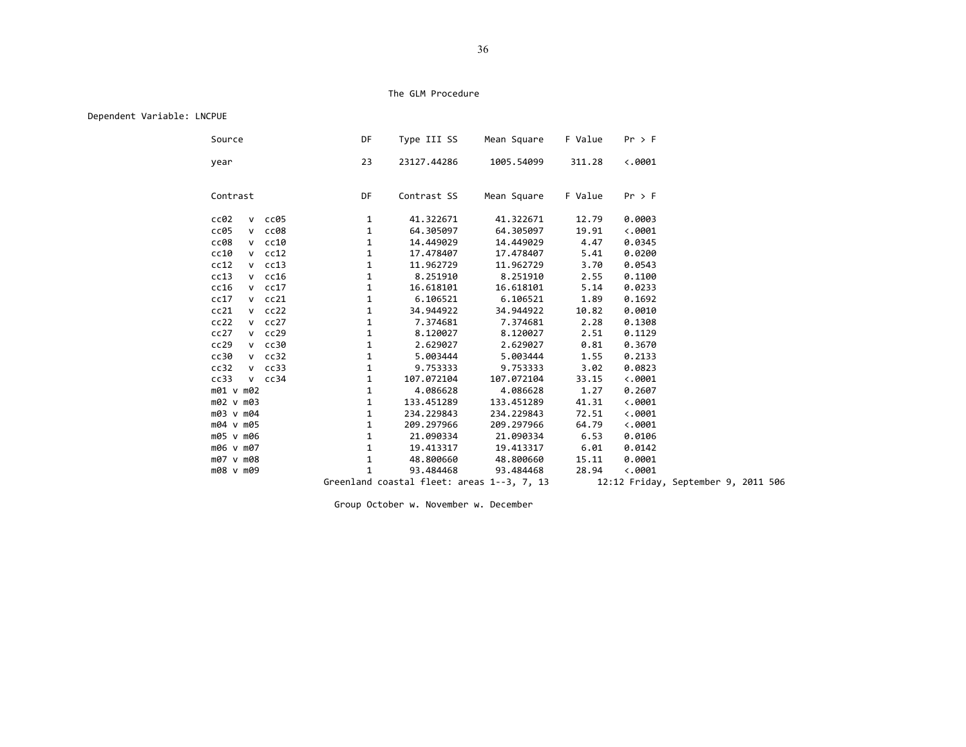### Dependent Variable: LNCPUE

| Source             | DF           | Type III SS                                | Mean Square | F Value | $Pr$ > F        |                                     |  |
|--------------------|--------------|--------------------------------------------|-------------|---------|-----------------|-------------------------------------|--|
| year               | 23           | 23127.44286                                | 1005.54099  | 311.28  | $\langle .0001$ |                                     |  |
| Contrast           | DF           | Contrast SS                                | Mean Square | F Value | $Pr$ > F        |                                     |  |
| cc02<br>$v$ $cc05$ | $\mathbf{1}$ | 41.322671                                  | 41.322671   | 12.79   | 0.0003          |                                     |  |
| cc05<br>$v$ $cc08$ | $\mathbf{1}$ | 64.305097                                  | 64.305097   | 19.91   | $\langle .0001$ |                                     |  |
| $v$ $cc10$<br>cc08 | $\mathbf{1}$ | 14,449029                                  | 14,449029   | 4.47    | 0.0345          |                                     |  |
| $v$ $cc12$<br>cc10 | $\mathbf{1}$ | 17.478407                                  | 17.478407   | 5.41    | 0.0200          |                                     |  |
| cc12<br>$v$ $cc13$ | 1            | 11.962729                                  | 11,962729   | 3.70    | 0.0543          |                                     |  |
| cc13<br>$v$ $cc16$ | $\mathbf{1}$ | 8.251910                                   | 8.251910    | 2.55    | 0.1100          |                                     |  |
| cc16<br>$v$ $cc17$ | $\mathbf{1}$ | 16.618101                                  | 16.618101   | 5.14    | 0.0233          |                                     |  |
| $v$ $cc21$<br>cc17 | $\mathbf{1}$ | 6.106521                                   | 6.106521    | 1.89    | 0.1692          |                                     |  |
| $v$ $cc22$<br>cc21 | $\mathbf{1}$ | 34.944922                                  | 34.944922   | 10.82   | 0.0010          |                                     |  |
| cc22<br>$v$ $cc27$ | $\mathbf{1}$ | 7.374681                                   | 7.374681    | 2.28    | 0.1308          |                                     |  |
| cc27<br>$v$ $cc29$ | $\mathbf{1}$ | 8.120027                                   | 8.120027    | 2.51    | 0.1129          |                                     |  |
| cc29<br>$v$ $cc30$ | $\mathbf{1}$ | 2.629027                                   | 2.629027    | 0.81    | 0.3670          |                                     |  |
| cc30<br>$v$ $cc32$ | $\mathbf{1}$ | 5.003444                                   | 5.003444    | 1.55    | 0.2133          |                                     |  |
| cc32<br>$v$ $cc33$ | 1            | 9.753333                                   | 9.753333    | 3.02    | 0.0823          |                                     |  |
| cc33<br>$v$ $cc34$ | $\mathbf{1}$ | 107.072104                                 | 107.072104  | 33.15   | $\langle .0001$ |                                     |  |
| m01 v m02          | $\mathbf{1}$ | 4.086628                                   | 4.086628    | 1.27    | 0.2607          |                                     |  |
| m02 v m03          | $\mathbf{1}$ | 133.451289                                 | 133.451289  | 41.31   | $\langle .0001$ |                                     |  |
| m03 v m04          | $\mathbf{1}$ | 234.229843                                 | 234.229843  | 72.51   | $\langle .0001$ |                                     |  |
| m04 v m05          | $\mathbf{1}$ | 209.297966                                 | 209.297966  | 64.79   | $\langle .0001$ |                                     |  |
| m05 v m06          | $\mathbf{1}$ | 21.090334                                  | 21.090334   | 6.53    | 0.0106          |                                     |  |
| m06 v m07          | $\mathbf{1}$ | 19.413317                                  | 19.413317   | 6.01    | 0.0142          |                                     |  |
| m07 v m08          | $\mathbf{1}$ | 48.800660                                  | 48.800660   | 15.11   | 0.0001          |                                     |  |
| m08 v m09          | 1            | 93.484468                                  | 93.484468   | 28.94   | $\langle .0001$ |                                     |  |
|                    |              | Greenland coastal fleet: areas 1--3, 7, 13 |             |         |                 | 12:12 Friday, September 9, 2011 506 |  |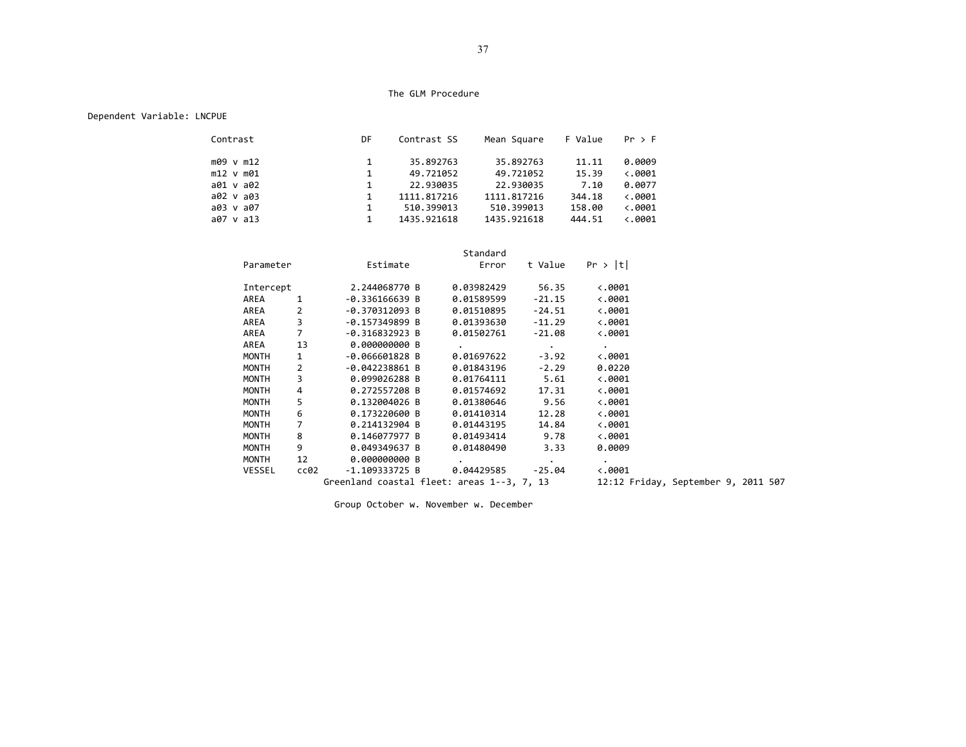## Dependent Variable: LNCPUE

| Contrast       | DF           | Contrast SS | Mean Square | F Value | Pr > F                  |
|----------------|--------------|-------------|-------------|---------|-------------------------|
| m09 v m12      | $\mathbf{1}$ | 35.892763   | 35.892763   | 11.11   | 0.0009                  |
| $m12$ v $m01$  | 1            | 49.721052   | 49.721052   | 15.39   | $\langle .0001$         |
| a01 v a02      | $\mathbf{1}$ | 22.930035   | 22.930035   | 7.10    | 0.0077                  |
| a02 v a03      | 1            | 1111.817216 | 1111.817216 | 344.18  | $\langle .0001$         |
| a03 v a07      | 1            | 510.399013  | 510.399013  | 158.00  | $\langle .0001$         |
| $a07 \vee a13$ |              | 1435.921618 | 1435.921618 | 444.51  | $\langle .0001 \rangle$ |

|               |                |                                            | Standard          |                          |                                     |  |  |
|---------------|----------------|--------------------------------------------|-------------------|--------------------------|-------------------------------------|--|--|
| Parameter     |                | Estimate                                   | Error             | t Value                  | Pr >  t                             |  |  |
| Intercept     |                | 2.244068770 B                              | 0.03982429        | 56.35                    | $\langle .0001$                     |  |  |
| AREA          |                | -0.336166639 B                             | 0.01589599        | $-21.15$                 | $\ddotsc$ .0001                     |  |  |
| AREA          | $\overline{2}$ | -0.370312093 B                             | 0.01510895        | -24.51                   | $\ddotsc$ .0001                     |  |  |
| AREA          | 3              | -0.157349899 B                             | 0.01393630        | -11.29                   | $\langle .0001$                     |  |  |
| AREA          | $\overline{7}$ | $-0.316832923 B$                           | 0.01502761        | -21.08                   | $\ddotsc$ .0001                     |  |  |
| AREA          | 13             | 0.000000000 B                              | $\bullet$         | <b>Contract Contract</b> | $\bullet$                           |  |  |
| MONTH         | $\mathbf{1}$   | -0.066601828 B                             | 0.01697622        | -3.92                    | $\langle .0001 \rangle$             |  |  |
| MONTH         | $\overline{2}$ | -0.042238861 B                             | 0.01843196        | $-2.29$                  | 0.0220                              |  |  |
| MONTH         | 3              | 0.099026288 B                              | 0.01764111        | 5.61                     | $\langle .0001$                     |  |  |
| MONTH         | 4              | 0.272557208 B                              | 0.01574692        | 17.31                    | $\ddotsc$ .0001                     |  |  |
| MONTH         | 5              | 0.132004026 B                              | 0.01380646 9.56   |                          | $\ddotsc$ .0001                     |  |  |
| MONTH         | 6              | 0.173220600 B                              | 0.01410314        | 12.28                    | $\langle .0001$                     |  |  |
| <b>MONTH</b>  |                | 0.214132904 B                              | 0.01443195        | 14.84                    | $\langle .0001$                     |  |  |
| MONTH         | 8              | 0.146077977 B                              | 0.01493414        | 9.78                     | $\langle .0001$                     |  |  |
| MONTH         | 9              | 0.049349637 B                              | 0.01480490        | 3.33                     | 0.0009                              |  |  |
| MONTH         | 12             | 0.000000000 B                              |                   | $\ddot{\phantom{0}}$     | $\ddot{\phantom{0}}$                |  |  |
| <b>VESSEL</b> | cc02           | -1.109333725 B                             | 0.04429585 -25.04 |                          | $\langle .0001 \rangle$             |  |  |
|               |                | Greenland coastal fleet: areas 1--3, 7, 13 |                   |                          | 12:12 Friday, September 9, 2011 507 |  |  |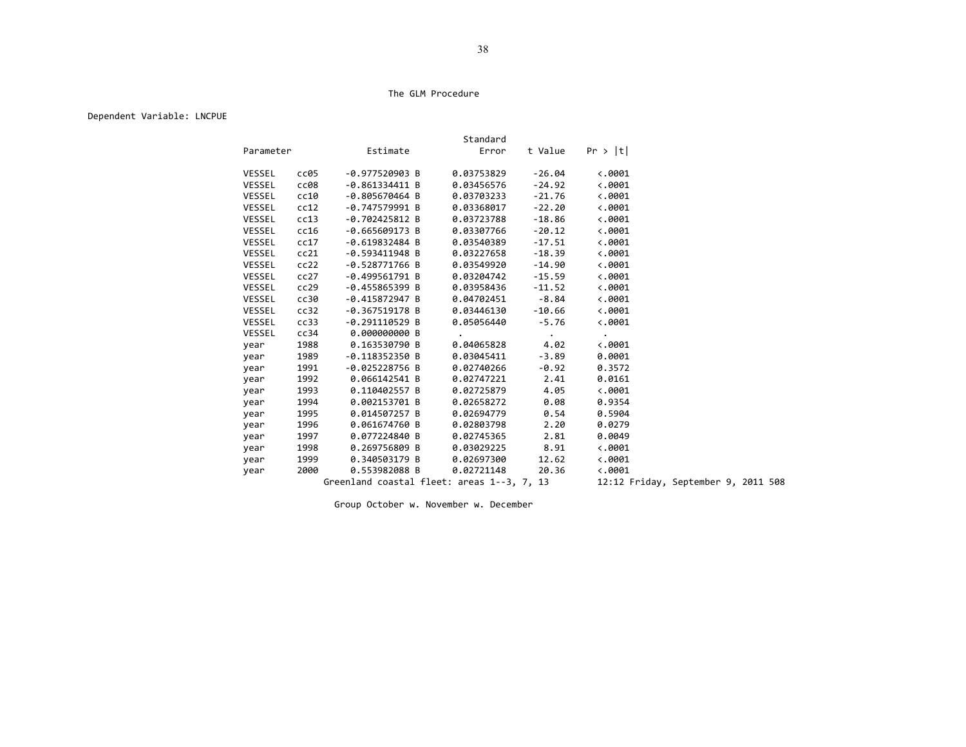### Dependent Variable: LNCPUE

|               |      |                                            | Standard   |                 |                      |                                     |  |
|---------------|------|--------------------------------------------|------------|-----------------|----------------------|-------------------------------------|--|
| Parameter     |      | Estimate                                   | Error      | t Value         | Pr >  t              |                                     |  |
| <b>VESSEL</b> | cc05 | $-0.977520903 B$                           | 0.03753829 | $-26.04$        | $\langle .0001$      |                                     |  |
| <b>VESSEL</b> | cc08 | $-0.861334411 B$                           | 0.03456576 | $-24.92$        | $\langle .0001$      |                                     |  |
| VESSEL        | cc10 | $-0.805670464 B$                           | 0.03703233 | $-21.76$        | $\langle .0001$      |                                     |  |
| VESSEL        | cc12 | $-0.747579991 B$                           | 0.03368017 | $-22.20$        | $\langle .0001$      |                                     |  |
| VESSEL        | cc13 | $-0.702425812 B$                           | 0.03723788 | $-18.86$        | $\langle .0001$      |                                     |  |
| VESSEL        | cc16 | $-0.665609173 B$                           | 0.03307766 | $-20.12$        | $\langle .0001$      |                                     |  |
| VESSEL        | cc17 | $-0.619832484 B$                           | 0.03540389 | $-17.51$        | $\langle .0001$      |                                     |  |
| <b>VESSEL</b> | cc21 | $-0.593411948$ B                           | 0.03227658 | $-18.39$        | $\langle .0001$      |                                     |  |
| <b>VESSEL</b> | cc22 | $-0.528771766 B$                           | 0.03549920 | $-14.90$        | $\langle .0001$      |                                     |  |
| <b>VESSEL</b> | cc27 | $-0.499561791 B$                           | 0.03204742 | $-15.59$        | $\langle .0001$      |                                     |  |
| <b>VESSEL</b> | cc29 | $-0.455865399 B$                           | 0.03958436 | $-11.52$        | $\langle .0001$      |                                     |  |
| <b>VESSEL</b> | cc30 | $-0.415872947 B$                           | 0.04702451 | $-8.84$         | $\langle .0001$      |                                     |  |
| <b>VESSEL</b> | cc32 | $-0.367519178$ B                           | 0.03446130 | $-10.66$        | $\langle .0001$      |                                     |  |
| VESSEL        | cc33 | $-0.291110529$ B                           | 0.05056440 | $-5.76$         | $\langle .0001$      |                                     |  |
| <b>VESSEL</b> | cc34 | 0.000000000 B                              | $\bullet$  | $\sim 10^{-10}$ | $\ddot{\phantom{0}}$ |                                     |  |
| year          | 1988 | 0.163530790 B                              | 0.04065828 | 4.02            | $\langle .0001$      |                                     |  |
| year          | 1989 | $-0.118352350 B$                           | 0.03045411 | $-3.89$         | 0.0001               |                                     |  |
| year          | 1991 | $-0.025228756 B$                           | 0.02740266 | $-0.92$         | 0.3572               |                                     |  |
| year          | 1992 | 0.066142541 B                              | 0.02747221 | 2.41            | 0.0161               |                                     |  |
| year          | 1993 | 0.110402557 B                              | 0.02725879 | 4.05            | $\langle .0001$      |                                     |  |
| year          | 1994 | 0.002153701 B                              | 0.02658272 | 0.08            | 0.9354               |                                     |  |
| year          | 1995 | 0.014507257 B                              | 0.02694779 | 0.54            | 0.5904               |                                     |  |
| year          | 1996 | 0.061674760 B                              | 0.02803798 | 2.20            | 0.0279               |                                     |  |
| year          | 1997 | 0.077224840 B                              | 0.02745365 | 2.81            | 0.0049               |                                     |  |
| year          | 1998 | 0.269756809 B                              | 0.03029225 | 8.91            | $\langle .0001$      |                                     |  |
| year          | 1999 | 0.340503179 B                              | 0.02697300 | 12.62           | $\langle .0001$      |                                     |  |
| year          | 2000 | 0.553982088 B                              | 0.02721148 | 20.36           | $\langle .0001$      |                                     |  |
|               |      | Greenland coastal fleet: areas 1--3, 7, 13 |            |                 |                      | 12:12 Friday, September 9, 2011 508 |  |

Group October w. November w. December

38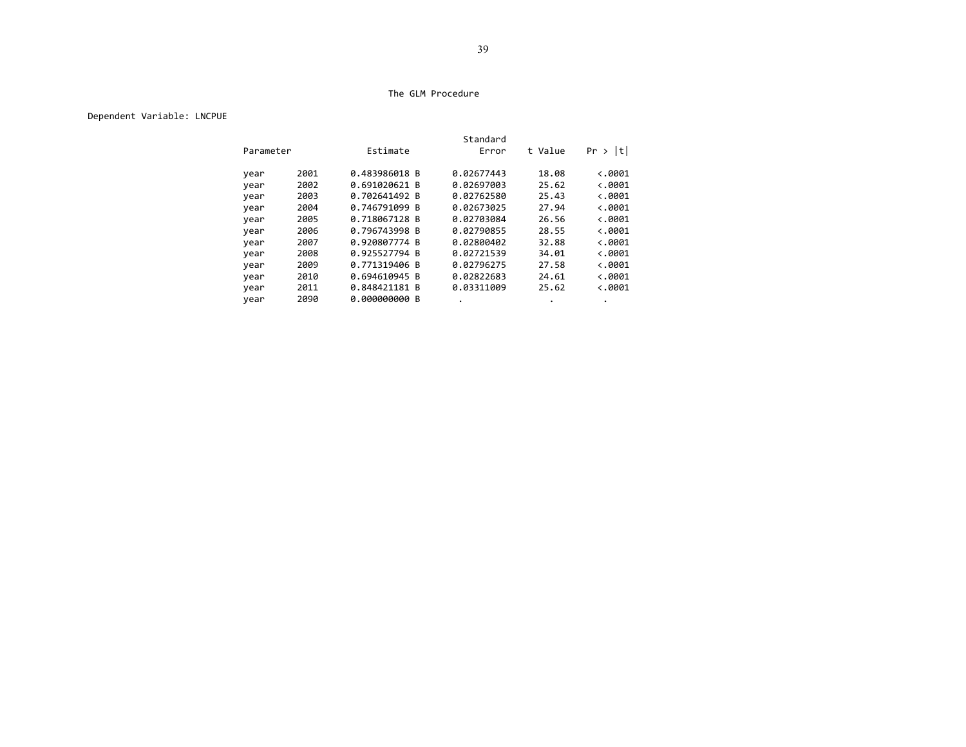## Dependent Variable: LNCPUE

|           |      |               | Standard   |         |                 |
|-----------|------|---------------|------------|---------|-----------------|
| Parameter |      | Estimate      | Error      | t Value | t <br>Pr >      |
| year      | 2001 | 0.483986018 B | 0.02677443 | 18.08   | $\langle .0001$ |
| year      | 2002 | 0.691020621 B | 0.02697003 | 25.62   | $\langle .0001$ |
| year      | 2003 | 0.702641492 B | 0.02762580 | 25.43   | $\langle .0001$ |
| year      | 2004 | 0.746791099 B | 0.02673025 | 27.94   | $\langle .0001$ |
| year      | 2005 | 0.718067128 B | 0.02703084 | 26.56   | $\langle .0001$ |
| year      | 2006 | 0.796743998 B | 0.02790855 | 28.55   | $\langle .0001$ |
| year      | 2007 | 0.920807774 B | 0.02800402 | 32.88   | $\langle .0001$ |
| year      | 2008 | 0.925527794 B | 0.02721539 | 34.01   | $\langle .0001$ |
| year      | 2009 | 0.771319406 B | 0.02796275 | 27.58   | $\langle .0001$ |
| year      | 2010 | 0.694610945 B | 0.02822683 | 24.61   | $\langle .0001$ |
| year      | 2011 | 0.848421181 B | 0.03311009 | 25.62   | $\langle .0001$ |
| year      | 2090 | 0.000000000 B |            |         |                 |
|           |      |               |            |         |                 |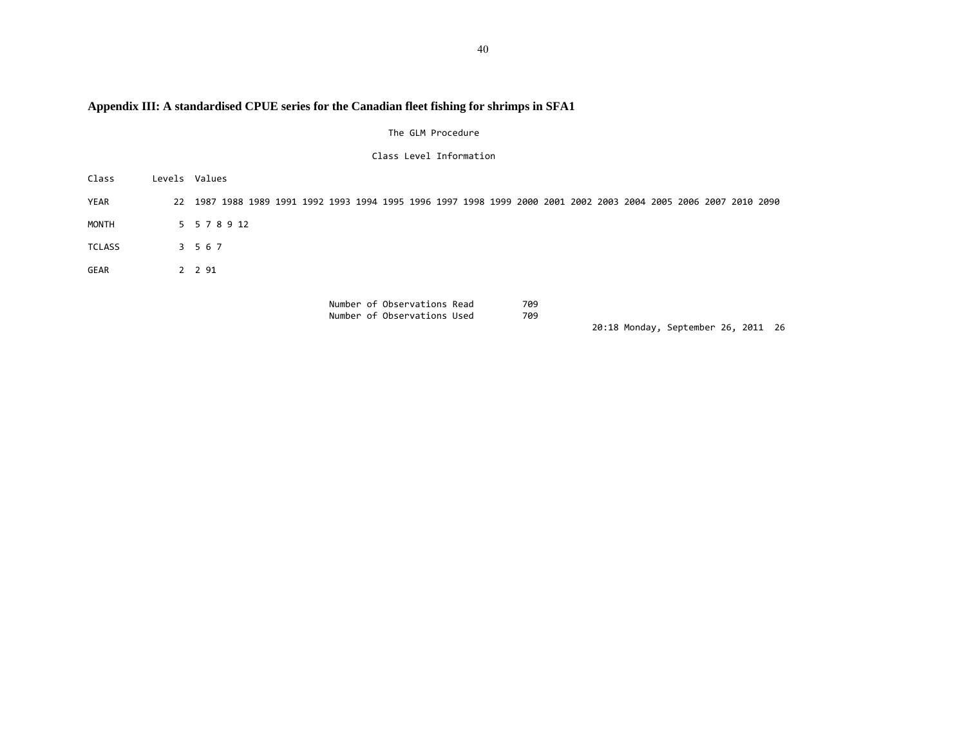# **Appendix III: A standardised CPUE series for the Canadian fleet fishing for shrimps in SFA1**

The GLM Procedure

Class Level Information

| Class         | Levels Values                                                                                                    |
|---------------|------------------------------------------------------------------------------------------------------------------|
| YEAR          | 22 1987 1988 1989 1991 1992 1993 1994 1995 1996 1997 1998 1999 2000 2001 2002 2003 2004 2005 2006 2007 2010 2090 |
| MONTH         | 5 5 7 8 9 12                                                                                                     |
| <b>TCLASS</b> | 3 5 6 7                                                                                                          |
| GEAR          | 2 2 9 1                                                                                                          |
|               | Number of Observations Read<br>709                                                                               |

Number of Observations Used 709

20:18 Monday, September 26, 2011 26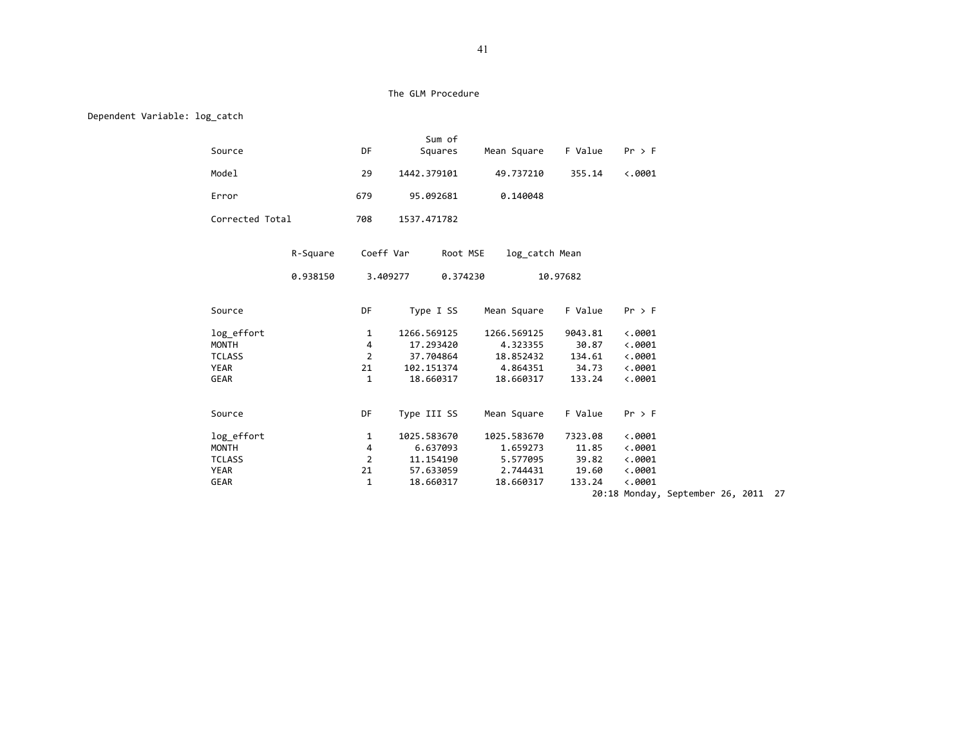Dependent Variable: log\_catch

|                 |          |                | Sum of               |                |          |                 |                                     |  |  |
|-----------------|----------|----------------|----------------------|----------------|----------|-----------------|-------------------------------------|--|--|
| Source          |          | DF             | Squares              | Mean Square    | F Value  | $Pr$ > F        |                                     |  |  |
| Model           |          | 29             | 1442.379101          | 49.737210      | 355.14   | $\langle .0001$ |                                     |  |  |
| Error           |          | 679            | 95.092681            | 0.140048       |          |                 |                                     |  |  |
| Corrected Total |          | 708            | 1537.471782          |                |          |                 |                                     |  |  |
|                 | R-Square | Coeff Var      | Root MSE             | log catch Mean |          |                 |                                     |  |  |
|                 | 0.938150 |                | 3.409277<br>0.374230 |                | 10.97682 |                 |                                     |  |  |
| Source          |          | DF             | Type I SS            | Mean Square    | F Value  | $Pr$ > F        |                                     |  |  |
| log effort      |          | 1              | 1266.569125          | 1266.569125    | 9043.81  | $\langle .0001$ |                                     |  |  |
| <b>MONTH</b>    |          | 4              | 17.293420            | 4.323355       | 30.87    | $\ddotsc 0001$  |                                     |  |  |
| <b>TCLASS</b>   |          | $\overline{2}$ | 37.704864            | 18.852432      | 134.61   | $\langle .0001$ |                                     |  |  |
| <b>YEAR</b>     |          | 21             | 102.151374           | 4.864351       | 34.73    | $\langle .0001$ |                                     |  |  |
| GEAR            |          | 1              | 18.660317            | 18.660317      | 133.24   | $\langle .0001$ |                                     |  |  |
| Source          |          | DF             | Type III SS          | Mean Square    | F Value  | $Pr$ > F        |                                     |  |  |
| log effort      |          | 1              | 1025.583670          | 1025.583670    | 7323.08  | $\langle .0001$ |                                     |  |  |
| <b>MONTH</b>    |          | 4              | 6.637093             | 1.659273       | 11.85    | $\langle .0001$ |                                     |  |  |
| <b>TCLASS</b>   |          | $\overline{2}$ | 11.154190            | 5.577095       | 39.82    | $\langle .0001$ |                                     |  |  |
| YEAR            |          | 21             | 57.633059            | 2.744431       | 19.60    | $\langle .0001$ |                                     |  |  |
| GEAR            |          | $\mathbf{1}$   | 18.660317            | 18.660317      | 133.24   | $\langle .0001$ |                                     |  |  |
|                 |          |                |                      |                |          |                 | 20:18 Monday, September 26, 2011 27 |  |  |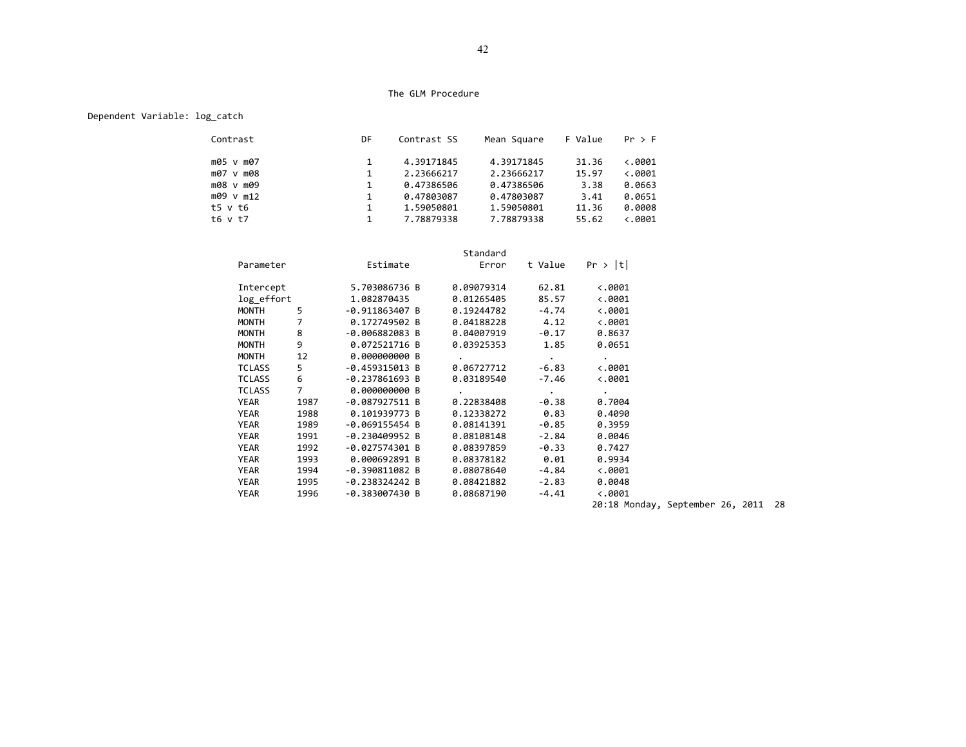## Dependent Variable: log\_catch

| Contrast     | DF           | Contrast SS | Mean Square | F Value | Pr > F          |
|--------------|--------------|-------------|-------------|---------|-----------------|
| m05 v m07    |              | 4.39171845  | 4.39171845  | 31.36   | $\langle .0001$ |
| m07 v m08    | $\mathbf{1}$ | 2.23666217  | 2.23666217  | 15.97   | $\langle .0001$ |
| m08 v m09    | 1            | 0.47386506  | 0.47386506  | 3.38    | 0.0663          |
| m09 v m12    | $\mathbf{1}$ | 0.47803087  | 0.47803087  | 3.41    | 0.0651          |
| t5 v t6      | 1            | 1.59050801  | 1.59050801  | 11.36   | 0.0008          |
| $t6 \vee t7$ |              | 7.78879338  | 7.78879338  | 55.62   | <.0001          |

|               |                |                  | Standard             |                          |                         |
|---------------|----------------|------------------|----------------------|--------------------------|-------------------------|
| Parameter     |                | Estimate         | Error                |                          | t Value $Pr >  t $      |
| Intercept     |                | 5.703086736 B    | 0.09079314           | 62.81                    | $\langle .0001 \rangle$ |
| log effort    |                | 1.082870435      | 0.01265405           | 85.57                    | $\langle .0001$         |
| MONTH         | 5              | $-0.911863407 B$ | 0.19244782           | $-4.74$                  | $\langle .0001$         |
| MONTH         | $\overline{7}$ | 0.172749502 B    | 0.04188228           | 4.12                     | $\ddotsc$ .0001         |
| MONTH         | 8              | -0.006882083 B   | 0.04007919           | $-0.17$                  | 0.8637                  |
| MONTH         | 9              | 0.072521716 B    | 0.03925353 1.85      |                          | 0.0651                  |
| MONTH         | 12             | 0.000000000 B    | $\ddot{\phantom{0}}$ | <b>Contract Contract</b> | $\ddot{\phantom{0}}$    |
| <b>TCLASS</b> | 5              | -0.459315013 B   | 0.06727712           | $-6.83$                  | $\langle .0001$         |
| <b>TCLASS</b> | 6              | $-0.237861693 B$ | 0.03189540           | -7.46                    | $\langle .0001$         |
| <b>TCLASS</b> | $\overline{7}$ | 0.000000000 B    |                      | $\sim$                   | $\cdot$                 |
| YEAR          | 1987           | -0.087927511 B   | 0.22838408           | -0.38                    | 0.7004                  |
| YEAR          | 1988           | 0.101939773 B    | $0.12338272$ $0.83$  |                          | 0.4090                  |
| YEAR          | 1989           | $-0.069155454 B$ | 0.08141391           | -0.85                    | 0.3959                  |
| YEAR          | 1991           | $-0.230409952 B$ | 0.08108148           | $-2.84$                  | 0.0046                  |
| YEAR          | 1992           | $-0.027574301 B$ | 0.08397859           | $-0.33$                  | 0.7427                  |
| YEAR          | 1993           | 0.000692891 B    | 0.08378182           | 0.01                     | 0.9934                  |
| YEAR          | 1994           | $-0.390811082 B$ | 0.08078640           | $-4.84$                  | $\langle .0001$         |
| YEAR          | 1995           | -0.238324242 B   | 0.08421882           | $-2.83$                  | 0.0048                  |
| YEAR          | 1996           | -0.383007430 B   | 0.08687190           | $-4.41$                  | $\langle .0001$         |
|               |                |                  |                      |                          |                         |

20:18 Monday, September 26, 2011 28